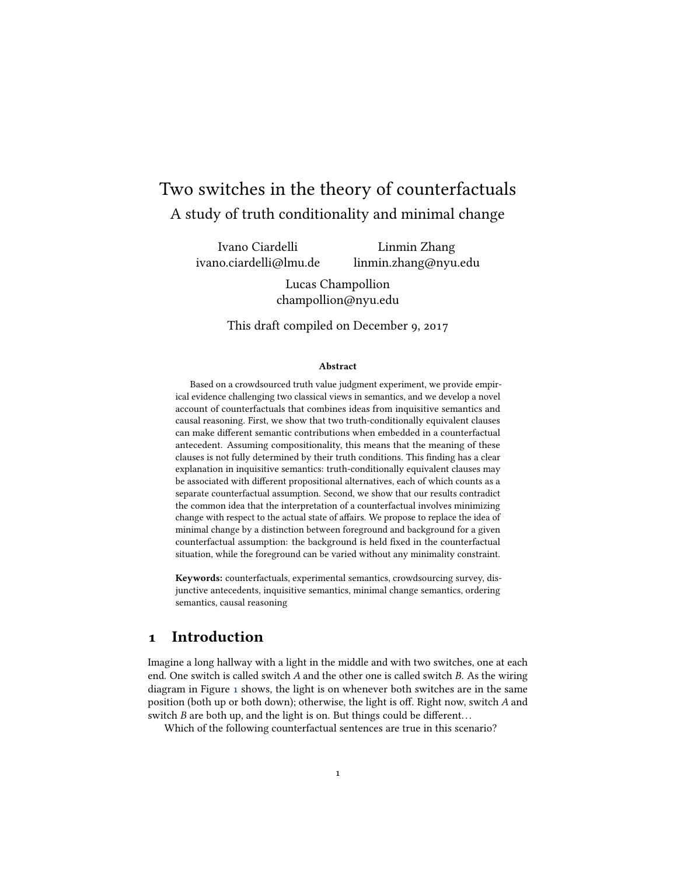# Two switches in the theory of counterfactuals A study of truth conditionality and minimal change

Ivano Ciardelli ivano.ciardelli@lmu.de

Linmin Zhang linmin.zhang@nyu.edu

Lucas Champollion champollion@nyu.edu

This draft compiled on December 9, 2017

#### Abstract

Based on a crowdsourced truth value judgment experiment, we provide empirical evidence challenging two classical views in semantics, and we develop a novel account of counterfactuals that combines ideas from inquisitive semantics and causal reasoning. First, we show that two truth-conditionally equivalent clauses can make different semantic contributions when embedded in a counterfactual antecedent. Assuming compositionality, this means that the meaning of these clauses is not fully determined by their truth conditions. This finding has a clear explanation in inquisitive semantics: truth-conditionally equivalent clauses may be associated with different propositional alternatives, each of which counts as a separate counterfactual assumption. Second, we show that our results contradict the common idea that the interpretation of a counterfactual involves minimizing change with respect to the actual state of affairs. We propose to replace the idea of minimal change by a distinction between foreground and background for a given counterfactual assumption: the background is held fixed in the counterfactual situation, while the foreground can be varied without any minimality constraint.

Keywords: counterfactuals, experimental semantics, crowdsourcing survey, disjunctive antecedents, inquisitive semantics, minimal change semantics, ordering semantics, causal reasoning

# 1 Introduction

Imagine a long hallway with a light in the middle and with two switches, one at each end. One switch is called switch A and the other one is called switch B. As the wiring diagram in Figure [1](#page-1-0) shows, the light is on whenever both switches are in the same position (both up or both down); otherwise, the light is off. Right now, switch  $A$  and switch  $B$  are both up, and the light is on. But things could be different...

<span id="page-0-0"></span>Which of the following counterfactual sentences are true in this scenario?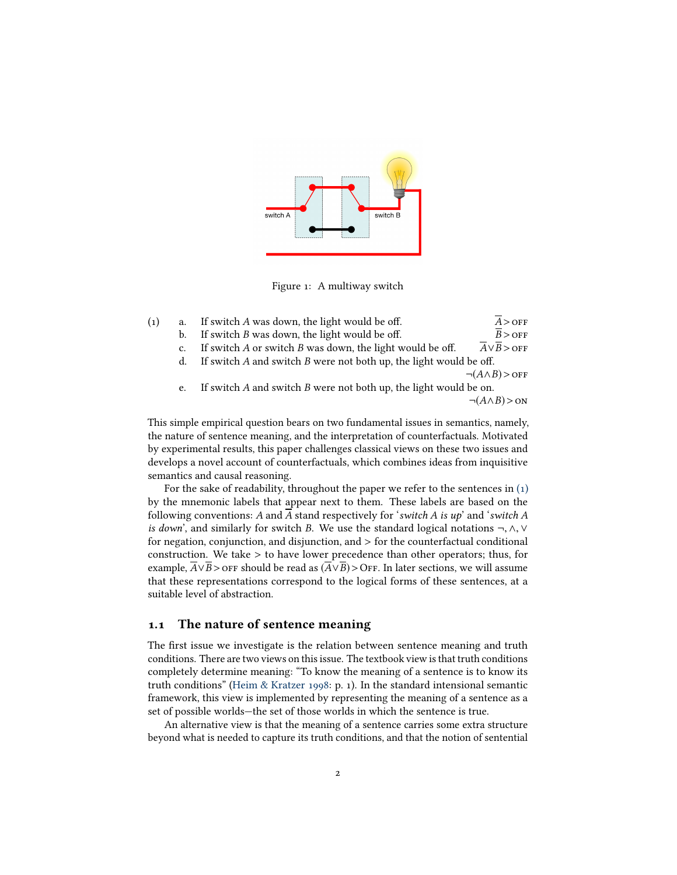

<span id="page-1-0"></span>Figure 1: A multiway switch

| (1) | a. | If switch A was down, the light would be off.                          | $A >$ OFF                              |
|-----|----|------------------------------------------------------------------------|----------------------------------------|
|     | b. | If switch $B$ was down, the light would be off.                        | $B >$ OFF                              |
|     | c. | If switch $A$ or switch $B$ was down, the light would be off.          | $\overline{A} \vee \overline{B} >$ OFF |
|     | d. | If switch $A$ and switch $B$ were not both up, the light would be off. |                                        |
|     |    |                                                                        | $\neg(A \land B) >$ OFF                |
|     | e. | If switch $A$ and switch $B$ were not both up, the light would be on.  |                                        |
|     |    |                                                                        | $\neg(A \land B) > \text{ON}$          |
|     |    |                                                                        |                                        |

This simple empirical question bears on two fundamental issues in semantics, namely, the nature of sentence meaning, and the interpretation of counterfactuals. Motivated by experimental results, this paper challenges classical views on these two issues and develops a novel account of counterfactuals, which combines ideas from inquisitive semantics and causal reasoning.

For the sake of readability, throughout the paper we refer to the sentences in  $(1)$ by the mnemonic labels that appear next to them. These labels are based on the following conventions: A and A stand respectively for 'switch A is  $up$ ' and 'switch A is down', and similarly for switch B. We use the standard logical notations <sup>¬</sup>, <sup>∧</sup>, <sup>∨</sup> for negation, conjunction, and disjunction, and > for the counterfactual conditional construction. We take > to have lower precedence than other operators; thus, for example,  $\overline{A} \vee \overline{B}$  > OFF should be read as  $(\overline{A} \vee \overline{B})$  > OFF. In later sections, we will assume that these representations correspond to the logical forms of these sentences, at a suitable level of abstraction.

### 1.1 The nature of sentence meaning

The first issue we investigate is the relation between sentence meaning and truth conditions. There are two views on this issue. The textbook view is that truth conditions completely determine meaning: "To know the meaning of a sentence is to know its truth conditions" [\(Heim & Kratzer 1998:](#page-43-0) p. 1). In the standard intensional semantic framework, this view is implemented by representing the meaning of a sentence as a set of possible worlds—the set of those worlds in which the sentence is true.

An alternative view is that the meaning of a sentence carries some extra structure beyond what is needed to capture its truth conditions, and that the notion of sentential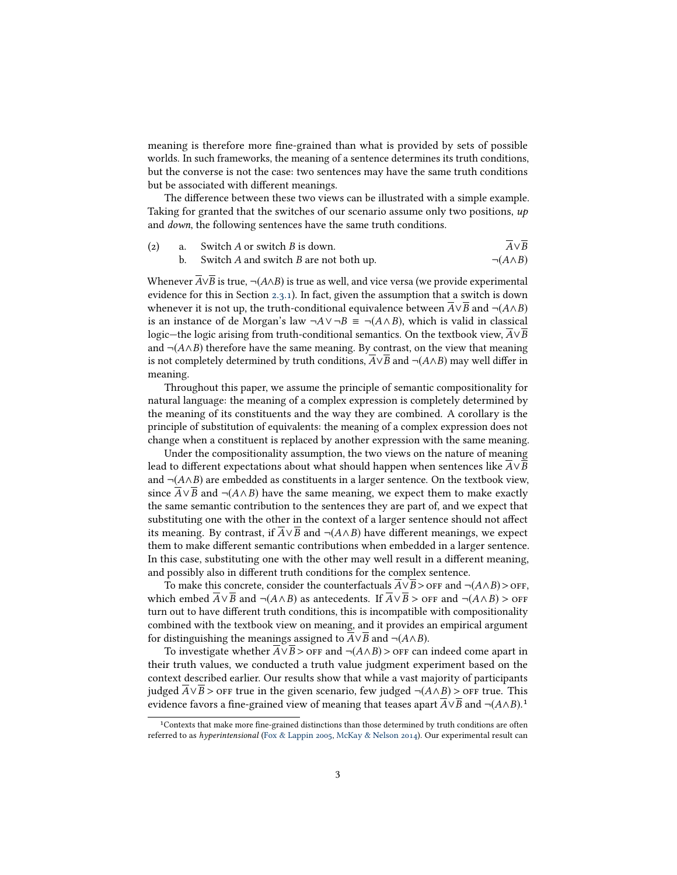meaning is therefore more fine-grained than what is provided by sets of possible worlds. In such frameworks, the meaning of a sentence determines its truth conditions, but the converse is not the case: two sentences may have the same truth conditions but be associated with different meanings.

The difference between these two views can be illustrated with a simple example. Taking for granted that the switches of our scenario assume only two positions,  $up$ and down, the following sentences have the same truth conditions.

|  | (2) a. Switch A or switch B is down.      | $A \vee B$         |
|--|-------------------------------------------|--------------------|
|  | b. Switch A and switch B are not both up. | $\neg(A \wedge B)$ |
|  |                                           |                    |

Whenever  $\overline{A} \vee \overline{B}$  is true, ¬(A∧B) is true as well, and vice versa (we provide experimental evidence for this in Section [2.3.1\)](#page-8-0). In fact, given the assumption that a switch is down whenever it is not up, the truth-conditional equivalence between  $\overline{A} \vee \overline{B}$  and  $\neg(A \wedge B)$ is an instance of de Morgan's law  $\neg A \lor \neg B \equiv \neg (A \land B)$ , which is valid in classical logic—the logic arising from truth-conditional semantics. On the textbook view, A∨B and  $\neg(A \wedge B)$  therefore have the same meaning. By contrast, on the view that meaning is not completely determined by truth conditions,  $A \vee B$  and  $\neg(A \wedge B)$  may well differ in meaning.

Throughout this paper, we assume the principle of semantic compositionality for natural language: the meaning of a complex expression is completely determined by the meaning of its constituents and the way they are combined. A corollary is the principle of substitution of equivalents: the meaning of a complex expression does not change when a constituent is replaced by another expression with the same meaning.

Under the compositionality assumption, the two views on the nature of meaning lead to different expectations about what should happen when sentences like  $\overline{A} \vee \overline{B}$ and  $\neg(A \land B)$  are embedded as constituents in a larger sentence. On the textbook view, since  $\overline{A} \vee \overline{B}$  and ¬(A∧B) have the same meaning, we expect them to make exactly the same semantic contribution to the sentences they are part of, and we expect that substituting one with the other in the context of a larger sentence should not affect its meaning. By contrast, if  $\overline{A} \vee \overline{B}$  and  $\neg$ ( $\overline{A} \wedge \overline{B}$ ) have different meanings, we expect them to make different semantic contributions when embedded in a larger sentence. In this case, substituting one with the other may well result in a different meaning, and possibly also in different truth conditions for the complex sentence.

To make this concrete, consider the counterfactuals  $\overline{A} \vee \overline{B}$  >  $\overline{O}$  FF and  $\neg$  $(A \wedge B)$  >  $\overline{O}$ FF, which embed  $\overline{A} \vee \overline{B}$  and  $\neg(A \wedge B)$  as antecedents. If  $\overline{A} \vee \overline{B}$  > off and  $\neg(A \wedge B)$  > off turn out to have different truth conditions, this is incompatible with compositionality combined with the textbook view on meaning, and it provides an empirical argument for distinguishing the meanings assigned to  $A \vee B$  and  $\neg(A \wedge B)$ .

To investigate whether  $\overline{A} \vee \overline{B}$  > off and  $\neg$ ( $A \wedge B$ ) > off can indeed come apart in their truth values, we conducted a truth value judgment experiment based on the context described earlier. Our results show that while a vast majority of participants judged  $\overline{A} \vee \overline{B}$  > off true in the given scenario, few judged ¬( $A \wedge B$ ) > off true. This judged  $\overline{A} \vee \overline{B}$  > OFF true in the given scenario, few judged ¬( $A \wedge B$ ) > OFF true. This evidence favors a fine-grained view of meaning that teases apart  $\overline{A} \vee \overline{B}$  and ¬( $A \wedge B$ ).<sup>1</sup>

<sup>&</sup>lt;sup>1</sup>Contexts that make more fine-grained distinctions than those determined by truth conditions are often referred to as hyperintensional [\(Fox & Lappin 2005,](#page-42-0) [McKay & Nelson 2014\)](#page-44-0). Our experimental result can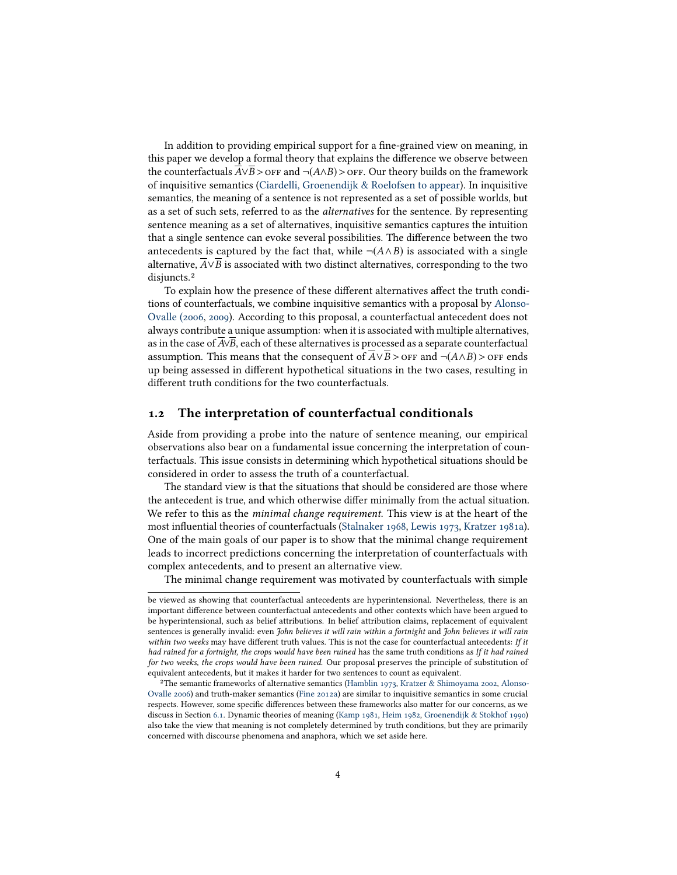In addition to providing empirical support for a fine-grained view on meaning, in this paper we develop a formal theory that explains the difference we observe between the counterfactuals  $A \vee B >$  or  $F$  and  $\neg$ ( $A \wedge B$ ) > or  $F$ . Our theory builds on the framework of inquisitive semantics (Ciardelli, Groenendijk  $\&$  Roelofsen to appear). In inquisitive semantics, the meaning of a sentence is not represented as a set of possible worlds, but as a set of such sets, referred to as the alternatives for the sentence. By representing sentence meaning as a set of alternatives, inquisitive semantics captures the intuition that a single sentence can evoke several possibilities. The difference between the two antecedents is captured by the fact that, while  $\neg(A \wedge B)$  is associated with a single alternative,  $\overline{A} \vee \overline{B}$  is associated with two distinct alternatives, corresponding to the two disjuncts.<sup>2</sup>

To explain how the presence of these different alternatives affect the truth conditions of counterfactuals, we combine inquisitive semantics with a proposal by [Alonso-](#page-41-1)[Ovalle \(2006,](#page-41-1) [2009\)](#page-41-2). According to this proposal, a counterfactual antecedent does not always contribute a unique assumption: when it is associated with multiple alternatives, as in the case of A∨B, each of these alternatives is processed as a separate counterfactual assumption. This means that the consequent of  $A \vee B >$  off and  $\neg(A \wedge B) >$  off ends up being assessed in different hypothetical situations in the two cases, resulting in different truth conditions for the two counterfactuals.

#### <span id="page-3-0"></span>1.2 The interpretation of counterfactual conditionals

Aside from providing a probe into the nature of sentence meaning, our empirical observations also bear on a fundamental issue concerning the interpretation of counterfactuals. This issue consists in determining which hypothetical situations should be considered in order to assess the truth of a counterfactual.

The standard view is that the situations that should be considered are those where the antecedent is true, and which otherwise differ minimally from the actual situation. We refer to this as the minimal change requirement. This view is at the heart of the most influential theories of counterfactuals [\(Stalnaker 1968,](#page-45-0) [Lewis 1973,](#page-43-1) [Kratzer 1981a\)](#page-43-2). One of the main goals of our paper is to show that the minimal change requirement leads to incorrect predictions concerning the interpretation of counterfactuals with complex antecedents, and to present an alternative view.

The minimal change requirement was motivated by counterfactuals with simple

be viewed as showing that counterfactual antecedents are hyperintensional. Nevertheless, there is an important difference between counterfactual antecedents and other contexts which have been argued to be hyperintensional, such as belief attributions. In belief attribution claims, replacement of equivalent sentences is generally invalid: even John believes it will rain within a fortnight and John believes it will rain within two weeks may have different truth values. This is not the case for counterfactual antecedents: If it had rained for a fortnight, the crops would have been ruined has the same truth conditions as If it had rained for two weeks, the crops would have been ruined. Our proposal preserves the principle of substitution of equivalent antecedents, but it makes it harder for two sentences to count as equivalent.

<sup>&</sup>lt;sup>2</sup>The semantic frameworks of alternative semantics [\(Hamblin 1973,](#page-43-3) [Kratzer & Shimoyama 2002,](#page-43-4) [Alonso-](#page-41-1)[Ovalle 2006\)](#page-41-1) and truth-maker semantics [\(Fine 2012a\)](#page-42-1) are similar to inquisitive semantics in some crucial respects. However, some specific differences between these frameworks also matter for our concerns, as we discuss in Section [6.1.](#page-31-0) Dynamic theories of meaning [\(Kamp 1981,](#page-43-5) [Heim 1982,](#page-43-6) [Groenendijk & Stokhof 1990\)](#page-43-7) also take the view that meaning is not completely determined by truth conditions, but they are primarily concerned with discourse phenomena and anaphora, which we set aside here.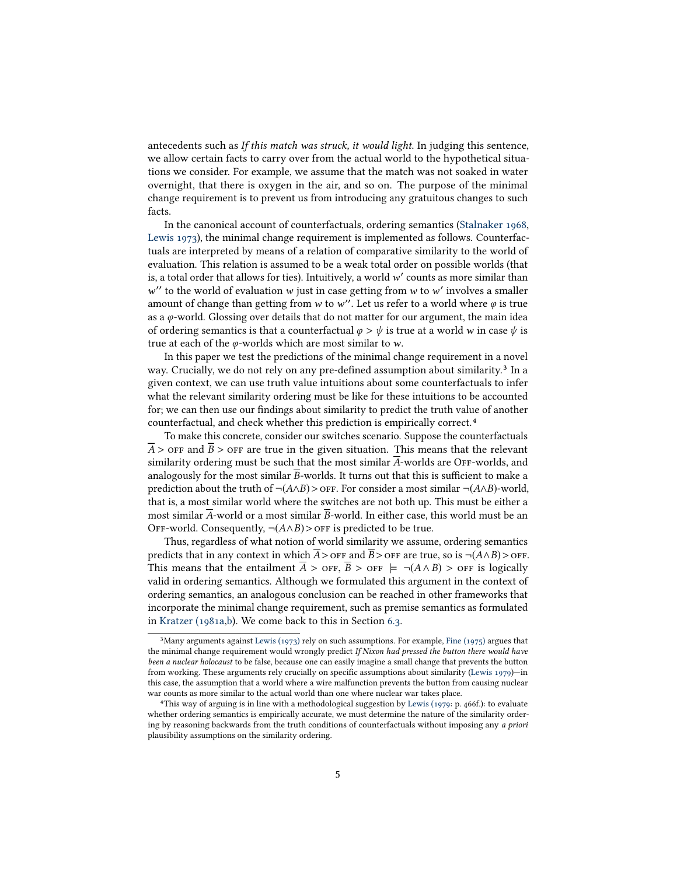antecedents such as If this match was struck, it would light. In judging this sentence, we allow certain facts to carry over from the actual world to the hypothetical situations we consider. For example, we assume that the match was not soaked in water overnight, that there is oxygen in the air, and so on. The purpose of the minimal change requirement is to prevent us from introducing any gratuitous changes to such facts.

In the canonical account of counterfactuals, ordering semantics [\(Stalnaker 1968,](#page-45-0) [Lewis 1973\)](#page-43-1), the minimal change requirement is implemented as follows. Counterfactuals are interpreted by means of a relation of comparative similarity to the world of evaluation. This relation is assumed to be a weak total order on possible worlds (that is, a total order that allows for ties). Intuitively, a world  $w'$  counts as more similar than  $w'$  to the world of evaluation  $w$  just in case getting from  $w$  to  $w'$  involves a smaller amount of change than getting from w to w''. Let us refer to a world where φ is true<br>as a φ-world. Glossing over details that do not matter for our argument, the main idea " to the world of evaluation w just in case getting from w to w' involves a smaller<br>nount of change than getting from w to w''. Let us refer to a world where  $\varphi$  is true as a  $\varphi$ -world. Glossing over details that do not matter for our argument, the main idea of ordering semantics is that a counterfactual  $\varphi > \psi$  is true at a world w in case  $\psi$  is true at each of the  $\varphi$ -worlds which are most similar to w.

In this paper we test the predictions of the minimal change requirement in a novel way. Crucially, we do not rely on any pre-defined assumption about similarity.<sup>3</sup> In a given context, we can use truth value intuitions about some counterfactuals to infer what the relevant similarity ordering must be like for these intuitions to be accounted for; we can then use our findings about similarity to predict the truth value of another counterfactual, and check whether this prediction is empirically correct.<sup>4</sup>

To make this concrete, consider our switches scenario. Suppose the counterfactuals  $\overline{A}$  > off and  $\overline{B}$  > off are true in the given situation. This means that the relevant similarity ordering must be such that the most similar  $\overline{A}$ -worlds are OFF-worlds, and analogously for the most similar  $\overline{B}$ -worlds. It turns out that this is sufficient to make a prediction about the truth of  $\neg(A \wedge B) >$  off. For consider a most similar  $\neg(A \wedge B)$ -world, that is, a most similar world where the switches are not both up. This must be either a most similar A-world or a most similar B-world. In either case, this world must be an OFF-world. Consequently,  $\neg(A \land B)$  > OFF is predicted to be true.

Thus, regardless of what notion of world similarity we assume, ordering semantics predicts that in any context in which  $\overline{A}$  > OFF and  $\overline{B}$  > OFF are true, so is ¬(A $\wedge$ B) > OFF. This means that the entailment  $\overline{A} >$  or  $\overline{B} >$  or  $\overline{B}$   $\Rightarrow$  of  $\overline{B}$   $\Rightarrow$  of  $\overline{B}$  is logically valid in ordering semantics. Although we formulated this argument in the context of ordering semantics, an analogous conclusion can be reached in other frameworks that incorporate the minimal change requirement, such as premise semantics as formulated in [Kratzer \(1981a](#page-43-2)[,b\)](#page-43-8). We come back to this in Section [6.3.](#page-33-0) 3

<sup>&</sup>lt;sup>3</sup>Many arguments against [Lewis \(1973\)](#page-43-1) rely on such assumptions. For example, [Fine \(1975\)](#page-42-2) argues that the minimal change requirement would wrongly predict If Nixon had pressed the button there would have been a nuclear holocaust to be false, because one can easily imagine a small change that prevents the button from working. These arguments rely crucially on specific assumptions about similarity [\(Lewis 1979\)](#page-43-9)—in this case, the assumption that a world where a wire malfunction prevents the button from causing nuclear war counts as more similar to the actual world than one where nuclear war takes place. 4

This way of arguing is in line with a methodological suggestion by [Lewis \(1979:](#page-43-9) p. 466f.): to evaluate whether ordering semantics is empirically accurate, we must determine the nature of the similarity ordering by reasoning backwards from the truth conditions of counterfactuals without imposing any a priori plausibility assumptions on the similarity ordering.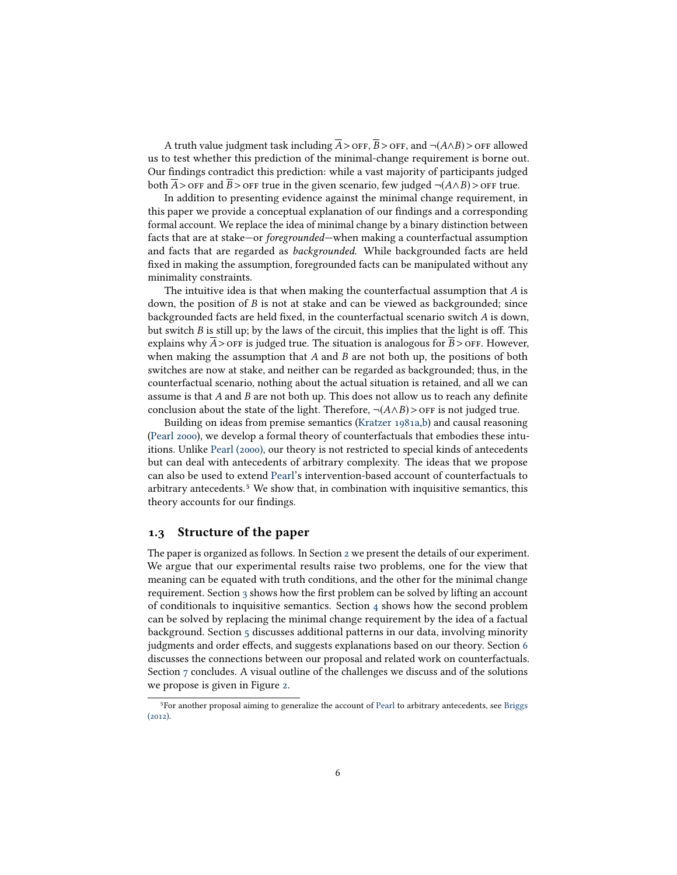A truth value judgment task including  $\overline{A}$  > OFF,  $\overline{B}$  > OFF, and ¬(A $\wedge$ B) > OFF allowed us to test whether this prediction of the minimal-change requirement is borne out. Our findings contradict this prediction: while a vast majority of participants judged both A > off and B > off true in the given scenario, few judged  $\neg$ ( $A \land B$ ) > off true.

In addition to presenting evidence against the minimal change requirement, in this paper we provide a conceptual explanation of our findings and a corresponding formal account. We replace the idea of minimal change by a binary distinction between facts that are at stake—or foregrounded—when making a counterfactual assumption and facts that are regarded as backgrounded. While backgrounded facts are held fixed in making the assumption, foregrounded facts can be manipulated without any minimality constraints.

The intuitive idea is that when making the counterfactual assumption that  $A$  is down, the position of  $B$  is not at stake and can be viewed as backgrounded; since backgrounded facts are held fixed, in the counterfactual scenario switch  $A$  is down, but switch B is still up; by the laws of the circuit, this implies that the light is off. This explains why  $A >$  off is judged true. The situation is analogous for  $B >$  off. However, when making the assumption that  $A$  and  $B$  are not both up, the positions of both switches are now at stake, and neither can be regarded as backgrounded; thus, in the counterfactual scenario, nothing about the actual situation is retained, and all we can assume is that  $A$  and  $B$  are not both up. This does not allow us to reach any definite conclusion about the state of the light. Therefore,  $\neg(A \land B)$  > or F is not judged true.

Building on ideas from premise semantics [\(Kratzer 1981a,](#page-43-2)[b\)](#page-43-8) and causal reasoning [\(Pearl 2000\)](#page-44-1), we develop a formal theory of counterfactuals that embodies these intuitions. Unlike [Pearl \(2000\),](#page-44-1) our theory is not restricted to special kinds of antecedents but can deal with antecedents of arbitrary complexity. The ideas that we propose can also be used to extend [Pearl'](#page-44-1)s intervention-based account of counterfactuals to arbitrary antecedents.<sup>5</sup> We show that, in combination with inquisitive semantics, this theory accounts for our findings.

## 1.3 Structure of the paper

The paper is organized as follows. In Section [2](#page-6-0) we present the details of our experiment. We argue that our experimental results raise two problems, one for the view that meaning can be equated with truth conditions, and the other for the minimal change requirement. Section  $\alpha$  shows how the first problem can be solved by lifting an account of conditionals to inquisitive semantics. Section  $4$  shows how the second problem can be solved by replacing the minimal change requirement by the idea of a factual background. Section [5](#page-27-0) discusses additional patterns in our data, involving minority judgments and order effects, and suggests explanations based on our theory. Section [6](#page-30-0) discusses the connections between our proposal and related work on counterfactuals. Section [7](#page-37-0) concludes. A visual outline of the challenges we discuss and of the solutions we propose is given in Figure [2.](#page-6-1) 5

For another proposal aiming to generalize the account of [Pearl](#page-44-1) to arbitrary antecedents, see [Briggs](#page-41-3) [\(2012\).](#page-41-3)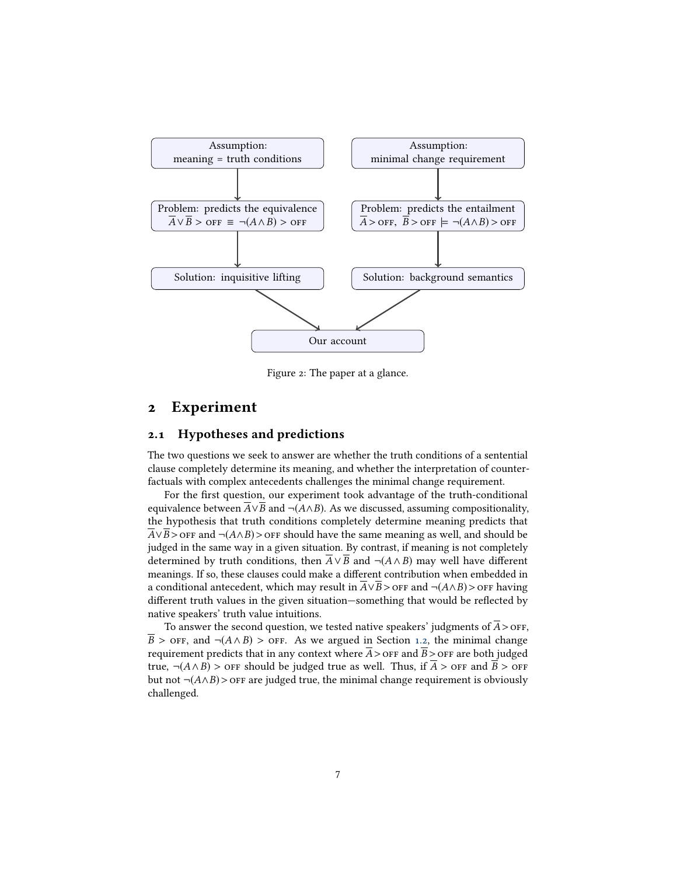

<span id="page-6-1"></span>Figure 2: The paper at a glance.

# <span id="page-6-0"></span>2 Experiment

### 2.1 Hypotheses and predictions

The two questions we seek to answer are whether the truth conditions of a sentential clause completely determine its meaning, and whether the interpretation of counterfactuals with complex antecedents challenges the minimal change requirement.

For the first question, our experiment took advantage of the truth-conditional equivalence between  $\overline{A} \vee \overline{B}$  and  $\neg(A \wedge B)$ . As we discussed, assuming compositionality, the hypothesis that truth conditions completely determine meaning predicts that  $\overline{A} \vee \overline{B}$  > off and  $\neg(A \wedge B)$  > off should have the same meaning as well, and should be judged in the same way in a given situation. By contrast, if meaning is not completely determined by truth conditions, then  $\overline{A} \vee \overline{B}$  and  $\neg(A \wedge B)$  may well have different meanings. If so, these clauses could make a different contribution when embedded in a conditional antecedent, which may result in  $\overline{A} \vee \overline{B}$  > off and  $\neg(A \wedge B)$  > off having different truth values in the given situation—something that would be reflected by native speakers' truth value intuitions.

To answer the second question, we tested native speakers' judgments of  $A >$  orf,  $\overline{B}$  > off, and  $\neg$ ( $A \land B$ ) > off. As we argued in Section [1.2,](#page-3-0) the minimal change requirement predicts that in any context where  $A >$  of  $F$  and  $B >$  of  $F$  are both judged true,  $\neg(A \land B)$  > orr should be judged true as well. Thus, if A > orr and B > orr but not  $\neg(A \land B)$  > OFF are judged true, the minimal change requirement is obviously challenged.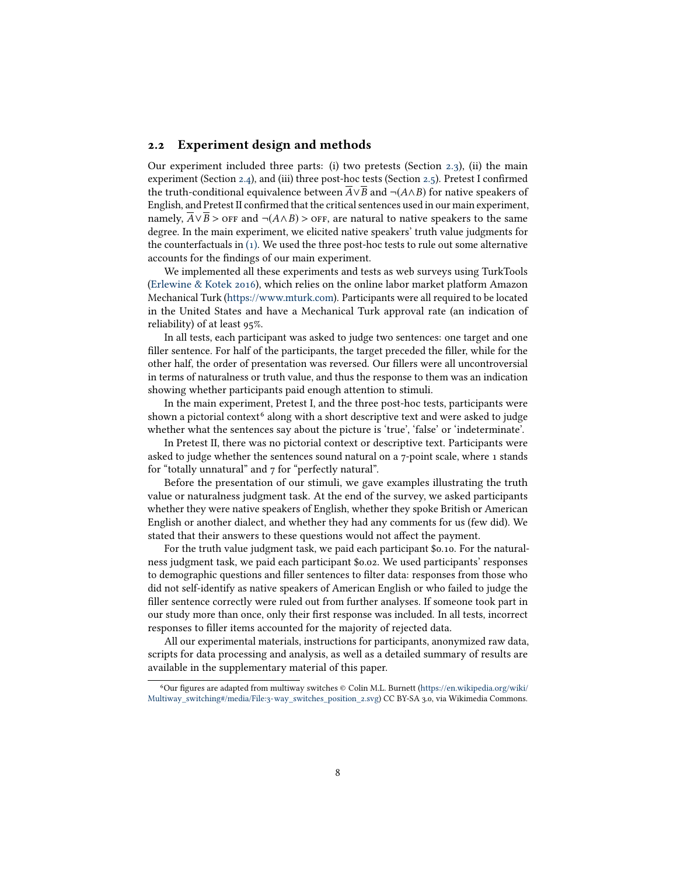### 2.2 Experiment design and methods

Our experiment included three parts: (i) two pretests (Section [2.3\)](#page-8-1), (ii) the main experiment (Section [2.4\)](#page-9-0), and (iii) three post-hoc tests (Section [2.5\)](#page-11-0). Pretest I confirmed the truth-conditional equivalence between  $\overline{A} \vee \overline{B}$  and  $\neg(A \wedge B)$  for native speakers of English, and Pretest II confirmed that the critical sentences used in our main experiment, namely,  $A ∨ B >$  or  $F$  and  $\neg (A ∧ B) >$  or  $F$ , are natural to native speakers to the same degree. In the main experiment, we elicited native speakers' truth value judgments for the counterfactuals in [\(1\).](#page-0-0) We used the three post-hoc tests to rule out some alternative accounts for the findings of our main experiment.

We implemented all these experiments and tests as web surveys using TurkTools [\(Erlewine & Kotek 2016\)](#page-42-3), which relies on the online labor market platform Amazon Mechanical Turk [\(https://www.mturk.com\)](https://www.mturk.com). Participants were all required to be located in the United States and have a Mechanical Turk approval rate (an indication of reliability) of at least 95%.

In all tests, each participant was asked to judge two sentences: one target and one filler sentence. For half of the participants, the target preceded the filler, while for the other half, the order of presentation was reversed. Our fillers were all uncontroversial in terms of naturalness or truth value, and thus the response to them was an indication showing whether participants paid enough attention to stimuli.

In the main experiment, Pretest I, and the three post-hoc tests, participants were shown a pictorial context<sup>6</sup> along with a short descriptive text and were asked to judge whether what the sentences say about the picture is 'true', 'false' or 'indeterminate'.

In Pretest II, there was no pictorial context or descriptive text. Participants were asked to judge whether the sentences sound natural on a 7-point scale, where 1 stands for "totally unnatural" and 7 for "perfectly natural".

Before the presentation of our stimuli, we gave examples illustrating the truth value or naturalness judgment task. At the end of the survey, we asked participants whether they were native speakers of English, whether they spoke British or American English or another dialect, and whether they had any comments for us (few did). We stated that their answers to these questions would not affect the payment.

For the truth value judgment task, we paid each participant \$0.10. For the naturalness judgment task, we paid each participant \$0.02. We used participants' responses to demographic questions and filler sentences to filter data: responses from those who did not self-identify as native speakers of American English or who failed to judge the filler sentence correctly were ruled out from further analyses. If someone took part in our study more than once, only their first response was included. In all tests, incorrect responses to filler items accounted for the majority of rejected data.

All our experimental materials, instructions for participants, anonymized raw data, scripts for data processing and analysis, as well as a detailed summary of results are available in the supplementary material of this paper. 6

<sup>&</sup>lt;sup>6</sup>Our figures are adapted from multiway switches © Colin M.L. Burnett [\(https://en.wikipedia.org/wiki/](https://en.wikipedia.org/wiki/Multiway_switching#/media/File:3-way_switches_position_2.svg) [Multiway\\_switching#/media/File:3-way\\_switches\\_position\\_2.svg\)](https://en.wikipedia.org/wiki/Multiway_switching#/media/File:3-way_switches_position_2.svg) CC BY-SA 3.0, via Wikimedia Commons.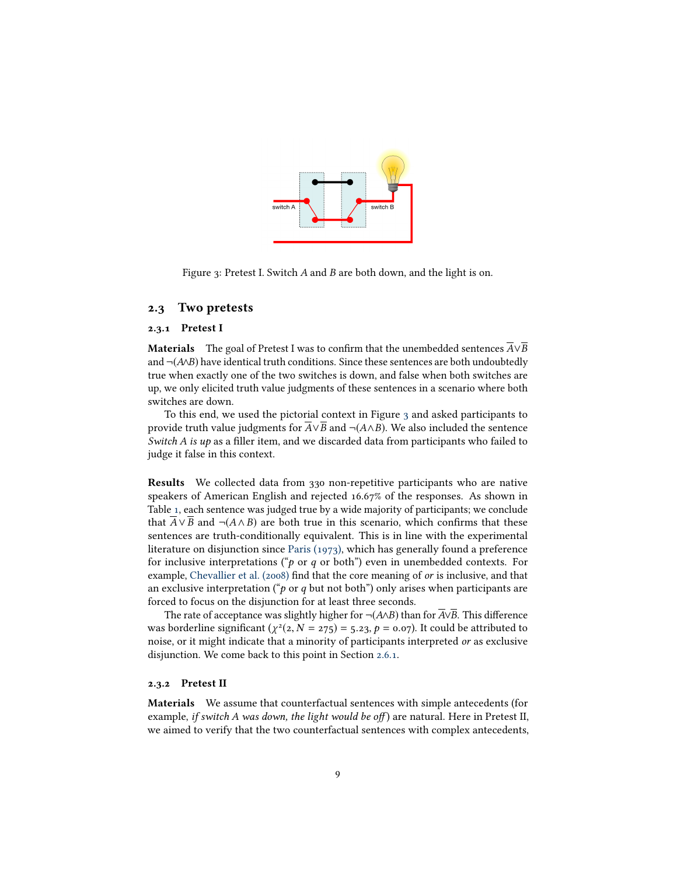

<span id="page-8-2"></span>Figure 3: Pretest I. Switch A and B are both down, and the light is on.

#### <span id="page-8-1"></span>2.3 Two pretests

#### <span id="page-8-0"></span>2.3.1 Pretest I

**Materials** The goal of Pretest I was to confirm that the unembedded sentences  $\overline{A} \vee \overline{B}$ and ¬(A∧B) have identical truth conditions. Since these sentences are both undoubtedly true when exactly one of the two switches is down, and false when both switches are up, we only elicited truth value judgments of these sentences in a scenario where both switches are down.

To this end, we used the pictorial context in Figure [3](#page-8-2) and asked participants to provide truth value judgments for  $A \vee B$  and  $\neg(A \wedge B)$ . We also included the sentence Switch  $A$  is up as a filler item, and we discarded data from participants who failed to judge it false in this context.

Results We collected data from 330 non-repetitive participants who are native speakers of American English and rejected 16.67% of the responses. As shown in Table [1,](#page-9-1) each sentence was judged true by a wide majority of participants; we conclude that  $\overline{A} \vee \overline{B}$  and ¬( $A \wedge B$ ) are both true in this scenario, which confirms that these sentences are truth-conditionally equivalent. This is in line with the experimental literature on disjunction since [Paris \(1973\),](#page-44-2) which has generally found a preference for inclusive interpretations (" $p$  or  $q$  or both") even in unembedded contexts. For example, [Chevallier et al. \(2008\)](#page-41-4) find that the core meaning of or is inclusive, and that an exclusive interpretation ( $\phi$  or q but not both") only arises when participants are forced to focus on the disjunction for at least three seconds.

The rate of acceptance was slightly higher for  $\neg(A \land B)$  than for  $\overline{A} \lor \overline{B}$ . This difference was borderline significant  $(\chi^2(2, N = 275) = 5.23, p = 0.07)$ . It could be attributed to noise or it might indicate that a minority of participants interpreted or as exclusive noise, or it might indicate that a minority of participants interpreted or as exclusive disjunction. We come back to this point in Section [2.6.1.](#page-14-0)

#### 2.3.2 Pretest II

Materials We assume that counterfactual sentences with simple antecedents (for example, if switch A was down, the light would be off) are natural. Here in Pretest II, we aimed to verify that the two counterfactual sentences with complex antecedents,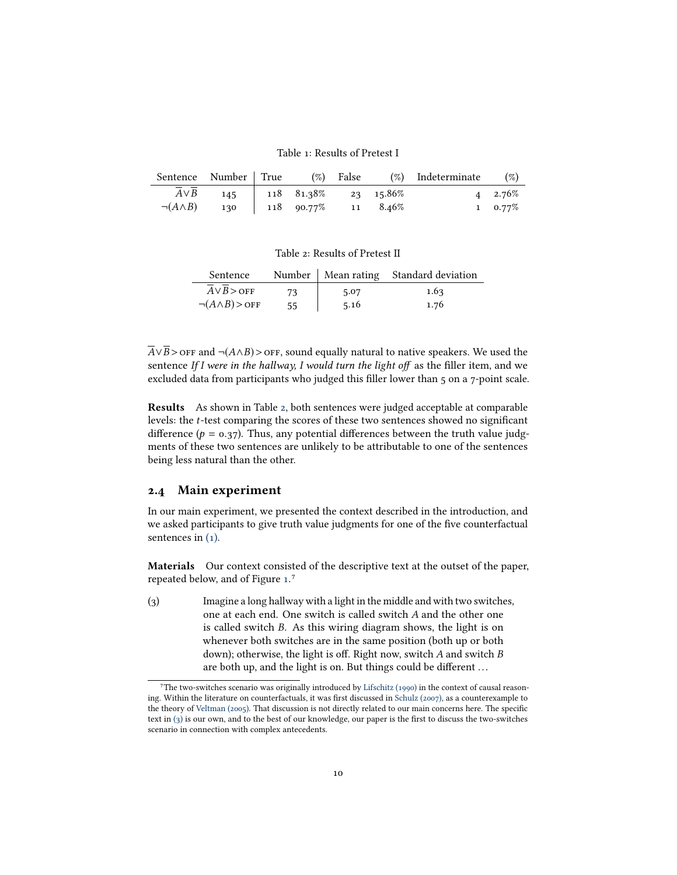<span id="page-9-1"></span>Table 1: Results of Pretest I

|                                                                                                            |  |  | Sentence Number True $(\%)$ False $(\%)$ Indeterminate $(\%)$ |                                  |
|------------------------------------------------------------------------------------------------------------|--|--|---------------------------------------------------------------|----------------------------------|
| $\overline{A} \vee \overline{B}$ 145   118 81.38% 23 15.86%<br>$\neg(A \land B)$ 130   118 90.77% 11 8.46% |  |  |                                                               | $4\quad 2.76\%$<br>$1 \t 0.77\%$ |

<span id="page-9-2"></span>Table 2: Results of Pretest II

| Sentence                |    |      | Number   Mean rating Standard deviation |
|-------------------------|----|------|-----------------------------------------|
| $A \vee B >$ OFF        | 73 | 5.07 | 1.63                                    |
| $\neg(A \land B) >$ OFF | 55 | 5.16 | 1.76                                    |

 $\overline{A} \vee \overline{B}$  > off and ¬(A∧B) > off, sound equally natural to native speakers. We used the sentence If I were in the hallway, I would turn the light off as the filler item, and we excluded data from participants who judged this filler lower than 5 on a 7-point scale.

Results As shown in Table [2,](#page-9-2) both sentences were judged acceptable at comparable levels: the t-test comparing the scores of these two sentences showed no signicant difference ( $p = 0.37$ ). Thus, any potential differences between the truth value judgments of these two sentences are unlikely to be attributable to one of the sentences being less natural than the other.

### <span id="page-9-0"></span>2.4 Main experiment

In our main experiment, we presented the context described in the introduction, and we asked participants to give truth value judgments for one of the five counterfactual sentences in  $(1)$ .

Materials Our context consisted of the descriptive text at the outset of the paper, repeated below, and of Figure [1.](#page-1-0)<sup>7</sup>

<span id="page-9-3"></span>(3) Imagine a long hallway with a light in the middle and with two switches, one at each end. One switch is called switch A and the other one is called switch B. As this wiring diagram shows, the light is on whenever both switches are in the same position (both up or both down); otherwise, the light is off. Right now, switch  $A$  and switch  $B$ are both up, and the light is on. But things could be different ... 7

The two-switches scenario was originally introduced by [Lifschitz \(1990\)](#page-43-10) in the context of causal reason-ing. Within the literature on counterfactuals, it was first discussed in [Schulz \(2007\),](#page-44-3) as a counterexample to the theory of [Veltman \(2005\).](#page-45-1) That discussion is not directly related to our main concerns here. The specific text in  $(3)$  is our own, and to the best of our knowledge, our paper is the first to discuss the two-switches scenario in connection with complex antecedents.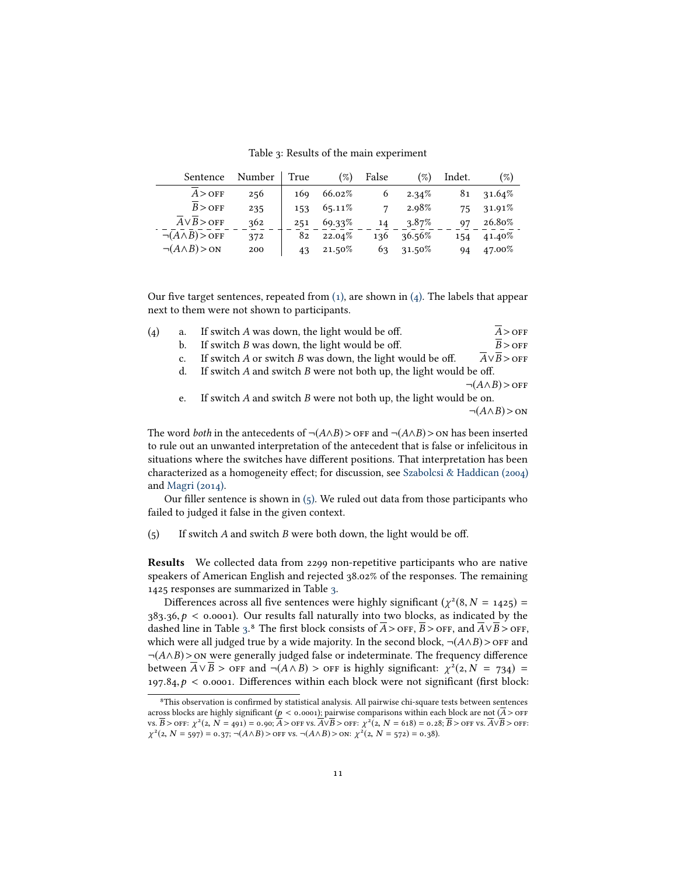<span id="page-10-2"></span>Table 3: Results of the main experiment

| Sentence                      | Number | True | $(\%)$  | False | $(\%)$   | Indet. | $(\%)$ |
|-------------------------------|--------|------|---------|-------|----------|--------|--------|
| $A >$ OFF                     | 256    | 169  | 66.02%  | 6     | $2.34\%$ | 81     | 31.64% |
| $B >$ OFF                     | 235    | 153  | 65.11\% |       | 2.98%    | 75     | 31.91% |
| $A \vee B >$ OFF              | 362    | 251  | 69.33%  | 14    | $3.87\%$ | 97     | 26.80% |
| $\neg(A \land B) >$ OFF       | 372    | 82   | 22.04%  | 136   | 36.56%   | 154    | 41.40% |
| $\neg(A \land B) > \text{ON}$ | 200    | 43   | 21.50%  | 63    | 31.50%   | 94     | 47.00% |
|                               |        |      |         |       |          |        |        |

Our five target sentences, repeated from  $(1)$ , are shown in  $(4)$ . The labels that appear next to them were not shown to participants.

<span id="page-10-0"></span>

| (4) | a. | If switch A was down, the light would be off.                          | $A >$ OFF                              |
|-----|----|------------------------------------------------------------------------|----------------------------------------|
|     | b. | If switch $B$ was down, the light would be off.                        | $B >$ OFF                              |
|     | c. | If switch $A$ or switch $B$ was down, the light would be off.          | $\overline{A} \vee \overline{B}$ > OFF |
|     | d. | If switch $A$ and switch $B$ were not both up, the light would be off. |                                        |
|     |    |                                                                        | $\neg(A \land B) >$ OFF                |
|     | e. | If switch A and switch B were not both up, the light would be on.      |                                        |
|     |    |                                                                        | $\neg(A \land B) > \text{ON}$          |
|     |    |                                                                        |                                        |

The word *both* in the antecedents of  $\neg(A \land B) >$  or and  $\neg(A \land B) >$  on has been inserted to rule out an unwanted interpretation of the antecedent that is false or infelicitous in situations where the switches have different positions. That interpretation has been characterized as a homogeneity effect; for discussion, see [Szabolcsi & Haddican \(2004\)](#page-45-2) and [Magri \(2014\).](#page-44-4)

Our filler sentence is shown in  $(5)$ . We ruled out data from those participants who failed to judged it false in the given context.

<span id="page-10-1"></span>(5) If switch  $A$  and switch  $B$  were both down, the light would be off.

Results We collected data from 2299 non-repetitive participants who are native speakers of American English and rejected 38.02% of the responses. The remaining 1425 responses are summarized in Table [3.](#page-10-2)

Differences across all five sentences were highly significant  $(\chi^2(8, N = 1425) = 26, 0 \le 0.0001)$ . Our results fall naturally into two blocks, as indicated by the  $383.36, p < 0.0001$ ). Our results fall naturally into two blocks, as indicated by the dashed line in Table [3.](#page-10-2)<sup>8</sup> The first block consists of  $\overline{A}$  > off,  $\overline{B}$  > off, and  $\overline{A} \vee \overline{B}$  > off, which were all judged true by a wide majority. In the second block,  $\neg(A \land B)$  > off and  $\neg(A \land B)$  > on were generally judged false or indeterminate. The frequency difference between  $\overline{A} \vee \overline{B}$  > off and  $\neg (A \wedge B)$  > off is highly significant:  $\chi^2(2, N = 734) =$ <br>197.84.0 < 0.0001. Differences within each block were not significant (first block:  $197.84, p \le 0.0001$ . Differences within each block were not significant (first block:

 ${}^{8}{\rm This}$  observation is confirmed by statistical analysis. All pairwise chi-square tests between sentences across blocks are highly significant ( $p <$  0.0001); pairwise comparisons within each block are not ( $\overline{A}$  > OFF vs.  $B >$  OFF:  $\chi$ <br> $v^2$ (2  $N = \epsilon_0$  $\overline{P^2(2, N = 491)} = 0.90; \overline{A} >$  OFF vs.  $\overline{A} \vee \overline{B} >$  OFF:  $\chi^2(2, N = 618) = 0.28; \overline{B} >$  OFF vs.  $\overline{A} \vee \overline{B} >$  OFF:<br>  $\chi^2(2, N = 572) = 0.28; \overline{B} >$  OFF vs.  $\overline{A} \vee \overline{B} >$  OFF:  $\chi^2(z, N = 597) = 0.37$ ;  $\neg(A \land B) > \text{OFF vs. } \neg(A \land B) > \text{ON: } \chi^2(z, N = 572) = 0.38$ ).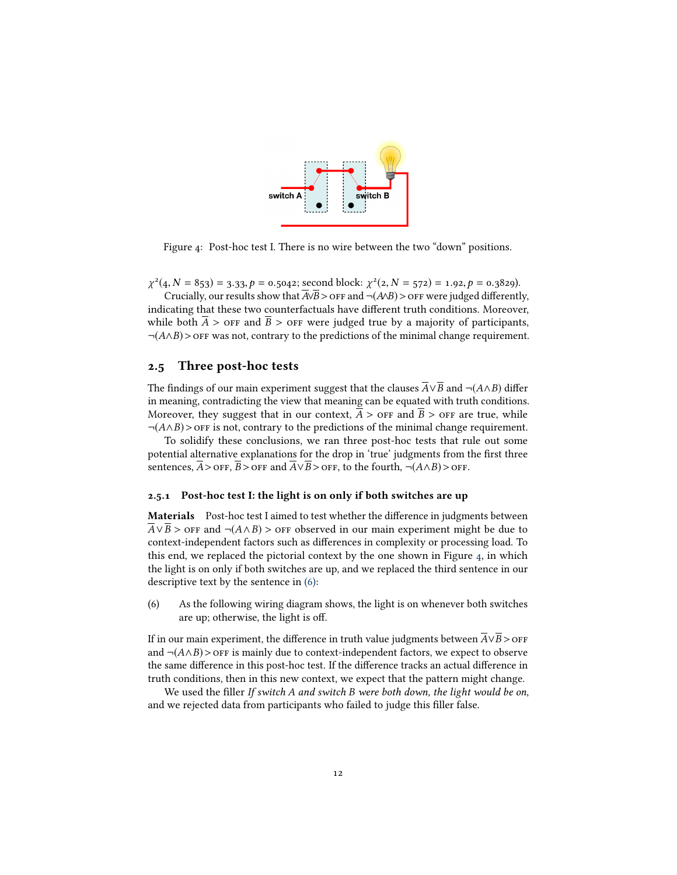

<span id="page-11-1"></span>Figure 4: Post-hoc test I. There is no wire between the two "down" positions.

χ  $\mathcal{L}(4, N = 853) = 3.33, p = 0.5042$ ; second block:  $\chi^2(2, N = 572) = 1.92, p = 0.3829$ ).<br>Crucially our results show that  $\overline{\mathcal{L}(B)}$  of  $\mathcal{L}(AB)$  of  $\mathcal{L}(AB)$  or were judged different.

Crucially, our results show that  $\overline{A\vee B}$  > off and  $\neg(A\vee B)$  > off were judged differently, indicating that these two counterfactuals have different truth conditions. Moreover, while both  $\overline{A}$  > off and  $\overline{B}$  > off were judged true by a majority of participants,  $\neg(A \wedge B)$  > OFF was not, contrary to the predictions of the minimal change requirement.

### <span id="page-11-0"></span>2.5 Three post-hoc tests

The findings of our main experiment suggest that the clauses  $\overline{A} \vee \overline{B}$  and  $\neg$ ( $A \wedge B$ ) differ in meaning, contradicting the view that meaning can be equated with truth conditions. Moreover, they suggest that in our context,  $\overline{A}$  > or and  $\overline{B}$  > or are true, while  $\neg(A \land B)$  >  $\Diamond$  of F is not, contrary to the predictions of the minimal change requirement.

To solidify these conclusions, we ran three post-hoc tests that rule out some potential alternative explanations for the drop in 'true' judgments from the first three sentences,  $\overline{A}$  > OFF,  $\overline{B}$  > OFF and  $\overline{A} \vee \overline{B}$  > OFF, to the fourth, ¬( $A \wedge B$ ) > OFF.

#### 2.5.1 Post-hoc test I: the light is on only if both switches are up

Materials Post-hoc test I aimed to test whether the difference in judgments between  $\overline{A} \vee \overline{B}$  > off and  $\neg$ ( $A \wedge B$ ) > off observed in our main experiment might be due to context-independent factors such as differences in complexity or processing load. To this end, we replaced the pictorial context by the one shown in Figure [4,](#page-11-1) in which the light is on only if both switches are up, and we replaced the third sentence in our descriptive text by the sentence in [\(6\):](#page-11-2)

<span id="page-11-2"></span>(6) As the following wiring diagram shows, the light is on whenever both switches are up; otherwise, the light is off.

If in our main experiment, the difference in truth value judgments between  $\overline{A} \vee \overline{B}$  > OFF and  $\neg(A \land B)$  > OFF is mainly due to context-independent factors, we expect to observe the same difference in this post-hoc test. If the difference tracks an actual difference in truth conditions, then in this new context, we expect that the pattern might change.

We used the filler If switch A and switch B were both down, the light would be on, and we rejected data from participants who failed to judge this filler false.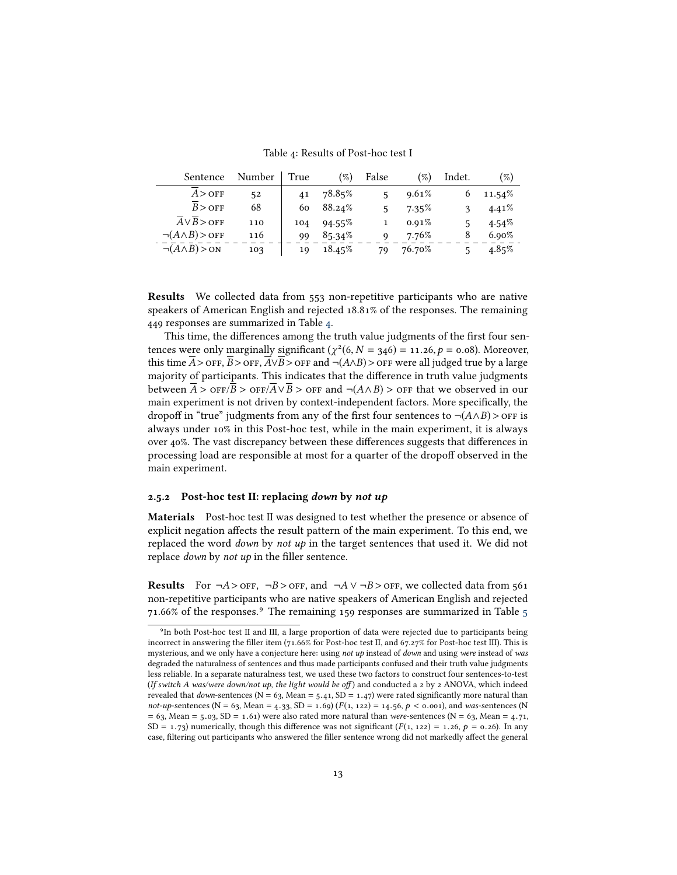<span id="page-12-0"></span>Table 4: Results of Post-hoc test I

| Sentence                      | Number | True | $(\%)$    | False | $(\%)$ | Indet. | $(\%)$    |
|-------------------------------|--------|------|-----------|-------|--------|--------|-----------|
| $A >$ OFF                     | 52     | 41   | 78.85%    |       | 9.61%  | 6      | $11.54\%$ |
| $B >$ OFF                     | 68     | 60   | 88.24%    | ς     | 7.35%  |        | 4.41%     |
| $A \vee B >$ OFF              | 110    | 104  | $94.55\%$ |       | 0.91%  | 5      | $4.54\%$  |
| $\neg(A \land B) >$ OFF       | 116    | 99   | 85.34%    | Q     | 7.76%  | 8      | $6.90\%$  |
| $\neg(A \land B) > \text{ON}$ | 103    | 19   | $18.45\%$ | 79    | 76.70% |        | $4.85\%$  |
|                               |        |      |           |       |        |        |           |

Results We collected data from 553 non-repetitive participants who are native speakers of American English and rejected 18.81% of the responses. The remaining 449 responses are summarized in Table [4.](#page-12-0)

This time, the differences among the truth value judgments of the first four sentences were only marginally significant  $(\chi^2(6, N = 346) = 11.26, p = 0.08)$ . Moreover, this time  $\overline{A} >$  OEE  $\overline{A} \times$  OEE  $\overline{A} \times$  OEE and  $\neg (A \wedge B) >$  OEE were all judged true by a large this time  $\overline{A}$  > OFF,  $\overline{B}$  > OFF,  $\overline{A} \vee \overline{B}$  > OFF and ¬(A∧B) > OFF were all judged true by a large majority of participants. This indicates that the difference in truth value judgments between  $\overline{A}$  >  $\overline{\text{OFF}/B}$  >  $\overline{\text{OFF}/A} \vee \overline{B}$  >  $\overline{\text{OFF}}$  and  $\neg(A \wedge B)$  >  $\overline{\text{OFF}}$  that we observed in our main experiment is not driven by context-independent factors. More specifically, the dropoff in "true" judgments from any of the first four sentences to  $\neg(A \land B) >$  OFF is always under 10% in this Post-hoc test, while in the main experiment, it is always over 40%. The vast discrepancy between these differences suggests that differences in processing load are responsible at most for a quarter of the dropoff observed in the main experiment.

#### 2.5.2 Post-hoc test II: replacing down by not up

Materials Post-hoc test II was designed to test whether the presence or absence of explicit negation affects the result pattern of the main experiment. To this end, we replaced the word down by not  $up$  in the target sentences that used it. We did not replace *down* by *not up* in the filler sentence.

**Results** For  $\neg A >$  orr,  $\neg B >$  orr, and  $\neg A \lor \neg B >$  orr, we collected data from 561 non-repetitive participants who are native speakers of American English and rejected 71.66% of the responses.<sup>9</sup> The remaining 159 responses are summarized in Table [5](#page-13-0) 71.66% of the responses.<sup>9</sup> The remaining 159 responses are summarized in Table 5

<sup>&</sup>lt;sup>9</sup>In both Post-hoc test II and III, a large proportion of data were rejected due to participants being incorrect in answering the ller item (71.66% for Post-hoc test II, and 67.27% for Post-hoc test III). This is mysterious, and we only have a conjecture here: using not up instead of down and using were instead of was degraded the naturalness of sentences and thus made participants confused and their truth value judgments less reliable. In a separate naturalness test, we used these two factors to construct four sentences-to-test (If switch A was/were down/not up, the light would be off) and conducted a 2 by 2 ANOVA, which indeed revealed that *down*-sentences (N = 63, Mean =  $5.41$ , SD =  $1.47$ ) were rated significantly more natural than not-up-sentences (N = 63, Mean = 4.33, SD = 1.69) ( $F(1, 122)$  = 14.56,  $p <$  0.001), and was-sentences (N  $= 63$ , Mean = 5.03, SD = 1.61) were also rated more natural than were-sentences (N = 63, Mean = 4.71, SD = 1.73) numerically, though this difference was not significant  $(F(1, 122) = 1.26, p = 0.26)$ . In any case, filtering out participants who answered the filler sentence wrong did not markedly affect the general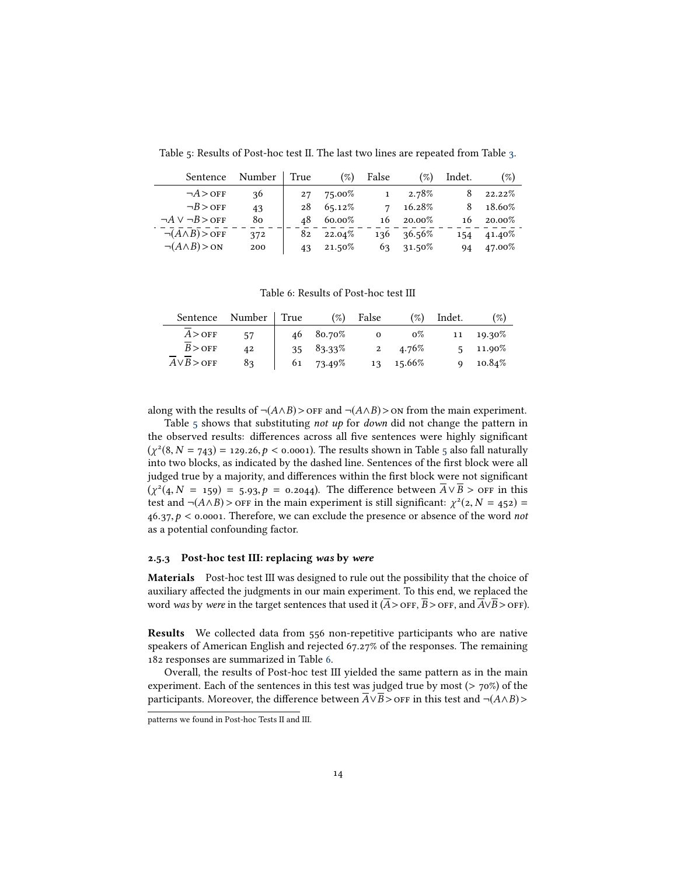<span id="page-13-0"></span>Table 5: Results of Post-hoc test II. The last two lines are repeated from Table [3.](#page-10-2)

| Sentence                      | Number | True | $(\%)$ | False        | $(\%)$ | Indet. | $(\%)$ |
|-------------------------------|--------|------|--------|--------------|--------|--------|--------|
| $\neg A >$ OFF                | 36     | 27   | 75.00% | $\mathbf{1}$ | 2.78%  | 8      | 22.22% |
| $\neg B >$ OFF                | 43     | 28   | 65.12% | 7            | 16.28% | 8      | 18.60% |
| $\neg A \vee \neg B >$ OFF    | 80     | 48   | 60.00% | 16           | 20.00% | 16     | 20.00% |
| $\neg(A \land B) >$ OFF       | 372    | 82   | 22.04% | 136          | 36.56% | 154    | 41.40% |
| $\neg(A \land B) > \text{ON}$ | 200    | 43   | 21.50% | 63           | 31.50% | 94     | 47.00% |
|                               |        |      |        |              |        |        |        |

<span id="page-13-1"></span>Table 6: Results of Post-hoc test III

| Sentence         | Number | True | $(\%)$    | False        | $(\%)$ | Indet. | $(\%)$            |
|------------------|--------|------|-----------|--------------|--------|--------|-------------------|
| $A >$ OFF        | 57     | 46   | 80.70%    | $\mathbf{o}$ | $0\%$  | 11     | 19.30%            |
| $B >$ OFF        | 42     | 35   | 83.33%    |              | 4.76%  |        | $5 \quad 11.90\%$ |
| $A \vee B >$ OFF | 83     |      | 61 73.49% | 13           | 15.66% |        | 10.84%            |
|                  |        |      |           |              |        |        |                   |

along with the results of  $\neg(A \land B)$ > or  $\neg(A \land B)$ > on from the main experiment.

Table [5](#page-13-0) shows that substituting not up for down did not change the pattern in the observed results: differences across all five sentences were highly significant  $(\chi^2(8, N = 743) = 129.26, p < 0.0001)$ . The results shown in Table [5](#page-13-0) also fall naturally into two blocks as indicated by the dashed line. Sentences of the first block were all into two blocks, as indicated by the dashed line. Sentences of the first block were all judged true by a majority, and differences within the first block were not significant  $(\chi^2(4, N = 159) = 5.93, p = 0.2044)$ . The difference between  $\overline{A} \vee \overline{B} >$  OFF in this test and  $\neg (A \wedge B) >$  OFF in the main experiment is still significant:  $\chi^2(A, N = 453) =$ test and  $\neg(A \land B) >$  of in the main experiment is still significant:  $\chi^2(2, N = 452) =$ <br>46.27.0 < 0.0001. Therefore, we can exclude the presence or absence of the word not  $46.37, p \le 0.0001$ . Therefore, we can exclude the presence or absence of the word not as a potential confounding factor.

#### 2.5.3 Post-hoc test III: replacing was by were

Materials Post-hoc test III was designed to rule out the possibility that the choice of auxiliary affected the judgments in our main experiment. To this end, we replaced the word was by were in the target sentences that used it ( $\overline{A}$ >OFF,  $\overline{B}$ >OFF, and  $\overline{A} \lor \overline{B}$ >OFF).

Results We collected data from 556 non-repetitive participants who are native speakers of American English and rejected 67.27% of the responses. The remaining 182 responses are summarized in Table [6.](#page-13-1)

Overall, the results of Post-hoc test III yielded the same pattern as in the main experiment. Each of the sentences in this test was judged true by most ( $> 70\%$ ) of the participants. Moreover, the difference between  $\overline{A} \vee \overline{B}$  >  $\overline{O}$  in this test and  $\neg$ ( $A \wedge B$ ) >

patterns we found in Post-hoc Tests II and III.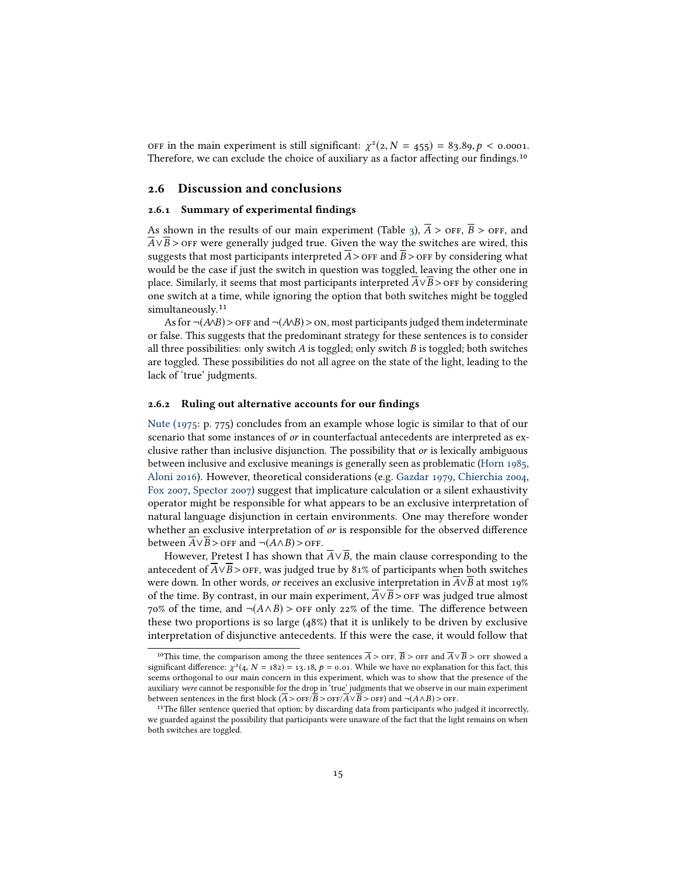OFF in the main experiment is still significant:  $\chi^2(z, N = 455) = 83.89, p < 0.0001$ .<br>Therefore, we can exclude the choice of auxiliary as a factor affecting our findings.<sup>10</sup>

#### 2.6 Discussion and conclusions

#### <span id="page-14-0"></span>2.6.1 Summary of experimental findings

As shown in the results of our main experiment (Table [3\)](#page-10-2),  $\overline{A}$  > off,  $\overline{B}$  > off, and  $\overline{A} \vee \overline{B}$  > off were generally judged true. Given the way the switches are wired, this suggests that most participants interpreted  $\overline{A}$  > OFF and  $\overline{B}$  > OFF by considering what would be the case if just the switch in question was toggled, leaving the other one in place. Similarly, it seems that most participants interpreted  $A \vee B >$  or F by considering one switch at a time, while ignoring the option that both switches might be toggled simultaneously.<sup>11</sup>

As for  $\neg(A \land B) >$  of F and  $\neg(A \land B) >$  on, most participants judged them indeterminate or false. This suggests that the predominant strategy for these sentences is to consider all three possibilities: only switch  $A$  is toggled; only switch  $B$  is toggled; both switches are toggled. These possibilities do not all agree on the state of the light, leading to the lack of 'true' judgments.

#### 2.6.2 Ruling out alternative accounts for our findings

[Nute \(1975:](#page-44-5) p. 775) concludes from an example whose logic is similar to that of our scenario that some instances of or in counterfactual antecedents are interpreted as exclusive rather than inclusive disjunction. The possibility that or is lexically ambiguous between inclusive and exclusive meanings is generally seen as problematic [\(Horn 1985,](#page-43-11) [Aloni 2016\)](#page-41-5). However, theoretical considerations (e.g. [Gazdar 1979,](#page-42-4) [Chierchia 2004,](#page-41-6) [Fox 2007,](#page-42-5) [Spector 2007\)](#page-45-3) suggest that implicature calculation or a silent exhaustivity operator might be responsible for what appears to be an exclusive interpretation of natural language disjunction in certain environments. One may therefore wonder whether an exclusive interpretation of  $or$  is responsible for the observed difference between  $\overline{A} \vee \overline{B}$  > off and  $\neg(A \wedge B)$  > off.

However, Pretest I has shown that  $\overline{A} \vee \overline{B}$ , the main clause corresponding to the antecedent of  $\overline{A} \vee \overline{B}$  > OFF, was judged true by 81% of participants when both switches were down. In other words, *or* receives an exclusive interpretation in  $\overline{A} \vee \overline{B}$  at most 19% of the time. By contrast, in our main experiment,  $\overline{A} \vee \overline{B}$  >  $\overline{OF}$  was judged true almost 70% of the time, and  $\neg$ ( $A \land B$ ) > or F only 22% of the time. The difference between these two proportions is so large (48%) that it is unlikely to be driven by exclusive interpretation of disjunctive antecedents. If this were the case, it would follow that 10

<sup>&</sup>lt;sup>10</sup>This time, the comparison among the three sentences  $\overline{A}$  >  $\overline{OFF}$ ,  $\overline{B}$  >  $\overline{OFF}$  and  $\overline{A} \vee \overline{B}$  >  $\overline{OFF}$  showed a significant difference:  $\chi^2(4, N = 182) = 13.18$ ,  $p = 0.01$ . While we have no explanation for this fact, this seems orthogonal to our main concern in this experiment, which was to show that the presence of the auxiliary were cannot be responsible for the drop in 'true' judgments that we observe in our main experiment between sentences in the first block ( $\overline{A} >$  OF $\overline{P}$ )  $\overline{A} \vee \overline{B} >$  OFF) and  $\neg$ ( $\overline{A} \wedge \overline{B}$ )  $\ge$  OFF.

<sup>&</sup>lt;sup>11</sup>The filler sentence queried that option; by discarding data from participants who judged it incorrectly, we guarded against the possibility that participants were unaware of the fact that the light remains on when both switches are toggled.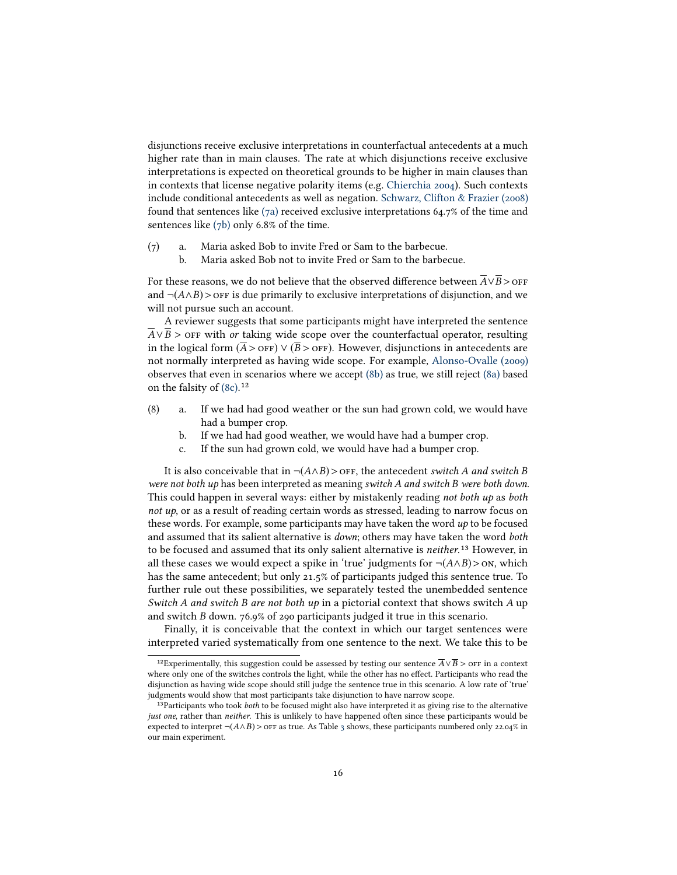disjunctions receive exclusive interpretations in counterfactual antecedents at a much higher rate than in main clauses. The rate at which disjunctions receive exclusive interpretations is expected on theoretical grounds to be higher in main clauses than in contexts that license negative polarity items (e.g. [Chierchia 2004\)](#page-41-6). Such contexts include conditional antecedents as well as negation. [Schwarz, Clifton & Frazier \(2008\)](#page-44-6) found that sentences like [\(7a\)](#page-15-0) received exclusive interpretations 64.7% of the time and sentences like [\(7b\)](#page-15-1) only 6.8% of the time.

- <span id="page-15-1"></span><span id="page-15-0"></span>(7) a. Maria asked Bob to invite Fred or Sam to the barbecue.
	- b. Maria asked Bob not to invite Fred or Sam to the barbecue.

For these reasons, we do not believe that the observed difference between  $\overline{A} \vee \overline{B} >$  OFF and  $\neg(A \land B)$  > off is due primarily to exclusive interpretations of disjunction, and we will not pursue such an account.

A reviewer suggests that some participants might have interpreted the sentence  $A \vee B$  > off with or taking wide scope over the counterfactual operator, resulting in the logical form  $(\overline{A} >$  of  $F)$   $\vee$   $(\overline{B} >$  off). However, disjunctions in antecedents are not normally interpreted as having wide scope. For example, [Alonso-Ovalle \(2009\)](#page-41-2) observes that even in scenarios where we accept [\(8b\)](#page-15-2) as true, we still reject [\(8a\)](#page-15-3) based on the falsity of [\(8c\).](#page-15-4)<sup>12</sup>

- <span id="page-15-3"></span><span id="page-15-2"></span>(8) a. If we had had good weather or the sun had grown cold, we would have had a bumper crop.
	- b. If we had had good weather, we would have had a bumper crop.
	- c. If the sun had grown cold, we would have had a bumper crop.

<span id="page-15-4"></span>It is also conceivable that in  $\neg(A \land B) >$  of  $F$ , the antecedent switch A and switch B were not both up has been interpreted as meaning switch A and switch B were both down. This could happen in several ways: either by mistakenly reading not both up as both not up, or as a result of reading certain words as stressed, leading to narrow focus on these words. For example, some participants may have taken the word  $up$  to be focused and assumed that its salient alternative is *down*; others may have taken the word *both* to be focused and assumed that its only salient alternative is *neither*.<sup>13</sup> However, in all these cases we would expect a spike in 'true' judgments for  $\neg(A \land B) > \text{ON}$ , which has the same antecedent; but only 21.5% of participants judged this sentence true. To further rule out these possibilities, we separately tested the unembedded sentence Switch A and switch B are not both  $up$  in a pictorial context that shows switch A up and switch B down. 76.9% of 290 participants judged it true in this scenario.

Finally, it is conceivable that the context in which our target sentences were interpreted varied systematically from one sentence to the next. We take this to be 12

 $^{12}$ Experimentally, this suggestion could be assessed by testing our sentence  $\overline{A}\vee\overline{B} >$  OFF in a context where only one of the switches controls the light, while the other has no effect. Participants who read the disjunction as having wide scope should still judge the sentence true in this scenario. A low rate of 'true' judgments would show that most participants take disjunction to have narrow scope. 13

 $13$ Participants who took *both* to be focused might also have interpreted it as giving rise to the alternative just one, rather than neither. This is unlikely to have happened often since these participants would be expected to interpret  $\neg(A \land B) > \text{OFF}$  as true. As Table [3](#page-10-2) shows, these participants numbered only 22.04% in our main experiment.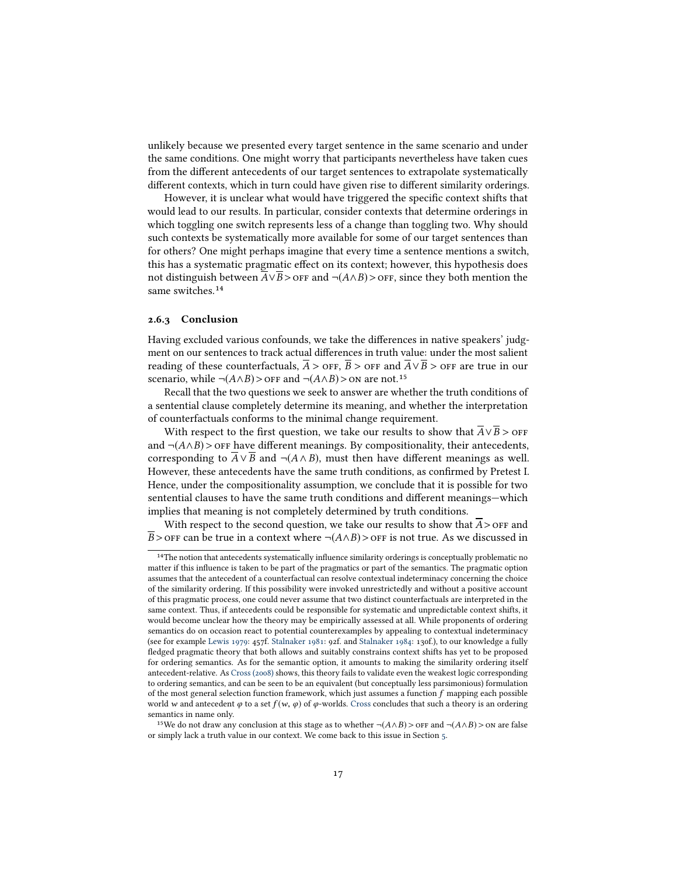unlikely because we presented every target sentence in the same scenario and under the same conditions. One might worry that participants nevertheless have taken cues from the different antecedents of our target sentences to extrapolate systematically different contexts, which in turn could have given rise to different similarity orderings.

However, it is unclear what would have triggered the specific context shifts that would lead to our results. In particular, consider contexts that determine orderings in which toggling one switch represents less of a change than toggling two. Why should such contexts be systematically more available for some of our target sentences than for others? One might perhaps imagine that every time a sentence mentions a switch, this has a systematic pragmatic effect on its context; however, this hypothesis does not distinguish between  $\overline{A} \vee \overline{B}$  > off and ¬(A∧B) > off, since they both mention the same switches.<sup>14</sup>

#### 2.6.3 Conclusion

Having excluded various confounds, we take the differences in native speakers' judgment on our sentences to track actual differences in truth value: under the most salient reading of these counterfactuals,  $\overline{A}$  > off,  $\overline{B}$  > off and  $\overline{A} \vee \overline{B}$  > off are true in our scenario, while ¬( $A \wedge B$ ) > off and ¬( $A \wedge B$ ) > on are not.<sup>15</sup><br>Recall that the two questions we seek to answ

Recall that the two questions we seek to answer are whether the truth conditions of a sentential clause completely determine its meaning, and whether the interpretation of counterfactuals conforms to the minimal change requirement.

With respect to the first question, we take our results to show that  $\overline{A} \vee \overline{B}$  > off and  $\neg(A \land B)$  > off have different meanings. By compositionality, their antecedents, corresponding to  $\overline{A} \vee \overline{B}$  and  $\neg (A \wedge B)$ , must then have different meanings as well. However, these antecedents have the same truth conditions, as confirmed by Pretest I. Hence, under the compositionality assumption, we conclude that it is possible for two sentential clauses to have the same truth conditions and different meanings—which implies that meaning is not completely determined by truth conditions.

With respect to the second question, we take our results to show that  $\overline{A}$  > off and  $\overline{B}$  > OFF can be true in a context where  $\neg(A \land B)$  > OFF is not true. As we discussed in

 $14$ The notion that antecedents systematically influence similarity orderings is conceptually problematic no matter if this influence is taken to be part of the pragmatics or part of the semantics. The pragmatic option assumes that the antecedent of a counterfactual can resolve contextual indeterminacy concerning the choice of the similarity ordering. If this possibility were invoked unrestrictedly and without a positive account of this pragmatic process, one could never assume that two distinct counterfactuals are interpreted in the same context. Thus, if antecedents could be responsible for systematic and unpredictable context shifts, it would become unclear how the theory may be empirically assessed at all. While proponents of ordering semantics do on occasion react to potential counterexamples by appealing to contextual indeterminacy (see for example [Lewis 1979:](#page-43-9) 457f. [Stalnaker 1981:](#page-45-4) 92f. and [Stalnaker 1984:](#page-45-5) 130f.), to our knowledge a fully fledged pragmatic theory that both allows and suitably constrains context shifts has yet to be proposed for ordering semantics. As for the semantic option, it amounts to making the similarity ordering itself antecedent-relative. As [Cross \(2008\)](#page-42-6) shows, this theory fails to validate even the weakest logic corresponding to ordering semantics, and can be seen to be an equivalent (but conceptually less parsimonious) formulation of the most general selection function framework, which just assumes a function  $f$  mapping each possible world w and antecedent  $\varphi$  to a set  $f(w, \varphi)$  of  $\varphi$ -worlds. [Cross](#page-42-6) concludes that such a theory is an ordering semantics in name only.

<sup>&</sup>lt;sup>15</sup>We do not draw any conclusion at this stage as to whether  $\neg(A \land B) >$  or  $F$  and  $\neg(A \land B) >$  on are false or simply lack a truth value in our context. We come back to this issue in Section [5.](#page-27-0)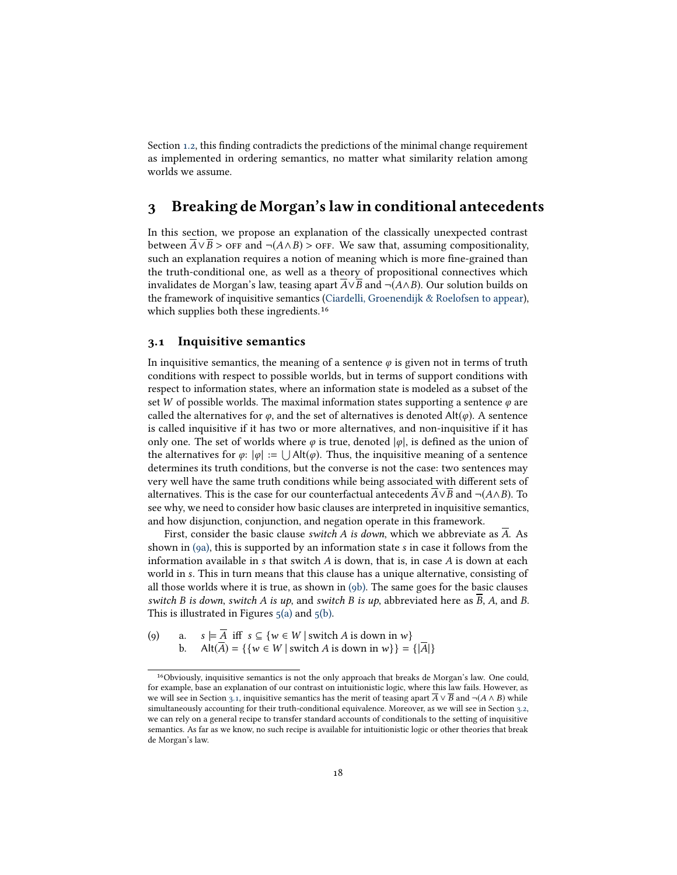Section [1.2,](#page-3-0) this finding contradicts the predictions of the minimal change requirement as implemented in ordering semantics, no matter what similarity relation among worlds we assume.

# <span id="page-17-0"></span>3 Breaking de Morgan's law in conditional antecedents

In this section, we propose an explanation of the classically unexpected contrast between  $\overline{A} \vee \overline{B}$  > off and  $\neg(A \wedge B)$  > off. We saw that, assuming compositionality, such an explanation requires a notion of meaning which is more fine-grained than the truth-conditional one, as well as a theory of propositional connectives which invalidates de Morgan's law, teasing apart  $\overline{A} \vee \overline{B}$  and  $\neg(A \wedge B)$ . Our solution builds on the framework of inquisitive semantics [\(Ciardelli, Groenendijk & Roelofsen to appear\)](#page-41-0), which supplies both these ingredients.<sup>16</sup>

## <span id="page-17-3"></span>3.1 Inquisitive semantics

16

In inquisitive semantics, the meaning of a sentence  $\varphi$  is given not in terms of truth conditions with respect to possible worlds, but in terms of support conditions with respect to information states, where an information state is modeled as a subset of the set W of possible worlds. The maximal information states supporting a sentence  $\varphi$  are called the alternatives for  $\varphi$ , and the set of alternatives is denoted Alt( $\varphi$ ). A sentence is called inquisitive if it has two or more alternatives, and non-inquisitive if it has only one. The set of worlds where  $\varphi$  is true, denoted  $|\varphi|$ , is defined as the union of the alternatives for  $\varphi: |\varphi| := \bigcup$  Alt $(\varphi)$ . Thus, the inquisitive meaning of a sentence  $\varphi$  determines its truth conditions, but the converse is not the case; two sentences may determines its truth conditions, but the converse is not the case: two sentences may very well have the same truth conditions while being associated with different sets of alternatives. This is the case for our counterfactual antecedents  $\overline{A} \vee \overline{B}$  and  $\neg$ ( $A \wedge B$ ). To see why, we need to consider how basic clauses are interpreted in inquisitive semantics, and how disjunction, conjunction, and negation operate in this framework.

First, consider the basic clause *switch*  $A$  is down, which we abbreviate as  $A$ . As shown in [\(9a\),](#page-17-1) this is supported by an information state s in case it follows from the information available in s that switch  $A$  is down, that is, in case  $A$  is down at each world in s. This in turn means that this clause has a unique alternative, consisting of all those worlds where it is true, as shown in [\(9b\).](#page-17-2) The same goes for the basic clauses switch B is down, switch A is up, and switch B is up, abbreviated here as  $\overline{B}$ , A, and B. This is illustrated in Figures  $5(a)$  and  $5(b)$ .

<span id="page-17-2"></span><span id="page-17-1"></span>(9) a.  $s \models \overline{A}$  iff  $s \subseteq \{w \in W \mid \text{switch } A \text{ is down in } w\}$ <br>b.  $\text{Alt}(\overline{A}) = \{\{w \in W \mid \text{switch } A \text{ is down in } w\}\}$  $\mathsf{Alt}(\overline{A}) = \{ \{ w \in W \mid \text{switch } A \text{ is down in } w \} \} = \{ |\overline{A}| \}$ 

<sup>&</sup>lt;sup>16</sup>Obviously, inquisitive semantics is not the only approach that breaks de Morgan's law. One could, for example, base an explanation of our contrast on intuitionistic logic, where this law fails. However, as we will see in Section [3.1,](#page-17-3) inquisitive semantics has the merit of teasing apart  $\overline{A} \vee \overline{B}$  and  $\neg(A \wedge B)$  while simultaneously accounting for their truth-conditional equivalence. Moreover, as we will see in Section [3.2,](#page-19-0) we can rely on a general recipe to transfer standard accounts of conditionals to the setting of inquisitive semantics. As far as we know, no such recipe is available for intuitionistic logic or other theories that break de Morgan's law.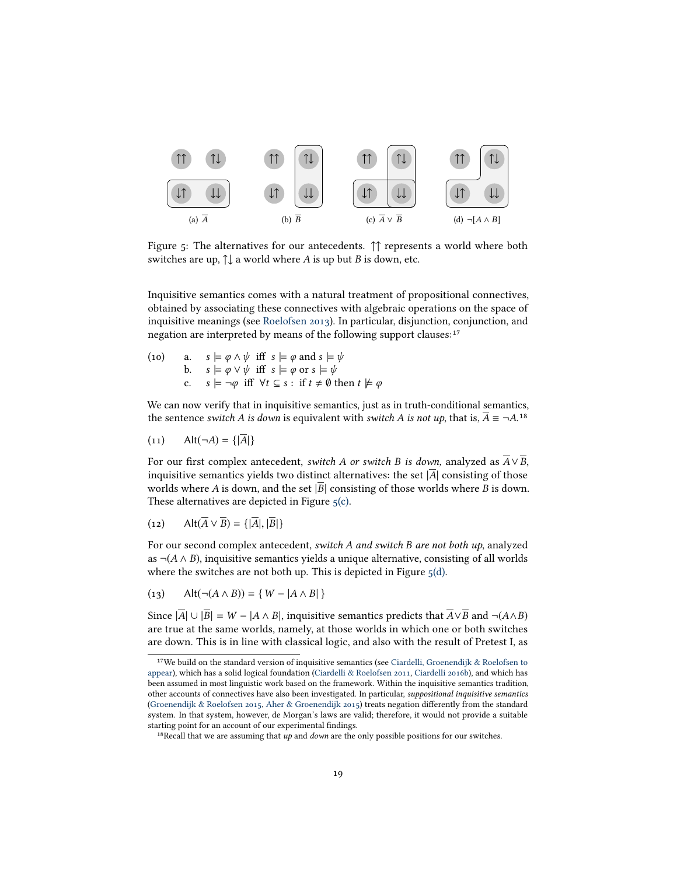<span id="page-18-3"></span><span id="page-18-2"></span><span id="page-18-0"></span>

<span id="page-18-1"></span>Figure 5: The alternatives for our antecedents. ↑↑ represents a world where both switches are up,  $\uparrow\downarrow$  a world where A is up but B is down, etc.

Inquisitive semantics comes with a natural treatment of propositional connectives, obtained by associating these connectives with algebraic operations on the space of inquisitive meanings (see [Roelofsen 2013\)](#page-44-7). In particular, disjunction, conjunction, and negation are interpreted by means of the following support clauses:<sup>17</sup>

(10) a.  $s \models \varphi \land \psi$  iff  $s \models \varphi$  and  $s \models \psi$ <br>b.  $s \models \varphi \lor \psi$  iff  $s \models \varphi$  or  $s \models \psi$ b.  $s \models \varphi \lor \psi$  iff  $s \models \varphi$  or  $s \models \psi$ <br>c.  $s \models \neg \varphi$  iff  $\forall t \subseteq s : \text{if } t \neq \emptyset$  th  $s \models \neg \varphi$  iff  $\forall t \subseteq s : \text{ if } t \neq \emptyset \text{ then } t \not\models \varphi$ 

We can now verify that in inquisitive semantics, just as in truth-conditional semantics, the sentence switch A is down is equivalent with switch A is not up, that is,  $\overline{A} = \neg A$ .<sup>18</sup>

$$
(11) \qquad \text{Alt}(\neg A) = \{|\overline{A}|\}
$$

For our first complex antecedent, *switch A or switch B is down*, analyzed as  $\overline{A} \vee \overline{B}$ , inquisitive semantics yields two distinct alternatives: the set  $|\overline{A}|$  consisting of those worlds where A is down, and the set  $|\overline{B}|$  consisting of those worlds where B is down. These alternatives are depicted in Figure  $5(c)$ .

$$
(12) \qquad \text{Alt}(\overline{A} \vee \overline{B}) = \{|\overline{A}|, |\overline{B}|\}
$$

For our second complex antecedent, switch A and switch B are not both up, analyzed as  $\neg$ (*A* ∧ *B*), inquisitive semantics yields a unique alternative, consisting of all worlds where the switches are not both up. This is depicted in Figure  $5(d)$ .

$$
(13) \qquad \text{Alt}(\neg(A \land B)) = \{ \ W - |A \land B| \}
$$

Since  $|\overline{A}| \cup |\overline{B}| = W - |A \wedge B|$ , inquisitive semantics predicts that  $\overline{A} \vee \overline{B}$  and  $\neg(A \wedge B)$ are true at the same worlds, namely, at those worlds in which one or both switches are down. This is in line with classical logic, and also with the result of Pretest I, as 17

<sup>&</sup>lt;sup>17</sup>We build on the standard version of inquisitive semantics (see [Ciardelli, Groenendijk & Roelofsen to](#page-41-0) [appear\)](#page-41-0), which has a solid logical foundation [\(Ciardelli & Roelofsen 2011,](#page-42-7) [Ciardelli 2016b\)](#page-41-7), and which has been assumed in most linguistic work based on the framework. Within the inquisitive semantics tradition, other accounts of connectives have also been investigated. In particular, suppositional inquisitive semantics [\(Groenendijk & Roelofsen 2015,](#page-42-8) [Aher & Groenendijk 2015\)](#page-41-8) treats negation differently from the standard system. In that system, however, de Morgan's laws are valid; therefore, it would not provide a suitable starting point for an account of our experimental findings.

<sup>&</sup>lt;sup>18</sup>Recall that we are assuming that  $up$  and *down* are the only possible positions for our switches.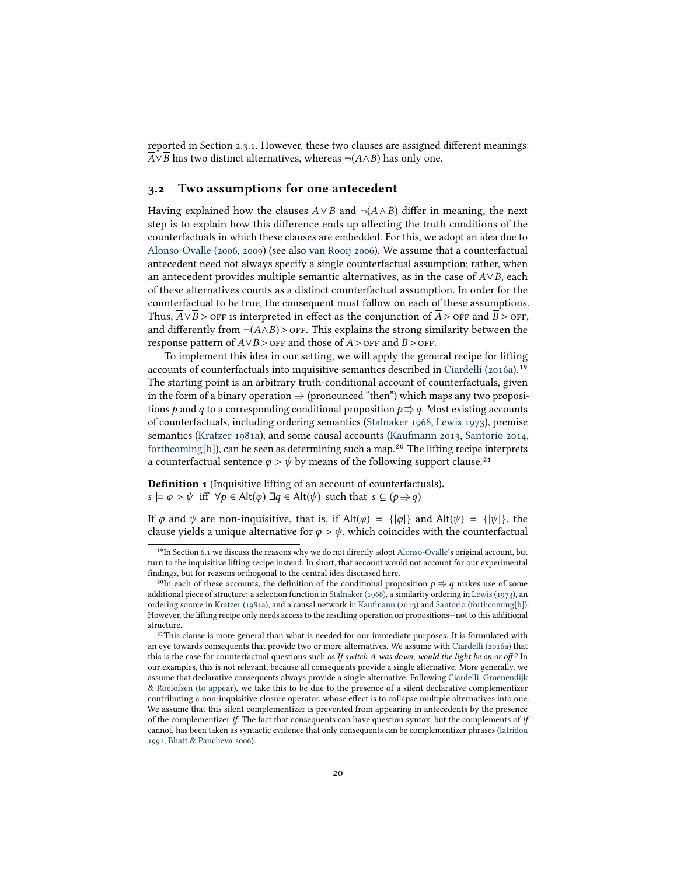reported in Section  $2.3.1$ . However, these two clauses are assigned different meanings:  $\overline{A} \vee \overline{B}$  has two distinct alternatives, whereas ¬( $A \wedge B$ ) has only one.

#### <span id="page-19-0"></span>3.2 Two assumptions for one antecedent

Having explained how the clauses  $\overline{A} \vee \overline{B}$  and  $\neg(A \wedge B)$  differ in meaning, the next step is to explain how this difference ends up affecting the truth conditions of the counterfactuals in which these clauses are embedded. For this, we adopt an idea due to [Alonso-Ovalle \(2006,](#page-41-1) [2009\)](#page-41-2) (see also [van Rooij 2006\)](#page-44-8). We assume that a counterfactual antecedent need not always specify a single counterfactual assumption; rather, when an antecedent provides multiple semantic alternatives, as in the case of A∨B, each of these alternatives counts as a distinct counterfactual assumption. In order for the counterfactual to be true, the consequent must follow on each of these assumptions. Thus,  $\overline{A} \vee \overline{B}$  > off is interpreted in effect as the conjunction of  $\overline{A}$  > off and  $\overline{B}$  > off, and differently from  $\neg(A \wedge B) >$  off. This explains the strong similarity between the response pattern of  $\overline{A} \vee \overline{B}$  > OFF and those of  $\overline{A}$  > OFF and  $\overline{B}$  > OFF.

To implement this idea in our setting, we will apply the general recipe for lifting accounts of counterfactuals into inquisitive semantics described in [Ciardelli \(2016a\).](#page-41-9)<sup>19</sup> The starting point is an arbitrary truth-conditional account of counterfactuals, given in the form of a binary operation  $\Rightarrow$  (pronounced "then") which maps any two propositions p and q to a corresponding conditional proposition  $p \Rightarrow q$ . Most existing accounts of counterfactuals, including ordering semantics [\(Stalnaker 1968,](#page-45-0) [Lewis 1973\)](#page-43-1), premise semantics [\(Kratzer 1981a\)](#page-43-2), and some causal accounts [\(Kaufmann 2013,](#page-43-12) [Santorio 2014,](#page-44-9) semantics (Kratzer 1981a), and some causal accounts (Kaufmann 2013, Santorio 2014, [forthcoming\[b\]\)](#page-44-10), can be seen as determining such a map.<sup>20</sup> The lifting recipe interprets forthcoming[b]), can be seen as determining such a map.<sup>20</sup> The lifting recipe ir a counterfactual sentence  $\varphi > \psi$  by means of the following support clause.<sup>21</sup>

**Definition 1** (Inquisitive lifting of an account of counterfactuals).  $s \models \varphi > \psi$  iff  $\forall p \in \text{Alt}(\varphi) \exists q \in \text{Alt}(\psi)$  such that  $s \subseteq (p \Rightarrow q)$ 

If  $\varphi$  and  $\psi$  are non-inquisitive, that is, if Alt( $\varphi$ ) = { $|\varphi|$ } and Alt( $\psi$ ) = { $|\psi|$ }, the clause yields a unique alternative for  $\varphi > \psi$ , which coincides with the counterfactual

<sup>&</sup>lt;sup>19</sup>In Section [6.1](#page-31-0) we discuss the reasons why we do not directly adopt [Alonso-Ovalle'](#page-41-2)s original account, but turn to the inquisitive lifting recipe instead. In short, that account would not account for our experimental findings, but for reasons orthogonal to the central idea discussed here.

<sup>&</sup>lt;sup>20</sup>In each of these accounts, the definition of the conditional proposition  $p \Rightarrow q$  makes use of some additional piece of structure: a selection function in [Stalnaker \(1968\),](#page-45-0) a similarity ordering in [Lewis \(1973\),](#page-43-1) an ordering source in [Kratzer \(1981a\),](#page-43-2) and a causal network in [Kaufmann \(2013\)](#page-43-12) and [Santorio \(forthcoming\[b\]\).](#page-44-10) However, the lifting recipe only needs access to the resulting operation on propositions—not to this additional structure.

 $2<sup>21</sup>$ This clause is more general than what is needed for our immediate purposes. It is formulated with an eye towards consequents that provide two or more alternatives. We assume with [Ciardelli \(2016a\)](#page-41-9) that this is the case for counterfactual questions such as If switch A was down, would the light be on or off? In our examples, this is not relevant, because all consequents provide a single alternative. More generally, we assume that declarative consequents always provide a single alternative. Following [Ciardelli, Groenendijk](#page-41-0) [& Roelofsen \(to appear\),](#page-41-0) we take this to be due to the presence of a silent declarative complementizer contributing a non-inquisitive closure operator, whose effect is to collapse multiple alternatives into one. We assume that this silent complementizer is prevented from appearing in antecedents by the presence of the complementizer if. The fact that consequents can have question syntax, but the complements of if cannot, has been taken as syntactic evidence that only consequents can be complementizer phrases [\(Iatridou](#page-43-13) [1991,](#page-43-13) [Bhatt & Pancheva 2006\)](#page-41-10).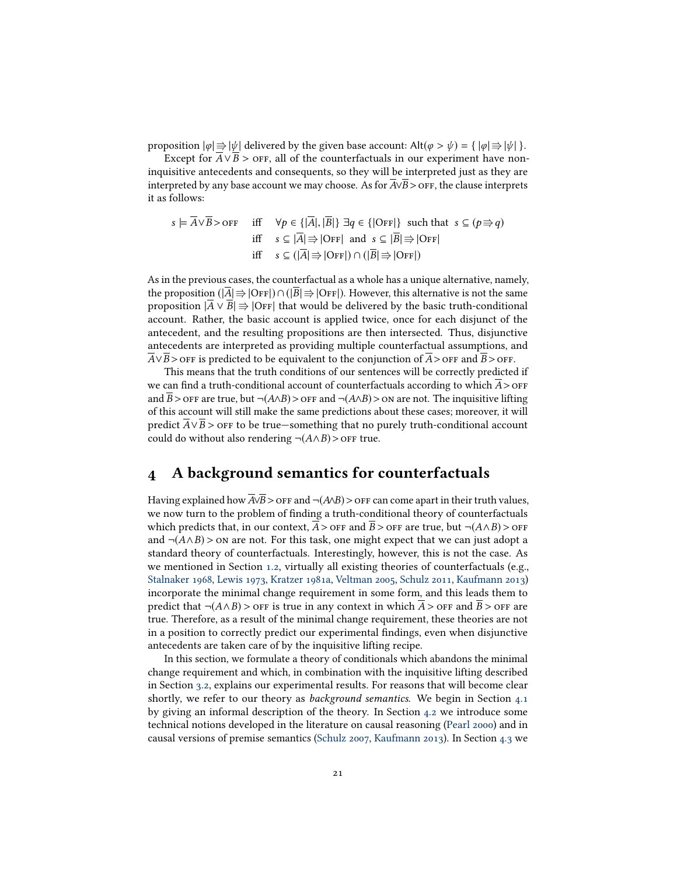proposition  $|\varphi| \Rightarrow |\psi|$  delivered by the given base account: Alt $(\varphi > \psi) = {\{|\varphi| \Rightarrow |\psi| \}}$ .

Except for  $A \vee B$  > orr, all of the counterfactuals in our experiment have noninquisitive antecedents and consequents, so they will be interpreted just as they are interpreted by any base account we may choose. As for A∨B >off, the clause interprets it as follows:

$$
s \models \overline{A} \lor \overline{B} > \text{OFF} \quad \text{iff} \quad \forall p \in \{|\overline{A}|, |\overline{B}|\} \exists q \in \{|\text{OFF}|\} \text{ such that } s \subseteq (p \Rightarrow q)
$$
\n
$$
\text{iff} \quad s \subseteq |\overline{A}| \Rightarrow |\text{OFF}| \text{ and } s \subseteq |\overline{B}| \Rightarrow |\text{OFF}|
$$
\n
$$
\text{iff} \quad s \subseteq (|\overline{A}| \Rightarrow |\text{OFF}|) \cap (|\overline{B}| \Rightarrow |\text{OFF}|)
$$

As in the previous cases, the counterfactual as a whole has a unique alternative, namely, the proposition ( $|\overline{A}|\Rightarrow|\overline{OFF}| \cap (|\overline{B}|\Rightarrow|\overline{OFF}|)$ ). However, this alternative is not the same proposition  $|A \vee B| \Rightarrow |OFF|$  that would be delivered by the basic truth-conditional account. Rather, the basic account is applied twice, once for each disjunct of the antecedent, and the resulting propositions are then intersected. Thus, disjunctive antecedents are interpreted as providing multiple counterfactual assumptions, and  $\overline{A} \vee \overline{B}$  > off is predicted to be equivalent to the conjunction of  $\overline{A}$  > off and  $\overline{B}$  > off.

This means that the truth conditions of our sentences will be correctly predicted if we can find a truth-conditional account of counterfactuals according to which  $\overline{A}$  >  $\overline{O}$ FF and  $\overline{B}$  > OFF are true, but  $\neg(A \wedge B)$  > OFF and  $\neg(A \wedge B)$  > ON are not. The inquisitive lifting of this account will still make the same predictions about these cases; moreover, it will predict  $\overline{A} \vee \overline{B}$  > off to be true—something that no purely truth-conditional account could do without also rendering  $\neg(A \land B)$  > off true.

# <span id="page-20-0"></span>4 A background semantics for counterfactuals

Having explained how  $\overline{A} \vee \overline{B}$  > OFF and  $\neg(A \wedge B)$  > OFF can come apart in their truth values, we now turn to the problem of finding a truth-conditional theory of counterfactuals which predicts that, in our context,  $\overline{A}$  > off and  $\overline{B}$  > off are true, but ¬( $A \wedge B$ ) > off and  $\neg(A \land B)$  > on are not. For this task, one might expect that we can just adopt a standard theory of counterfactuals. Interestingly, however, this is not the case. As we mentioned in Section [1.2,](#page-3-0) virtually all existing theories of counterfactuals (e.g., [Stalnaker 1968,](#page-45-0) [Lewis 1973,](#page-43-1) [Kratzer 1981a,](#page-43-2) [Veltman 2005,](#page-45-1) [Schulz 2011,](#page-44-11) [Kaufmann 2013\)](#page-43-12) incorporate the minimal change requirement in some form, and this leads them to predict that  $\neg(A \land B) >$  off is true in any context in which  $A >$  off and  $B >$  off are true. Therefore, as a result of the minimal change requirement, these theories are not in a position to correctly predict our experimental findings, even when disjunctive antecedents are taken care of by the inquisitive lifting recipe.

In this section, we formulate a theory of conditionals which abandons the minimal change requirement and which, in combination with the inquisitive lifting described in Section [3.2,](#page-19-0) explains our experimental results. For reasons that will become clear shortly, we refer to our theory as *background semantics*. We begin in Section [4.1](#page-21-0) by giving an informal description of the theory. In Section [4.2](#page-22-0) we introduce some technical notions developed in the literature on causal reasoning [\(Pearl 2000\)](#page-44-1) and in causal versions of premise semantics [\(Schulz 2007,](#page-44-3) [Kaufmann 2013\)](#page-43-12). In Section [4.3](#page-24-0) we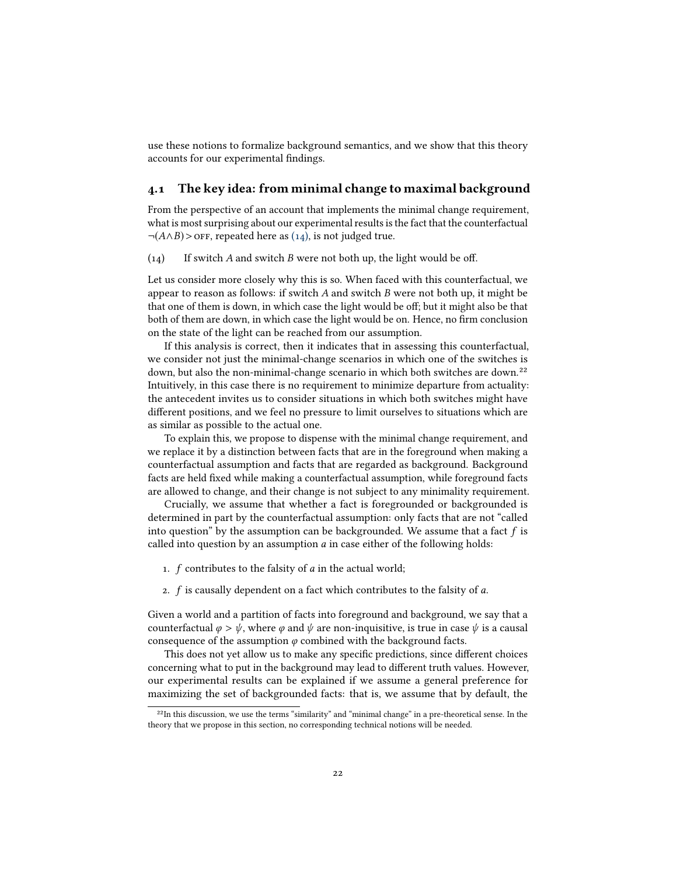use these notions to formalize background semantics, and we show that this theory accounts for our experimental findings.

### <span id="page-21-0"></span>4.1 The key idea: from minimal change to maximal background

From the perspective of an account that implements the minimal change requirement, what is most surprising about our experimental results is the fact that the counterfactual  $\neg(A \land B)$  > OFF, repeated here as [\(14\),](#page-21-1) is not judged true.

<span id="page-21-1"></span> $(14)$  If switch A and switch B were not both up, the light would be off.

Let us consider more closely why this is so. When faced with this counterfactual, we appear to reason as follows: if switch  $A$  and switch  $B$  were not both up, it might be that one of them is down, in which case the light would be off; but it might also be that both of them are down, in which case the light would be on. Hence, no firm conclusion on the state of the light can be reached from our assumption.

If this analysis is correct, then it indicates that in assessing this counterfactual, we consider not just the minimal-change scenarios in which one of the switches is down, but also the non-minimal-change scenario in which both switches are down.<sup>22</sup> Intuitively, in this case there is no requirement to minimize departure from actuality: the antecedent invites us to consider situations in which both switches might have different positions, and we feel no pressure to limit ourselves to situations which are as similar as possible to the actual one.

To explain this, we propose to dispense with the minimal change requirement, and we replace it by a distinction between facts that are in the foreground when making a counterfactual assumption and facts that are regarded as background. Background facts are held fixed while making a counterfactual assumption, while foreground facts are allowed to change, and their change is not subject to any minimality requirement.

Crucially, we assume that whether a fact is foregrounded or backgrounded is determined in part by the counterfactual assumption: only facts that are not "called into question" by the assumption can be backgrounded. We assume that a fact  $f$  is called into question by an assumption  $a$  in case either of the following holds:

- 1. f contributes to the falsity of a in the actual world;
- 2.  $f$  is causally dependent on a fact which contributes to the falsity of  $a$ .

Given a world and a partition of facts into foreground and background, we say that a counterfactual  $\varphi > \psi$ , where  $\varphi$  and  $\psi$  are non-inquisitive, is true in case  $\psi$  is a causal consequence of the assumption  $\varphi$  combined with the background facts.

This does not yet allow us to make any specific predictions, since different choices concerning what to put in the background may lead to different truth values. However, our experimental results can be explained if we assume a general preference for maximizing the set of backgrounded facts: that is, we assume that by default, the 22

 $22$ In this discussion, we use the terms "similarity" and "minimal change" in a pre-theoretical sense. In the theory that we propose in this section, no corresponding technical notions will be needed.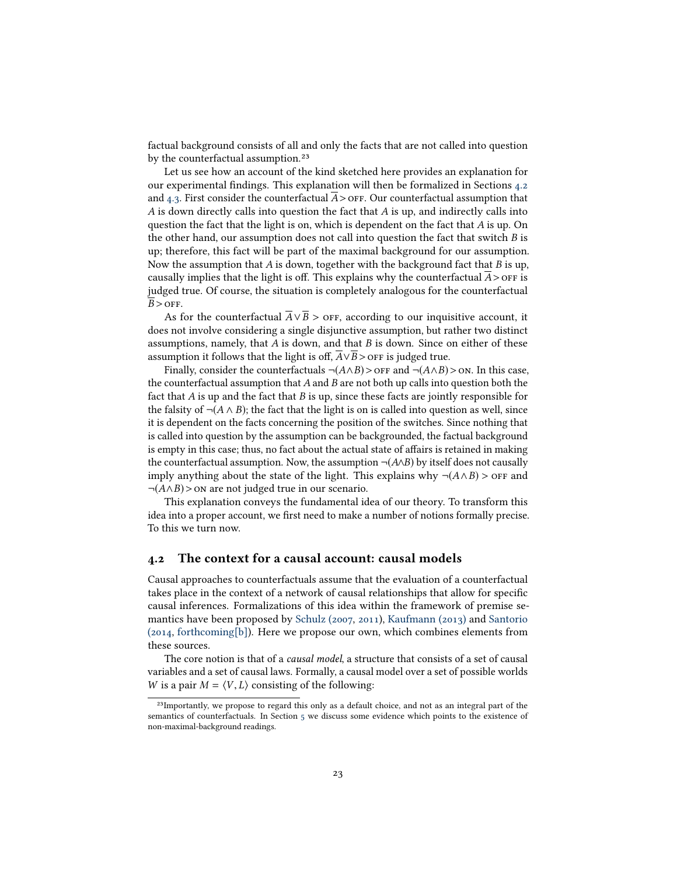factual background consists of all and only the facts that are not called into question by the counterfactual assumption.<sup>23</sup>

Let us see how an account of the kind sketched here provides an explanation for our experimental findings. This explanation will then be formalized in Sections [4.2](#page-22-0) and  $4.3$ . First consider the counterfactual  $A >$  off. Our counterfactual assumption that  $A$  is down directly calls into question the fact that  $A$  is up, and indirectly calls into question the fact that the light is on, which is dependent on the fact that A is up. On the other hand, our assumption does not call into question the fact that switch B is up; therefore, this fact will be part of the maximal background for our assumption. Now the assumption that A is down, together with the background fact that B is up, causally implies that the light is off. This explains why the counterfactual  $\overline{A}$  > off is judged true. Of course, the situation is completely analogous for the counterfactual  $\overline{B} >$  OFF.

As for the counterfactual  $\overline{A} \vee \overline{B} >$  orf, according to our inquisitive account, it does not involve considering a single disjunctive assumption, but rather two distinct assumptions, namely, that  $A$  is down, and that  $B$  is down. Since on either of these assumption it follows that the light is off,  $A \vee B$  > ore is judged true.

Finally, consider the counterfactuals  $\neg(A \land B) >$  of and  $\neg(A \land B) >$  on. In this case, the counterfactual assumption that  $A$  and  $B$  are not both up calls into question both the fact that  $A$  is up and the fact that  $B$  is up, since these facts are jointly responsible for the falsity of  $\neg(A \land B)$ ; the fact that the light is on is called into question as well, since it is dependent on the facts concerning the position of the switches. Since nothing that is called into question by the assumption can be backgrounded, the factual background is empty in this case; thus, no fact about the actual state of affairs is retained in making the counterfactual assumption. Now, the assumption  $\neg(A \wedge B)$  by itself does not causally imply anything about the state of the light. This explains why  $\neg(A \land B) >$  or and  $\neg(A \land B)$  > on are not judged true in our scenario.

This explanation conveys the fundamental idea of our theory. To transform this idea into a proper account, we first need to make a number of notions formally precise. To this we turn now.

### <span id="page-22-0"></span>4.2 The context for a causal account: causal models

Causal approaches to counterfactuals assume that the evaluation of a counterfactual takes place in the context of a network of causal relationships that allow for specific causal inferences. Formalizations of this idea within the framework of premise semantics have been proposed by [Schulz \(2007,](#page-44-3) [2011\)](#page-44-11), [Kaufmann \(2013\)](#page-43-12) and [Santorio](#page-44-9) [\(2014,](#page-44-9) [forthcoming\[b\]\)](#page-44-10). Here we propose our own, which combines elements from these sources.

The core notion is that of a *causal model*, a structure that consists of a set of causal variables and a set of causal laws. Formally, a causal model over a set of possible worlds W is a pair  $M = \langle V, L \rangle$  consisting of the following:

<sup>&</sup>lt;sup>23</sup>Importantly, we propose to regard this only as a default choice, and not as an integral part of the semantics of counterfactuals. In Section [5](#page-27-0) we discuss some evidence which points to the existence of non-maximal-background readings.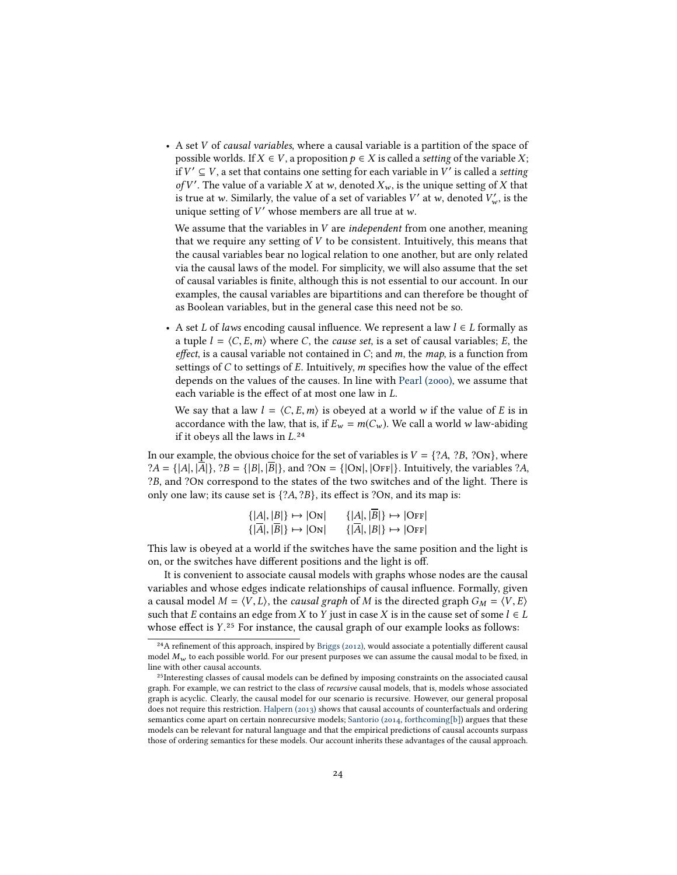• A set V of causal variables, where a causal variable is a partition of the space of possible worlds. If  $X \in V$ , a proposition  $p \in X$  is called a setting of the variable X; if  $V' \subseteq V$ , a set that contains one setting for each variable in  $V'$  is called a *setting*<br>of  $V'$ . The value of a variable  $X$  at  $w$  denoted  $Y$  is the unique setting of  $Y$  that of V'. The value of a variable X at w, denoted  $X_w$ , is the unique setting of X that<br>is true at w. Similarly, the value of a set of variables  $V'$  at w denoted  $V'$ , is the is true at w. Similarly, the value of a set of variables  $V'$  at w, denoted  $V'_w$ , is the unique setting of  $V'$  whose members are all true at w unique setting of  $V'$  whose members are all true at w.

We assume that the variables in  $V$  are *independent* from one another, meaning that we require any setting of  $V$  to be consistent. Intuitively, this means that the causal variables bear no logical relation to one another, but are only related via the causal laws of the model. For simplicity, we will also assume that the set of causal variables is finite, although this is not essential to our account. In our examples, the causal variables are bipartitions and can therefore be thought of as Boolean variables, but in the general case this need not be so.

• A set L of laws encoding causal influence. We represent a law  $l \in L$  formally as a tuple  $l = \langle C, E, m \rangle$  where C, the cause set, is a set of causal variables; E, the effect, is a causal variable not contained in  $C$ ; and  $m$ , the map, is a function from settings of C to settings of E. Intuitively, m specifies how the value of the effect depends on the values of the causes. In line with [Pearl \(2000\),](#page-44-1) we assume that each variable is the effect of at most one law in L.

We say that a law  $l = \langle C, E, m \rangle$  is obeyed at a world w if the value of E is in accordance with the law, that is, if  $E_w = m(C_w)$ . We call a world w law-abiding if it obeys all the laws in  $L^{24}$ 

In our example, the obvious choice for the set of variables is  $V = \{?A, ?B, ?ON\}$ , where  $?A = \{|A|, |\overline{A}|\}, ?B = \{|B|, |\overline{B}|\},$  and  $?On = \{|On|, |OFF|\}.$  Intuitively, the variables  $?A$ , ?B, and ?On correspond to the states of the two switches and of the light. There is only one law; its cause set is  $\{?A, ?B\}$ , its effect is  $?On$ , and its map is:

| $\{ A ,  B \} \mapsto  ON $ | $\{ A ,  B \} \mapsto  OFF $ |
|-----------------------------|------------------------------|
| $\{ A ,  B \} \mapsto  ON $ | $\{ A ,  B \} \mapsto  OFF $ |
|                             |                              |

This law is obeyed at a world if the switches have the same position and the light is on, or the switches have different positions and the light is off.

It is convenient to associate causal models with graphs whose nodes are the causal variables and whose edges indicate relationships of causal influence. Formally, given a causal model  $M = \langle V, L \rangle$ , the *causal graph* of M is the directed graph  $G_M = \langle V, E \rangle$ such that E contains an edge from X to Y just in case X is in the cause set of some  $l \in L$ <br>whose effect is Y.<sup>25</sup> For instance, the causal graph of our example looks as follows: whose effect is Y.<sup>25</sup> For instance, the causal graph of our example looks as follows:

<sup>&</sup>lt;sup>24</sup>A refinement of this approach, inspired by [Briggs \(2012\),](#page-41-3) would associate a potentially different causal model  $M_w$  to each possible world. For our present purposes we can assume the causal modal to be fixed, in line with other causal accounts.

<sup>&</sup>lt;sup>25</sup>Interesting classes of causal models can be defined by imposing constraints on the associated causal graph. For example, we can restrict to the class of recursive causal models, that is, models whose associated graph is acyclic. Clearly, the causal model for our scenario is recursive. However, our general proposal does not require this restriction. [Halpern \(2013\)](#page-43-14) shows that causal accounts of counterfactuals and ordering semantics come apart on certain nonrecursive models; [Santorio \(2014,](#page-44-9) [forthcoming\[b\]\)](#page-44-10) argues that these models can be relevant for natural language and that the empirical predictions of causal accounts surpass those of ordering semantics for these models. Our account inherits these advantages of the causal approach.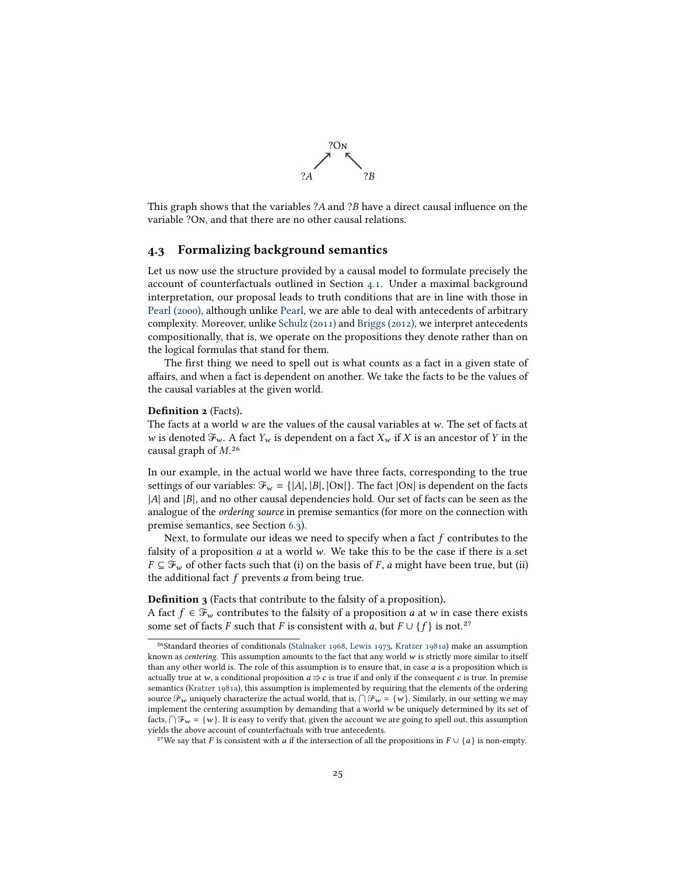

This graph shows that the variables  $2A$  and  $2B$  have a direct causal influence on the variable ?On, and that there are no other causal relations.

### <span id="page-24-0"></span>4.3 Formalizing background semantics

Let us now use the structure provided by a causal model to formulate precisely the account of counterfactuals outlined in Section [4.1.](#page-21-0) Under a maximal background interpretation, our proposal leads to truth conditions that are in line with those in [Pearl \(2000\),](#page-44-1) although unlike [Pearl,](#page-44-1) we are able to deal with antecedents of arbitrary complexity. Moreover, unlike [Schulz \(2011\)](#page-44-11) and [Briggs \(2012\),](#page-41-3) we interpret antecedents compositionally, that is, we operate on the propositions they denote rather than on the logical formulas that stand for them.

The first thing we need to spell out is what counts as a fact in a given state of affairs, and when a fact is dependent on another. We take the facts to be the values of the causal variables at the given world.

#### Definition 2 (Facts).

The facts at a world w are the values of the causal variables at w. The set of facts at  $w$  is denoted  $\mathcal{F}_w$  . A fact  $Y_w$  is dependent on a fact  $X_w$  if  $X$  is an ancestor of  $Y$  in the causal graph of  $M^{26}$ 

In our example, in the actual world we have three facts, corresponding to the true settings of our variables:  $\mathcal{F}_w = \{|A|, |B|, |\text{On}|\}.$  The fact  $|\text{On}|$  is dependent on the facts |A| and |B|, and no other causal dependencies hold. Our set of facts can be seen as the analogue of the ordering source in premise semantics (for more on the connection with premise semantics, see Section [6.3\)](#page-33-0).

Next, to formulate our ideas we need to specify when a fact  $f$  contributes to the falsity of a proposition  $a$  at a world  $w$ . We take this to be the case if there is a set  $F \subseteq \mathcal{F}_w$  of other facts such that (i) on the basis of F, a might have been true, but (ii) the additional fact  $f$  prevents  $a$  from being true.

Definition 3 (Facts that contribute to the falsity of a proposition).

A fact  $f \in \mathcal{F}_w$  contributes to the falsity of a proposition *a* at *w* in case there exists some set of facts *F* such that *F* is consistent with *a*, but  $F \cup \{f\}$  is not.<sup>27</sup> some set of facts F such that F is consistent with a, but  $F \cup \{f\}$  is not.<sup>27</sup>

<sup>&</sup>lt;sup>26</sup>Standard theories of conditionals [\(Stalnaker 1968,](#page-45-0) [Lewis 1973,](#page-43-1) [Kratzer 1981a\)](#page-43-2) make an assumption known as centering. This assumption amounts to the fact that any world w is strictly more similar to itself than any other world is. The role of this assumption is to ensure that, in case  $a$  is a proposition which is actually true at w, a conditional proposition  $a \Rightarrow c$  is true if and only if the consequent c is true. In premise semantics [\(Kratzer 1981a\)](#page-43-2), this assumption is implemented by requiring that the elements of the ordering source  $\mathcal{P}_w$  uniquely characterize the actual world, that is,  $\bigcap \mathcal{P}_w = \{w\}$ . Similarly, in our setting we may<br>implement the centering assumption by demanding that a world w be uniquely determined by its set of implement the centering assumption by demanding that a world w be uniquely determined by its set of facts,  $\bigcap \mathcal{F}_w = \{w\}$ . It is easy to verify that, given the account we are going to spell out, this assumption vields the above account of counterfactuals with true antecedents  $yields the above account of counterfactuals with true antecedents.$ 

<sup>&</sup>lt;sup>27</sup>We say that F is consistent with a if the intersection of all the propositions in  $F \cup \{a\}$  is non-empty.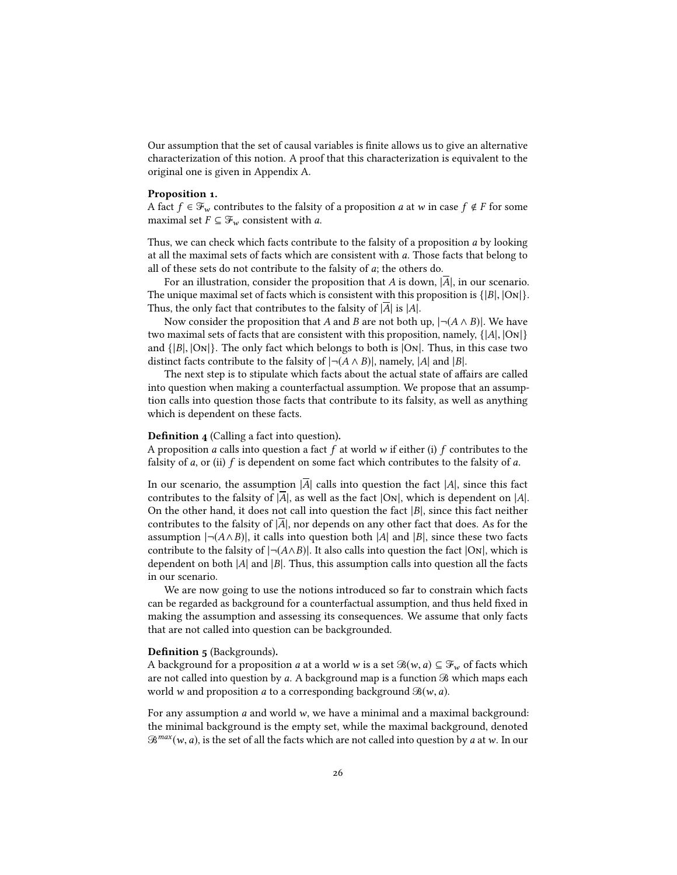Our assumption that the set of causal variables is finite allows us to give an alternative characterization of this notion. A proof that this characterization is equivalent to the original one is given in Appendix A.

#### <span id="page-25-1"></span>Proposition 1.

A fact  $f \in \mathcal{F}_w$  contributes to the falsity of a proposition a at w in case  $f \notin F$  for some maximal set  $F \subseteq \mathcal{F}_w$  consistent with a.

Thus, we can check which facts contribute to the falsity of a proposition  $a$  by looking at all the maximal sets of facts which are consistent with a. Those facts that belong to all of these sets do not contribute to the falsity of a; the others do.

For an illustration, consider the proposition that A is down,  $|\overline{A}|$ , in our scenario. The unique maximal set of facts which is consistent with this proposition is  $\{|B|, |On|\}$ . Thus, the only fact that contributes to the falsity of  $|\overline{A}|$  is  $|A|$ .

Now consider the proposition that A and B are not both up,  $\lvert \neg (A \land B) \rvert$ . We have two maximal sets of facts that are consistent with this proposition, namely,  $\{|A|, |On|\}$ and  $\{|B|, |ON|\}$ . The only fact which belongs to both is  $|ON|$ . Thus, in this case two distinct facts contribute to the falsity of  $|\neg(A \land B)|$ , namely, |A| and |B|.

The next step is to stipulate which facts about the actual state of affairs are called into question when making a counterfactual assumption. We propose that an assumption calls into question those facts that contribute to its falsity, as well as anything which is dependent on these facts.

#### Definition 4 (Calling a fact into question).

A proposition a calls into question a fact f at world w if either (i) f contributes to the falsity of  $a$ , or (ii)  $f$  is dependent on some fact which contributes to the falsity of  $a$ .

In our scenario, the assumption  $|\overline{A}|$  calls into question the fact  $|A|$ , since this fact contributes to the falsity of  $\overline{A}$ , as well as the fact  $|O_N|$ , which is dependent on  $|A|$ . On the other hand, it does not call into question the fact  $|B|$ , since this fact neither contributes to the falsity of  $\overline{A}$ , nor depends on any other fact that does. As for the assumption  $\vert \neg (A \land B) \vert$ , it calls into question both  $\vert A \vert$  and  $\vert B \vert$ , since these two facts contribute to the falsity of  $\lceil \neg(A \land B) \rceil$ . It also calls into question the fact  $\lceil \text{On} \rceil$ , which is dependent on both  $|A|$  and  $|B|$ . Thus, this assumption calls into question all the facts in our scenario.

We are now going to use the notions introduced so far to constrain which facts can be regarded as background for a counterfactual assumption, and thus held fixed in making the assumption and assessing its consequences. We assume that only facts that are not called into question can be backgrounded.

#### <span id="page-25-0"></span>Definition 5 (Backgrounds).

A background for a proposition *a* at a world *w* is a set  $\mathcal{B}(w, a) \subseteq \mathcal{F}_w$  of facts which are not called into question by a. A background map is a function  $\mathcal{B}$  which maps each world w and proposition *a* to a corresponding background  $\mathcal{B}(w, a)$ .

For any assumption  $a$  and world  $w$ , we have a minimal and a maximal background: the minimal background is the empty set, while the maximal background, denoted  $\mathcal{B}^{max}(w, a)$ , is the set of all the facts which are not called into question by a at w. In our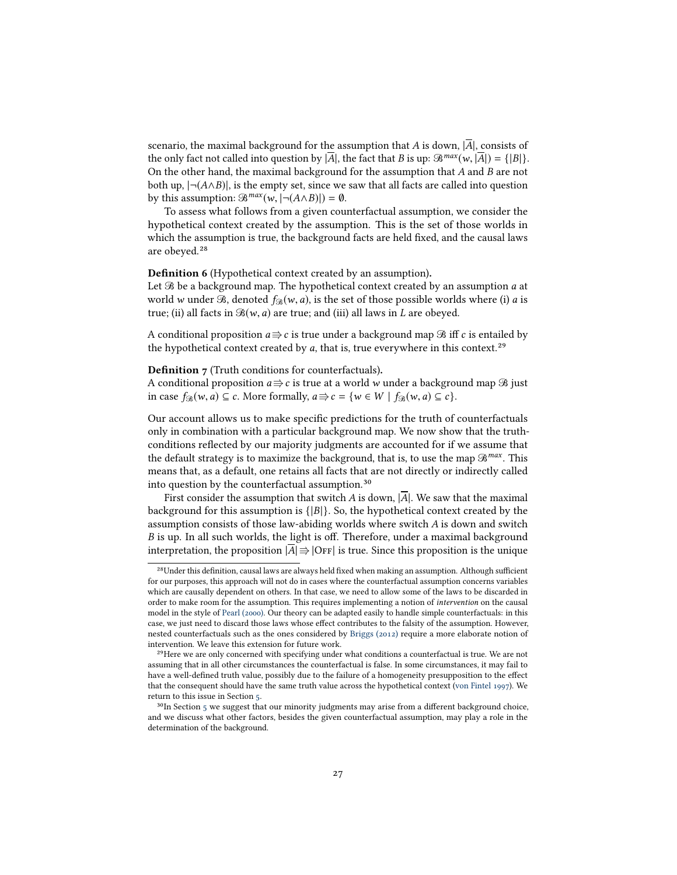scenario, the maximal background for the assumption that A is down,  $|\overline{A}|$ , consists of the only fact not called into question by  $|\overline{A}|$ , the fact that B is up:  $\mathcal{B}^{max}(w, |\overline{A}|) = \{ |B| \}.$ On the other hand, the maximal background for the assumption that  $A$  and  $B$  are not both up,  $\neg(A \land B)$ , is the empty set, since we saw that all facts are called into question by this assumption:  $\mathcal{B}^{max}(w, |\neg(A \land B)|) = \emptyset$ .

To assess what follows from a given counterfactual assumption, we consider the hypothetical context created by the assumption. This is the set of those worlds in which the assumption is true, the background facts are held fixed, and the causal laws are obeyed.<sup>28</sup>

Definition 6 (Hypothetical context created by an assumption).

Let  $\mathcal B$  be a background map. The hypothetical context created by an assumption  $a$  at world w under  $\Re$ , denoted  $f_{\Re}(w, a)$ , is the set of those possible worlds where (i) a is true; (ii) all facts in  $\mathcal{B}(w, a)$  are true; and (iii) all laws in L are obeyed.

A conditional proposition  $a \Rightarrow c$  is true under a background map  $\Re$  iff  $c$  is entailed by the hypothetical context created by  $a$ , that is, true everywhere in this context.<sup>29</sup>

#### Definition 7 (Truth conditions for counterfactuals).

A conditional proposition  $a \Rightarrow c$  is true at a world w under a background map  $\Re$  just in case  $f_{\mathcal{B}}(w, a) \subseteq c$ . More formally,  $a \Rightarrow c = \{w \in W \mid f_{\mathcal{B}}(w, a) \subseteq c\}$ .

Our account allows us to make specific predictions for the truth of counterfactuals only in combination with a particular background map. We now show that the truthconditions reflected by our majority judgments are accounted for if we assume that the default strategy is to maximize the background, that is, to use the map  $\mathcal{B}^{max}$ . This means that, as a default, one retains all facts that are not directly or indirectly called<br>into question by the counterfactual assumption.<sup>30</sup>

First consider the assumption that switch A is down,  $|\overline{A}|$ . We saw that the maximal background for this assumption is  $\{|B|\}$ . So, the hypothetical context created by the assumption consists of those law-abiding worlds where switch A is down and switch B is up. In all such worlds, the light is off. Therefore, under a maximal background interpretation, the proposition  $|\overline{A}|\Rightarrow|\overline{\text{OFF}}|$  is true. Since this proposition is the unique

<sup>&</sup>lt;sup>28</sup>Under this definition, causal laws are always held fixed when making an assumption. Although sufficient for our purposes, this approach will not do in cases where the counterfactual assumption concerns variables which are causally dependent on others. In that case, we need to allow some of the laws to be discarded in order to make room for the assumption. This requires implementing a notion of intervention on the causal model in the style of [Pearl \(2000\).](#page-44-1) Our theory can be adapted easily to handle simple counterfactuals: in this case, we just need to discard those laws whose effect contributes to the falsity of the assumption. However, nested counterfactuals such as the ones considered by [Briggs \(2012\)](#page-41-3) require a more elaborate notion of intervention. We leave this extension for future work.

<sup>&</sup>lt;sup>29</sup>Here we are only concerned with specifying under what conditions a counterfactual is true. We are not assuming that in all other circumstances the counterfactual is false. In some circumstances, it may fail to have a well-defined truth value, possibly due to the failure of a homogeneity presupposition to the effect that the consequent should have the same truth value across the hypothetical context [\(von Fintel 1997\)](#page-42-9). We return to this issue in Section [5.](#page-27-0)

 $30$ In Section [5](#page-27-0) we suggest that our minority judgments may arise from a different background choice, and we discuss what other factors, besides the given counterfactual assumption, may play a role in the determination of the background.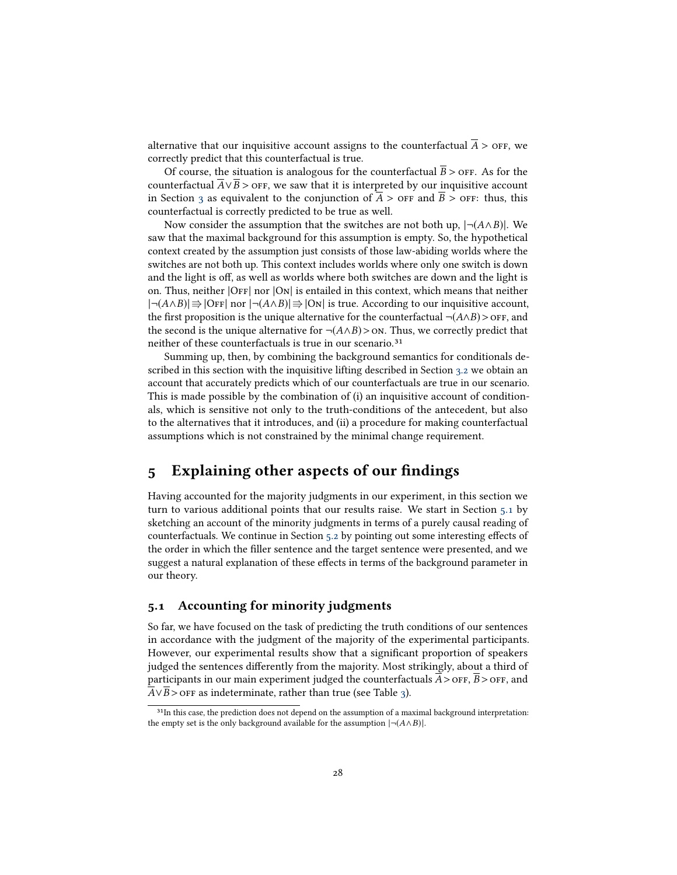alternative that our inquisitive account assigns to the counterfactual  $\overline{A}$  > off, we correctly predict that this counterfactual is true.

Of course, the situation is analogous for the counterfactual  $\overline{B}$  > off. As for the counterfactual  $A \vee B >$  or  $F$ , we saw that it is interpreted by our inquisitive account in Section [3](#page-17-0) as equivalent to the conjunction of  $A >$  or and  $B >$  or F: thus, this counterfactual is correctly predicted to be true as well.

Now consider the assumption that the switches are not both up,  $|\neg(A \land B)|$ . We saw that the maximal background for this assumption is empty. So, the hypothetical context created by the assumption just consists of those law-abiding worlds where the switches are not both up. This context includes worlds where only one switch is down and the light is off, as well as worlds where both switches are down and the light is on. Thus, neither  $|OFF|$  nor  $|ON|$  is entailed in this context, which means that neither  $|\neg(A \land B)| \Rightarrow |\text{OFF}|$  nor  $|\neg(A \land B)| \Rightarrow |\text{On}|$  is true. According to our inquisitive account, the first proposition is the unique alternative for the counterfactual  $\neg(A \wedge B) >$  or  $F$ , and the second is the unique alternative for ¬( $A \land B$ ) > on. Thus, we correctly predict that neither of these counterfactuals is true in our scenario.<sup>31</sup>

Summing up, then, by combining the background semantics for conditionals described in this section with the inquisitive lifting described in Section [3.2](#page-19-0) we obtain an account that accurately predicts which of our counterfactuals are true in our scenario. This is made possible by the combination of (i) an inquisitive account of conditionals, which is sensitive not only to the truth-conditions of the antecedent, but also to the alternatives that it introduces, and (ii) a procedure for making counterfactual assumptions which is not constrained by the minimal change requirement.

# <span id="page-27-0"></span>5 Explaining other aspects of our findings

Having accounted for the majority judgments in our experiment, in this section we turn to various additional points that our results raise. We start in Section [5.1](#page-27-1) by sketching an account of the minority judgments in terms of a purely causal reading of counterfactuals. We continue in Section  $5.2$  by pointing out some interesting effects of the order in which the filler sentence and the target sentence were presented, and we suggest a natural explanation of these effects in terms of the background parameter in our theory.

### <span id="page-27-1"></span>5.1 Accounting for minority judgments

So far, we have focused on the task of predicting the truth conditions of our sentences in accordance with the judgment of the majority of the experimental participants. However, our experimental results show that a significant proportion of speakers judged the sentences differently from the majority. Most strikingly, about a third of participants in our main experiment judged the counterfactuals  $\overline{A}$  >  $\overline{O}$  FF,  $\overline{B}$  >  $\overline{O}$ FF, and  $\overline{A} \vee \overline{B}$  > or F as indeterminate, rather than true (see Table [3\)](#page-10-2).

<sup>&</sup>lt;sup>31</sup>In this case, the prediction does not depend on the assumption of a maximal background interpretation: the empty set is the only background available for the assumption  $|\neg(A \land B)|$ .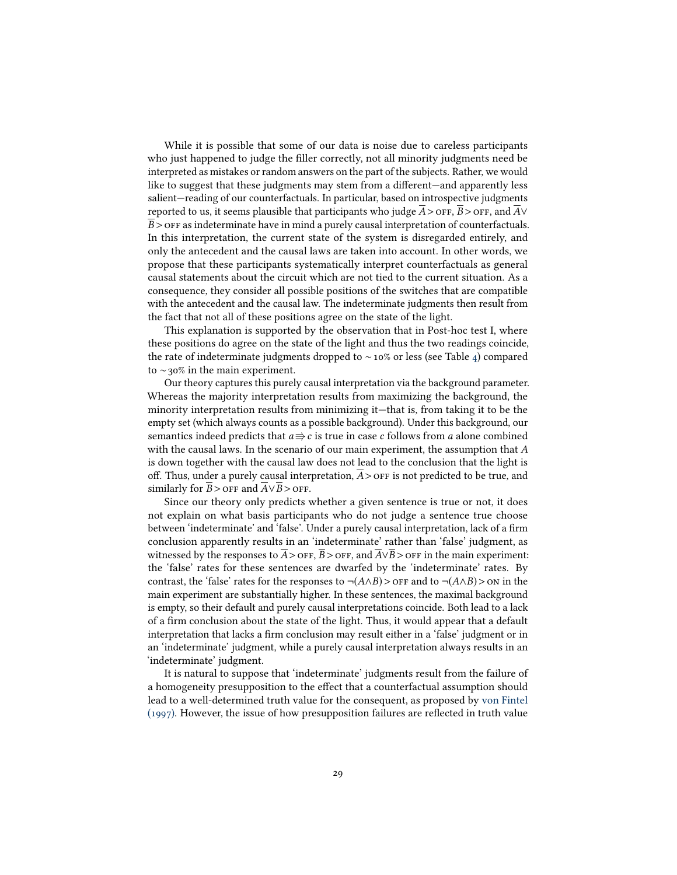While it is possible that some of our data is noise due to careless participants who just happened to judge the filler correctly, not all minority judgments need be interpreted as mistakes or random answers on the part of the subjects. Rather, we would like to suggest that these judgments may stem from a different—and apparently less salient—reading of our counterfactuals. In particular, based on introspective judgments reported to us, it seems plausible that participants who judge  $\overline{A}$  > off,  $\overline{B}$  > off, and  $\overline{A}$  $\vee$  $\overline{B}$  > OFF as indeterminate have in mind a purely causal interpretation of counterfactuals. In this interpretation, the current state of the system is disregarded entirely, and only the antecedent and the causal laws are taken into account. In other words, we propose that these participants systematically interpret counterfactuals as general causal statements about the circuit which are not tied to the current situation. As a consequence, they consider all possible positions of the switches that are compatible with the antecedent and the causal law. The indeterminate judgments then result from the fact that not all of these positions agree on the state of the light.

This explanation is supported by the observation that in Post-hoc test I, where these positions do agree on the state of the light and thus the two readings coincide, the rate of indeterminate judgments dropped to ∼10% or less (see Table [4\)](#page-12-0) compared to ∼30% in the main experiment.

Our theory captures this purely causal interpretation via the background parameter. Whereas the majority interpretation results from maximizing the background, the minority interpretation results from minimizing it—that is, from taking it to be the empty set (which always counts as a possible background). Under this background, our semantics indeed predicts that  $a \Rightarrow c$  is true in case c follows from a alone combined with the causal laws. In the scenario of our main experiment, the assumption that A is down together with the causal law does not lead to the conclusion that the light is off. Thus, under a purely causal interpretation,  $\overline{A}$  > of F is not predicted to be true, and similarly for  $\overline{B}$  > OFF and  $\overline{A} \vee \overline{B}$  > OFF.

Since our theory only predicts whether a given sentence is true or not, it does not explain on what basis participants who do not judge a sentence true choose between 'indeterminate' and 'false'. Under a purely causal interpretation, lack of a firm conclusion apparently results in an 'indeterminate' rather than 'false' judgment, as witnessed by the responses to  $\overline{A}$  > OFF,  $\overline{B}$  > OFF, and  $\overline{A} \vee \overline{B}$  > OFF in the main experiment: the 'false' rates for these sentences are dwarfed by the 'indeterminate' rates. By contrast, the 'false' rates for the responses to  $\neg(A \land B) >$  of and to  $\neg(A \land B) >$  on in the main experiment are substantially higher. In these sentences, the maximal background is empty, so their default and purely causal interpretations coincide. Both lead to a lack of a firm conclusion about the state of the light. Thus, it would appear that a default interpretation that lacks a firm conclusion may result either in a 'false' judgment or in an 'indeterminate' judgment, while a purely causal interpretation always results in an 'indeterminate' judgment.

It is natural to suppose that 'indeterminate' judgments result from the failure of a homogeneity presupposition to the effect that a counterfactual assumption should lead to a well-determined truth value for the consequent, as proposed by [von Fintel](#page-42-9)  $(1997)$ . However, the issue of how presupposition failures are reflected in truth value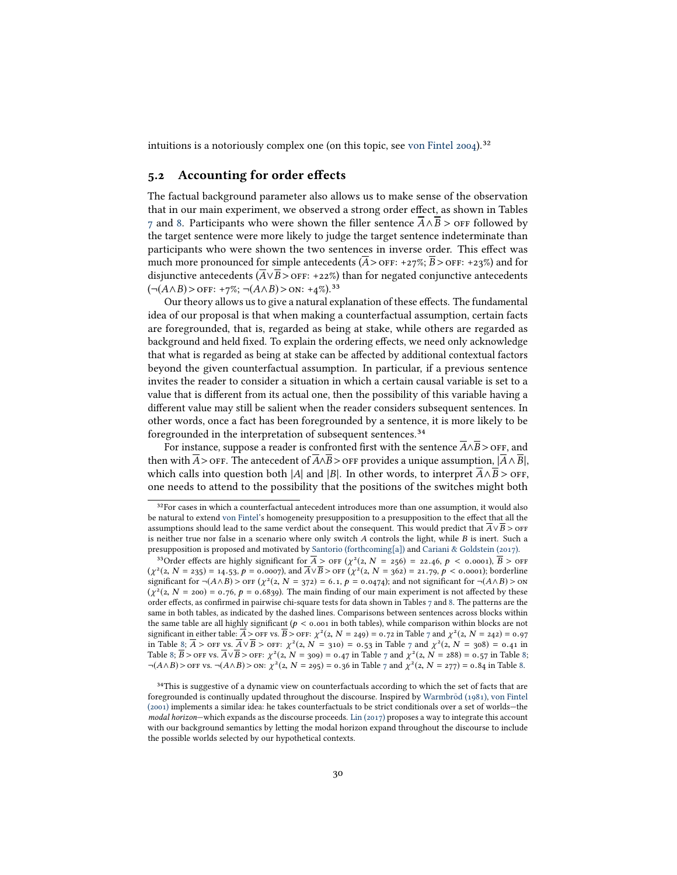intuitions is a notoriously complex one (on this topic, see [von Fintel 2004\)](#page-42-10).<sup>32</sup>

# <span id="page-29-0"></span>5.2 Accounting for order effects

The factual background parameter also allows us to make sense of the observation that in our main experiment, we observed a strong order effect, as shown in Tables [7](#page-30-1) and [8.](#page-30-2) Participants who were shown the filler sentence  $\overline{A} \wedge \overline{B}$  > or followed by the target sentence were more likely to judge the target sentence indeterminate than participants who were shown the two sentences in inverse order. This effect was much more pronounced for simple antecedents  $(\overline{A} >$  OFF: +27%;  $\overline{B} >$  OFF: +23%) and for disjunctive antecedents ( $\overline{A} \vee \overline{B} >$  OFF: +22%) than for negated conjunctive antecedents<br>
(¬(A∧B)> OFF: +7%; ¬(A∧B)> ON: +4%).<sup>33</sup><br>
Our theory allows us to give a natural explanation of these effects. The fundamen

Our theory allows us to give a natural explanation of these effects. The fundamental idea of our proposal is that when making a counterfactual assumption, certain facts are foregrounded, that is, regarded as being at stake, while others are regarded as background and held fixed. To explain the ordering effects, we need only acknowledge that what is regarded as being at stake can be affected by additional contextual factors beyond the given counterfactual assumption. In particular, if a previous sentence invites the reader to consider a situation in which a certain causal variable is set to a value that is different from its actual one, then the possibility of this variable having a different value may still be salient when the reader considers subsequent sentences. In other words, once a fact has been foregrounded by a sentence, it is more likely to be foregrounded in the interpretation of subsequent sentences.<sup>34</sup>

For instance, suppose a reader is confronted first with the sentence  $\overline{A} \wedge \overline{B}$  > OFF, and then with  $\overline{A}$  > off. The antecedent of  $\overline{A} \wedge \overline{B}$  > off provides a unique assumption,  $|\overline{A} \wedge \overline{B}|$ , which calls into question both |A| and |B|. In other words, to interpret  $\overline{A} \wedge \overline{B}$  > off, one needs to attend to the possibility that the positions of the switches might both 32

 $32$  For cases in which a counterfactual antecedent introduces more than one assumption, it would also be natural to extend [von Fintel'](#page-42-9)s homogeneity presupposition to a presupposition to the effect that all the assumptions should lead to the same verdict about the consequent. This would predict that  $\overline{A} \vee \overline{B} >$  or F is neither true nor false in a scenario where only switch A controls the light, while B is inert. Such a presupposition is proposed and motivated by [Santorio \(forthcoming\[a\]\)](#page-44-12) and [Cariani & Goldstein \(2017\).](#page-41-11)

Order effects are highly significant for  $\overline{A} >$  off  $(\chi^2(z, N = 256) = 22.46, p < 0.0001)$ ,  $\overline{B} >$  off  $\chi^2(z, N = 256) = 21.70, p < 0.0001$ ; borderline  $(\chi^2(z, N = 235) = 14.53, p = 0.0007)$ , and  $\overline{A} \vee \overline{B} >$  org  $(\chi^2(z, N = 362) = 21.79, p < 0.0001)$ ; borderline<br>eignificant for  $\sim (A \wedge B) >$  org  $(\chi^2(z, N = 273) = 6, 1, p = 0.0474)$ ; and not eignificant for  $\sim (A \wedge B) >$  on significant for  $\neg(A \wedge B) >$  of  $\chi^2(2, N = 372) = 6.1$ ,  $p = 0.0474$ ; and not significant for  $\neg(A \wedge B) >$  on  $\chi^2(2, N = 200) = 0.76$ ,  $b = 0.6830$ . The main finding of our main eveniment is not affected by these  $(\chi^2(z, N = zoo) = 0.76, p = 0.6839)$ . The main finding of our main experiment is not affected by these order effects, as confirmed in pairwise chi-square tests for data shown in Tables 7 and 8. The patterns are the order effects, as confirmed in pairwise chi-square tests for data shown in Tables [7](#page-30-1) and [8.](#page-30-2) The patterns are the same in both tables, as indicated by the dashed lines. Comparisons between sentences across blocks within the same table are all highly significant ( $p < 0.001$  in both tables), while comparison within blocks are not significant in either table:  $\overline{A}$  >  $\overline{O}$  FF vs.  $\overline{B}$  >  $\overline{O}$  FF:  $\chi^2(2, N = 249) = 0.72$  $\chi^2(2, N = 249) = 0.72$  $\chi^2(2, N = 249) = 0.72$  in Table 7 and  $\chi^2(2, N = 242) = 0.97$  in Table 8:  $\overline{A}$  >  $\overline{O}$  FF vs.  $\overline{A}$  >  $\overline{O}$  FF;  $\chi^2(2, N = 210) =$ in Table [8;](#page-30-2)  $\overline{A} >$  off vs.  $\overline{A} \vee \overline{B} >$  off:  $\chi^2(z, N = 310) = 0.53$  in Table [7](#page-30-1) and  $\chi^2(z, N = 308) = 0.41$  in Table 8:  $\overline{B} >$  org we  $\overline{A} \vee \overline{B} >$  org v  $\chi^2(z, N = 300) = 0.47$  in Table 7 and  $\chi^2(z, N = 388) = 0$ Table [8;](#page-30-2)  $\overline{B}$  > off vs.  $\overline{A} \vee \overline{B}$  > off:  $\chi^2(2, N = 309) = 0.47$  $\chi^2(2, N = 309) = 0.47$  in Table 7 and  $\chi^2(2, N = 288) = 0.57$  in Table 8;<br> $\overline{A}(A \wedge B)$  > off vs.  $\overline{A}(A \wedge B)$  > ov.  $\chi^2(2, N = 205) = 0.26$  in Table 7 and  $\chi^2(2, N =$ ¬(A∧B) > or vs. ¬(A∧B) > on:  $\chi^2(z, N = 295) = 0.36$  in Table [7](#page-30-1) and  $\chi^2(z, N = 277) = 0.84$  in Table [8.](#page-30-2)

 $34$ This is suggestive of a dynamic view on counterfactuals according to which the set of facts that are foregrounded is continually updated throughout the discourse. Inspired by [Warmbrod \(1981\)](#page-45-6), [von Fintel](#page-42-11) [\(2001\)](#page-42-11) implements a similar idea: he takes counterfactuals to be strict conditionals over a set of worlds—the modal horizon—which expands as the discourse proceeds. [Lin \(2017\)](#page-44-13) proposes a way to integrate this account with our background semantics by letting the modal horizon expand throughout the discourse to include the possible worlds selected by our hypothetical contexts.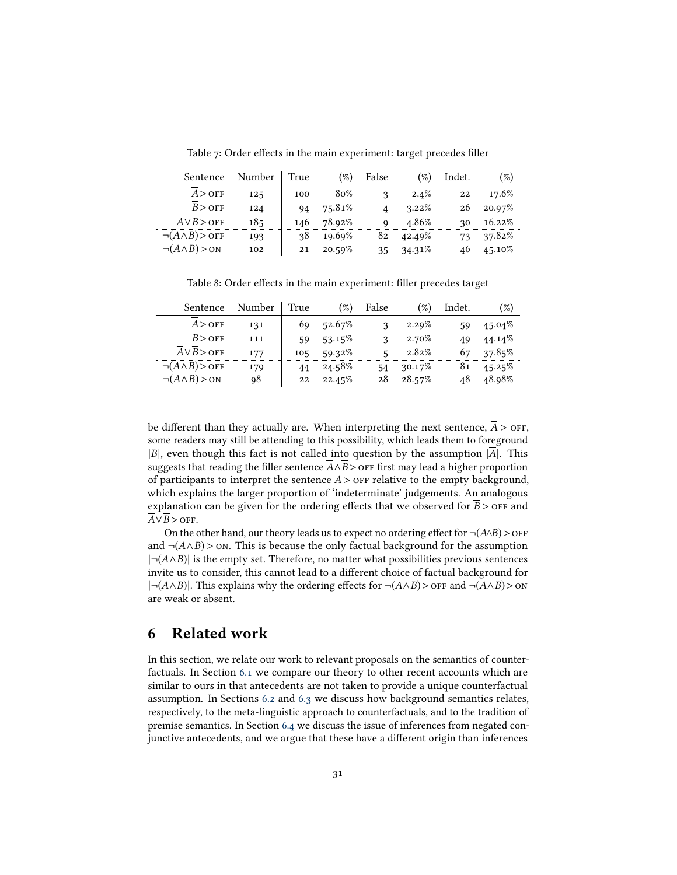<span id="page-30-1"></span>Table 7: Order effects in the main experiment: target precedes filler

| Sentence                      | Number | True | $(\%)$ | False | $(\%)$    | Indet. | $(\%)$    |
|-------------------------------|--------|------|--------|-------|-----------|--------|-----------|
| $A >$ OFF                     | 125    | 100  | 80%    | 3     | $2.4\%$   | 22     | 17.6%     |
| $B >$ OFF                     | 124    | 94   | 75.81% |       | $3.22\%$  | 26     | 20.97%    |
| $A \vee B >$ OFF              | 185    | 146  | 78.92% | Q     | 4.86%     | 30     | $16.22\%$ |
| $\neg(A \land B) >$ OFF       | 193    | 38   | 19.69% | 82    | 42.49%    | 73     | 37.82%    |
| $\neg(A \land B) > \text{ON}$ | 102    | 21   | 20.59% | 35    | $34.31\%$ | 46     | $45.10\%$ |
|                               |        |      |        |       |           |        |           |

<span id="page-30-2"></span>Table 8: Order effects in the main experiment: filler precedes target

| Sentence                      | Number | True | $\mathscr{D}_o$ | False | $(\%)$ | Indet. | $(\%)$ |
|-------------------------------|--------|------|-----------------|-------|--------|--------|--------|
| $A >$ OFF                     | 131    | 69   | 52.67%          | 3     | 2.29%  | 59     | 45.04% |
| $B >$ OFF                     | 111    | 59   | $53.15\%$       | 3     | 2.70%  | 49     | 44.14% |
| $A \vee B >$ OFF              | 177    | 105  | 59.32%          | 5     | 2.82%  | 67     | 37.85% |
| $\neg(A \land B) >$ OFF       | 179    | 44   | 24.58%          | 54    | 30.17% | 81     | 45.25% |
| $\neg(A \land B) > \text{ON}$ | 98     | 22   | 22.45%          | 28    | 28.57% | 48     | 48.98% |
|                               |        |      |                 |       |        |        |        |

be different than they actually are. When interpreting the next sentence,  $\overline{A}$  > off, some readers may still be attending to this possibility, which leads them to foreground  $|B|$ , even though this fact is not called into question by the assumption  $|\overline{A}|$ . This suggests that reading the filler sentence  $\overline{A} \wedge \overline{B}$  > OFF first may lead a higher proportion of participants to interpret the sentence  $\overline{A}$  > orf relative to the empty background, which explains the larger proportion of 'indeterminate' judgements. An analogous explanation can be given for the ordering effects that we observed for  $\overline{B}$  > off and  $\overline{A} \vee \overline{B} >$  OFF.

On the other hand, our theory leads us to expect no ordering effect for  $\neg(A \wedge B) >$  off and  $\neg(A \land B)$  > on. This is because the only factual background for the assumption  $|\neg(A \land B)|$  is the empty set. Therefore, no matter what possibilities previous sentences invite us to consider, this cannot lead to a different choice of factual background for  $|\neg(A \land B)|$ . This explains why the ordering effects for  $\neg(A \land B)$  > or and  $\neg(A \land B)$  > on are weak or absent.

# <span id="page-30-0"></span>6 Related work

In this section, we relate our work to relevant proposals on the semantics of counterfactuals. In Section [6.1](#page-31-0) we compare our theory to other recent accounts which are similar to ours in that antecedents are not taken to provide a unique counterfactual assumption. In Sections [6.2](#page-32-0) and [6.3](#page-33-0) we discuss how background semantics relates, respectively, to the meta-linguistic approach to counterfactuals, and to the tradition of premise semantics. In Section [6.4](#page-35-0) we discuss the issue of inferences from negated conjunctive antecedents, and we argue that these have a different origin than inferences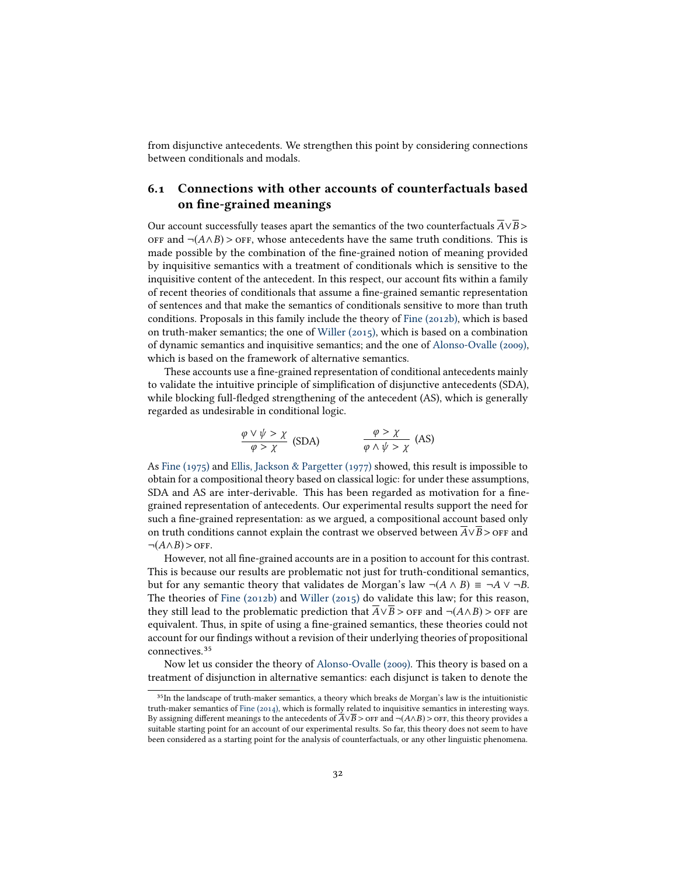from disjunctive antecedents. We strengthen this point by considering connections between conditionals and modals.

# <span id="page-31-0"></span>6.1 Connections with other accounts of counterfactuals based on fine-grained meanings

Our account successfully teases apart the semantics of the two counterfactuals  $\overline{A} \vee \overline{B}$ OFF and  $¬(A∧B) >$  OFF, whose antecedents have the same truth conditions. This is made possible by the combination of the fine-grained notion of meaning provided by inquisitive semantics with a treatment of conditionals which is sensitive to the inquisitive content of the antecedent. In this respect, our account fits within a family of recent theories of conditionals that assume a fine-grained semantic representation of sentences and that make the semantics of conditionals sensitive to more than truth conditions. Proposals in this family include the theory of [Fine \(2012b\),](#page-42-12) which is based on truth-maker semantics; the one of [Willer \(2015\),](#page-45-7) which is based on a combination of dynamic semantics and inquisitive semantics; and the one of [Alonso-Ovalle \(2009\),](#page-41-2) which is based on the framework of alternative semantics.

These accounts use a fine-grained representation of conditional antecedents mainly to validate the intuitive principle of simplication of disjunctive antecedents (SDA), while blocking full-fledged strengthening of the antecedent (AS), which is generally regarded as undesirable in conditional logic.

$$
\frac{\varphi \lor \psi > \chi}{\varphi > \chi} \text{ (SDA)} \qquad \qquad \frac{\varphi > \chi}{\varphi \land \psi > \chi} \text{ (AS)}
$$

As [Fine \(1975\)](#page-42-2) and [Ellis, Jackson & Pargetter \(1977\)](#page-42-13) showed, this result is impossible to obtain for a compositional theory based on classical logic: for under these assumptions, SDA and AS are inter-derivable. This has been regarded as motivation for a finegrained representation of antecedents. Our experimental results support the need for such a fine-grained representation: as we argued, a compositional account based only on truth conditions cannot explain the contrast we observed between  $\overline{A} \vee \overline{B}$  > OFF and  $\neg(A \land B) >$  OFF.

However, not all fine-grained accounts are in a position to account for this contrast. This is because our results are problematic not just for truth-conditional semantics, but for any semantic theory that validates de Morgan's law  $\neg(A \land B) \equiv \neg A \lor \neg B$ . The theories of Fine  $(2012b)$  and Willer  $(2015)$  do validate this law; for this reason, they still lead to the problematic prediction that  $\overline{A} \vee \overline{B}$  > off and  $\neg(A \wedge B)$  > off are equivalent. Thus, in spite of using a fine-grained semantics, these theories could not account for our findings without a revision of their underlying theories of propositional connectives.<sup>35</sup>

Now let us consider the theory of [Alonso-Ovalle \(2009\).](#page-41-2) This theory is based on a treatment of disjunction in alternative semantics: each disjunct is taken to denote the 35

<sup>&</sup>lt;sup>35</sup>In the landscape of truth-maker semantics, a theory which breaks de Morgan's law is the intuitionistic truth-maker semantics of [Fine \(2014\),](#page-42-14) which is formally related to inquisitive semantics in interesting ways. By assigning different meanings to the antecedents of  $\overline{A} \vee \overline{B}$  > OFF and ¬(A∧B) > OFF, this theory provides a suitable starting point for an account of our experimental results. So far, this theory does not seem to have been considered as a starting point for the analysis of counterfactuals, or any other linguistic phenomena.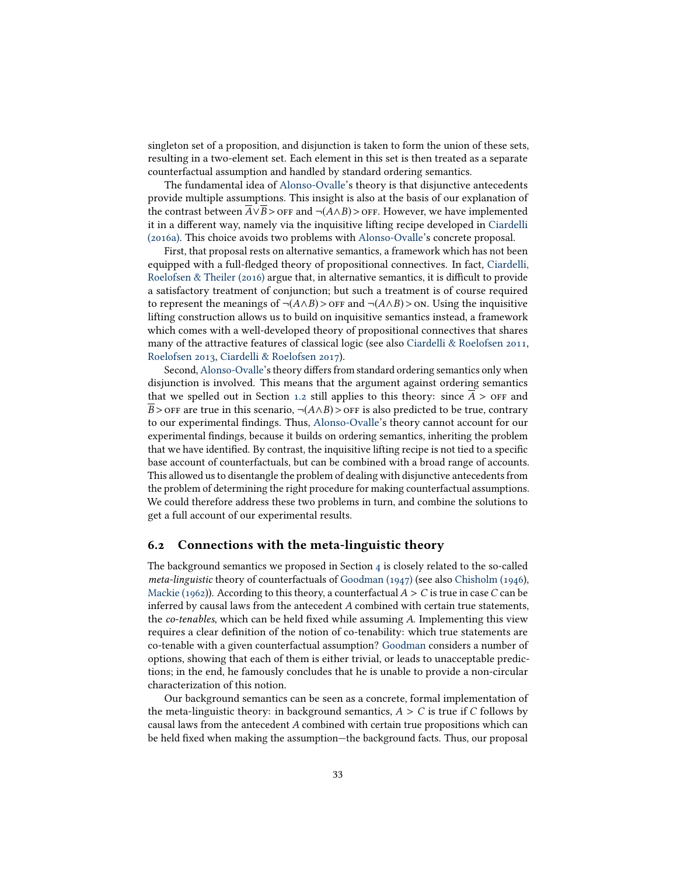singleton set of a proposition, and disjunction is taken to form the union of these sets, resulting in a two-element set. Each element in this set is then treated as a separate counterfactual assumption and handled by standard ordering semantics.

The fundamental idea of [Alonso-Ovalle'](#page-41-2)s theory is that disjunctive antecedents provide multiple assumptions. This insight is also at the basis of our explanation of the contrast between  $\overline{A} \vee \overline{B}$  > off and ¬(A∧B) > off. However, we have implemented it in a different way, namely via the inquisitive lifting recipe developed in [Ciardelli](#page-41-9) [\(2016a\).](#page-41-9) This choice avoids two problems with [Alonso-Ovalle'](#page-41-2)s concrete proposal.

First, that proposal rests on alternative semantics, a framework which has not been equipped with a full-fledged theory of propositional connectives. In fact, [Ciardelli,](#page-42-15) Roelofsen & Theiler  $(2016)$  argue that, in alternative semantics, it is difficult to provide a satisfactory treatment of conjunction; but such a treatment is of course required to represent the meanings of  $\neg(A \land B) >$  or  $F$  and  $\neg(A \land B) >$  on. Using the inquisitive lifting construction allows us to build on inquisitive semantics instead, a framework which comes with a well-developed theory of propositional connectives that shares many of the attractive features of classical logic (see also [Ciardelli & Roelofsen 2011,](#page-42-7) [Roelofsen 2013,](#page-44-7) [Ciardelli & Roelofsen 2017\)](#page-42-16).

Second, [Alonso-Ovalle'](#page-41-2)s theory differs from standard ordering semantics only when disjunction is involved. This means that the argument against ordering semantics that we spelled out in Section [1.2](#page-3-0) still applies to this theory: since  $A >$  or and B > OFF are true in this scenario,  $\neg(A \land B)$  > OFF is also predicted to be true, contrary to our experimental findings. Thus, [Alonso-Ovalle'](#page-41-2)s theory cannot account for our experimental findings, because it builds on ordering semantics, inheriting the problem that we have identified. By contrast, the inquisitive lifting recipe is not tied to a specific base account of counterfactuals, but can be combined with a broad range of accounts. This allowed us to disentangle the problem of dealing with disjunctive antecedents from the problem of determining the right procedure for making counterfactual assumptions. We could therefore address these two problems in turn, and combine the solutions to get a full account of our experimental results.

#### <span id="page-32-0"></span>6.2 Connections with the meta-linguistic theory

The background semantics we proposed in Section  $4$  is closely related to the so-called meta-linguistic theory of counterfactuals of [Goodman \(1947\)](#page-42-17) (see also [Chisholm \(1946\)](#page-41-12), [Mackie \(1962\)](#page-44-14)). According to this theory, a counterfactual  $A > C$  is true in case C can be inferred by causal laws from the antecedent A combined with certain true statements, the co-tenables, which can be held fixed while assuming  $A$ . Implementing this view requires a clear definition of the notion of co-tenability: which true statements are co-tenable with a given counterfactual assumption? [Goodman](#page-42-17) considers a number of options, showing that each of them is either trivial, or leads to unacceptable predictions; in the end, he famously concludes that he is unable to provide a non-circular characterization of this notion.

Our background semantics can be seen as a concrete, formal implementation of the meta-linguistic theory: in background semantics,  $A > C$  is true if C follows by causal laws from the antecedent A combined with certain true propositions which can be held fixed when making the assumption—the background facts. Thus, our proposal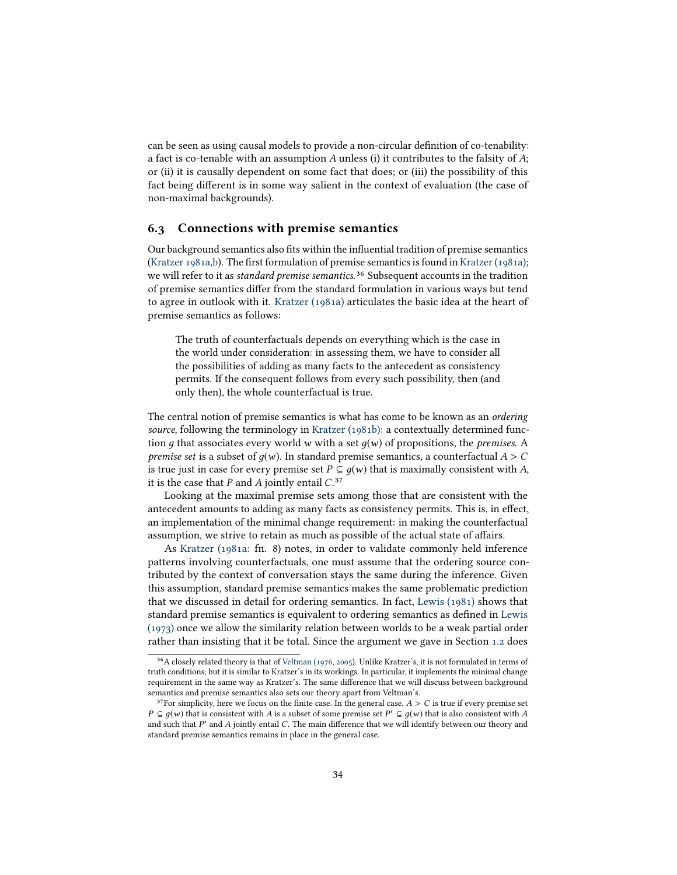can be seen as using causal models to provide a non-circular definition of co-tenability: a fact is co-tenable with an assumption  $A$  unless (i) it contributes to the falsity of  $A$ ; or (ii) it is causally dependent on some fact that does; or (iii) the possibility of this fact being different is in some way salient in the context of evaluation (the case of non-maximal backgrounds).

#### <span id="page-33-0"></span>6.3 Connections with premise semantics

Our background semantics also fits within the influential tradition of premise semantics [\(Kratzer 1981a](#page-43-2)[,b\)](#page-43-8). The first formulation of premise semantics is found in [Kratzer \(1981a\);](#page-43-2)<br>we will refer to it as *standard premise semantics*.<sup>36</sup> Subsequent accounts in the tradition of premise semantics differ from the standard formulation in various ways but tend to agree in outlook with it. [Kratzer \(1981a\)](#page-43-2) articulates the basic idea at the heart of premise semantics as follows:

The truth of counterfactuals depends on everything which is the case in the world under consideration: in assessing them, we have to consider all the possibilities of adding as many facts to the antecedent as consistency permits. If the consequent follows from every such possibility, then (and only then), the whole counterfactual is true.

The central notion of premise semantics is what has come to be known as an ordering source, following the terminology in [Kratzer \(1981b\):](#page-43-8) a contextually determined function q that associates every world w with a set  $q(w)$  of propositions, the *premises*. A premise set is a subset of  $q(w)$ . In standard premise semantics, a counterfactual  $A > C$ is true just in case for every premise set  $P \subseteq q(w)$  that is maximally consistent with A, it is the case that  $P$  and  $A$  jointly entail  $C^{37}$ 

Looking at the maximal premise sets among those that are consistent with the antecedent amounts to adding as many facts as consistency permits. This is, in effect, an implementation of the minimal change requirement: in making the counterfactual assumption, we strive to retain as much as possible of the actual state of affairs.

As [Kratzer \(1981a:](#page-43-2) fn. 8) notes, in order to validate commonly held inference patterns involving counterfactuals, one must assume that the ordering source contributed by the context of conversation stays the same during the inference. Given this assumption, standard premise semantics makes the same problematic prediction that we discussed in detail for ordering semantics. In fact, [Lewis \(1981\)](#page-43-15) shows that standard premise semantics is equivalent to ordering semantics as defined in [Lewis](#page-43-1) [\(1973\)](#page-43-1) once we allow the similarity relation between worlds to be a weak partial order rather than insisting that it be total. Since the argument we gave in Section [1.2](#page-3-0) does

<sup>&</sup>lt;sup>36</sup>A closely related theory is that of [Veltman \(1976,](#page-45-8) [2005\)](#page-45-1). Unlike Kratzer's, it is not formulated in terms of truth conditions; but it is similar to Kratzer's in its workings. In particular, it implements the minimal change requirement in the same way as Kratzer's. The same difference that we will discuss between background semantics and premise semantics also sets our theory apart from Veltman's.

<sup>&</sup>lt;sup>37</sup> For simplicity, here we focus on the finite case. In the general case,  $A > C$  is true if every premise set  $P \subseteq g(w)$  that is consistent with A is a subset of some premise set  $P' \subseteq g(w)$  that is also consistent with A and such that  $P'$  and A jointly entail C. The main difference that we will identify between our theory and and such that  $P'$  and  $A$  jointly entail  $C$ . The main difference that we will identify between our theory and standard premise semantics remains in place in the general case standard premise semantics remains in place in the general case.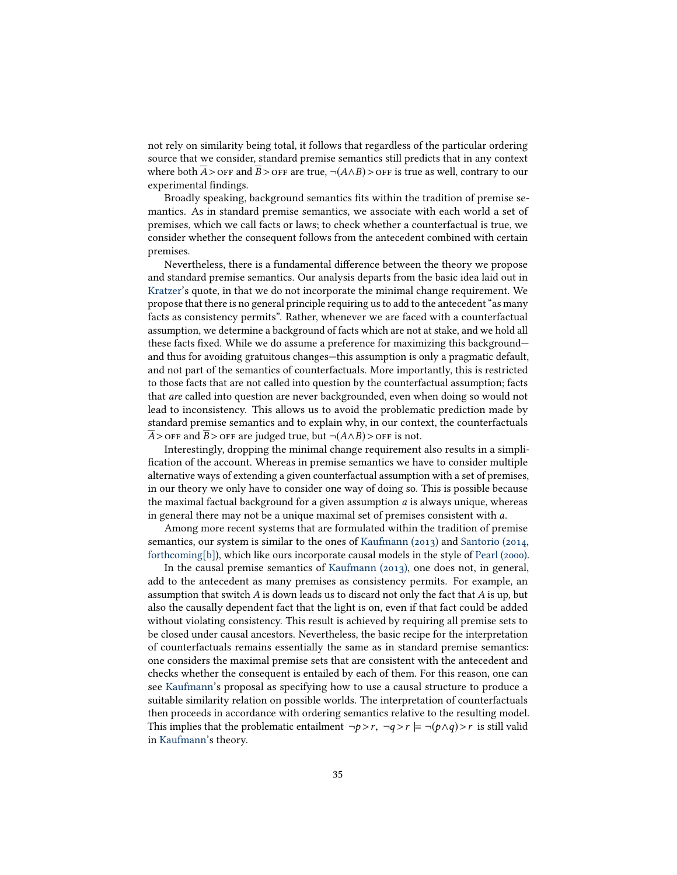not rely on similarity being total, it follows that regardless of the particular ordering source that we consider, standard premise semantics still predicts that in any context where both A > off and B > off are true,  $\neg(A \wedge B)$  > off is true as well, contrary to our experimental findings.

Broadly speaking, background semantics fits within the tradition of premise semantics. As in standard premise semantics, we associate with each world a set of premises, which we call facts or laws; to check whether a counterfactual is true, we consider whether the consequent follows from the antecedent combined with certain premises.

Nevertheless, there is a fundamental difference between the theory we propose and standard premise semantics. Our analysis departs from the basic idea laid out in [Kratzer'](#page-43-2)s quote, in that we do not incorporate the minimal change requirement. We propose that there is no general principle requiring us to add to the antecedent "as many facts as consistency permits". Rather, whenever we are faced with a counterfactual assumption, we determine a background of facts which are not at stake, and we hold all these facts fixed. While we do assume a preference for maximizing this background and thus for avoiding gratuitous changes—this assumption is only a pragmatic default, and not part of the semantics of counterfactuals. More importantly, this is restricted to those facts that are not called into question by the counterfactual assumption; facts that are called into question are never backgrounded, even when doing so would not lead to inconsistency. This allows us to avoid the problematic prediction made by standard premise semantics and to explain why, in our context, the counterfactuals  $\overline{A}$  > OFF and  $\overline{B}$  > OFF are judged true, but  $\neg$ ( $A \wedge B$ ) > OFF is not.

Interestingly, dropping the minimal change requirement also results in a simpli fication of the account. Whereas in premise semantics we have to consider multiple alternative ways of extending a given counterfactual assumption with a set of premises, in our theory we only have to consider one way of doing so. This is possible because the maximal factual background for a given assumption  $a$  is always unique, whereas in general there may not be a unique maximal set of premises consistent with a.

Among more recent systems that are formulated within the tradition of premise semantics, our system is similar to the ones of [Kaufmann \(2013\)](#page-43-12) and [Santorio \(2014,](#page-44-9) [forthcoming\[b\]\)](#page-44-10), which like ours incorporate causal models in the style of [Pearl \(2000\).](#page-44-1)

In the causal premise semantics of [Kaufmann \(2013\),](#page-43-12) one does not, in general, add to the antecedent as many premises as consistency permits. For example, an assumption that switch  $A$  is down leads us to discard not only the fact that  $A$  is up, but also the causally dependent fact that the light is on, even if that fact could be added without violating consistency. This result is achieved by requiring all premise sets to be closed under causal ancestors. Nevertheless, the basic recipe for the interpretation of counterfactuals remains essentially the same as in standard premise semantics: one considers the maximal premise sets that are consistent with the antecedent and checks whether the consequent is entailed by each of them. For this reason, one can see [Kaufmann'](#page-43-12)s proposal as specifying how to use a causal structure to produce a suitable similarity relation on possible worlds. The interpretation of counterfactuals then proceeds in accordance with ordering semantics relative to the resulting model. This implies that the problematic entailment  $\neg p > r$ ,  $\neg q > r$   $\models \neg (p \land q) > r$  is still valid in [Kaufmann'](#page-43-12)s theory.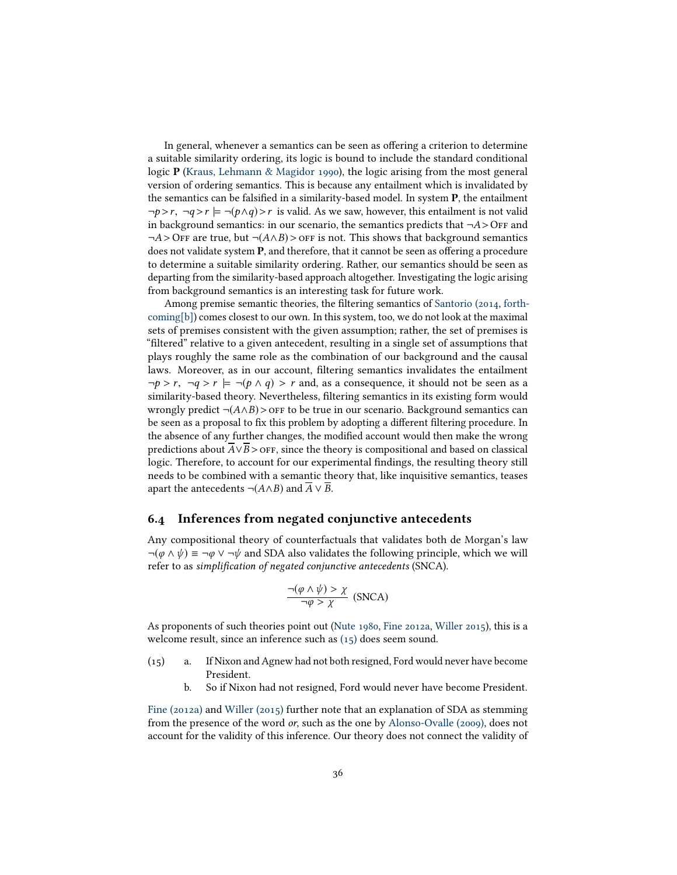In general, whenever a semantics can be seen as offering a criterion to determine a suitable similarity ordering, its logic is bound to include the standard conditional logic P [\(Kraus, Lehmann & Magidor 1990\)](#page-43-16), the logic arising from the most general version of ordering semantics. This is because any entailment which is invalidated by the semantics can be falsified in a similarity-based model. In system  $P$ , the entailment  $\neg p > r$ ,  $\neg q > r \models \neg (p \land q) > r$  is valid. As we saw, however, this entailment is not valid in background semantics: in our scenario, the semantics predicts that  $\neg A >$  OFF and  $\neg A >$  OFF are true, but  $\neg (A \land B) >$  OFF is not. This shows that background semantics does not validate system  $P$ , and therefore, that it cannot be seen as offering a procedure to determine a suitable similarity ordering. Rather, our semantics should be seen as departing from the similarity-based approach altogether. Investigating the logic arising from background semantics is an interesting task for future work.

Among premise semantic theories, the filtering semantics of [Santorio \(2014,](#page-44-9) [forth](#page-44-10)[coming\[b\]\)](#page-44-10) comes closest to our own. In this system, too, we do not look at the maximal sets of premises consistent with the given assumption; rather, the set of premises is "filtered" relative to a given antecedent, resulting in a single set of assumptions that plays roughly the same role as the combination of our background and the causal laws. Moreover, as in our account, filtering semantics invalidates the entailment  $\neg p > r$ ,  $\neg q > r$   $\models \neg (p \land q) > r$  and, as a consequence, it should not be seen as a similarity-based theory. Nevertheless, filtering semantics in its existing form would wrongly predict  $\neg(A \land B)$ > off to be true in our scenario. Background semantics can be seen as a proposal to fix this problem by adopting a different filtering procedure. In the absence of any further changes, the modified account would then make the wrong predictions about  $\overline{A} \vee \overline{B}$  >  $\overline{O}$  FF, since the theory is compositional and based on classical logic. Therefore, to account for our experimental findings, the resulting theory still needs to be combined with a semantic theory that, like inquisitive semantics, teases apart the antecedents  $\neg(A \land B)$  and  $\overline{A} \lor \overline{B}$ .

### <span id="page-35-0"></span>6.4 Inferences from negated conjunctive antecedents

Any compositional theory of counterfactuals that validates both de Morgan's law  $\neg(\varphi \land \psi) \equiv \neg \varphi \lor \neg \psi$  and SDA also validates the following principle, which we will refer to as simplification of negated conjunctive antecedents (SNCA).

$$
\frac{\neg(\varphi \land \psi) > \chi}{\neg \varphi > \chi} \text{ (SNCA)}
$$

As proponents of such theories point out [\(Nute 1980,](#page-44-15) [Fine 2012a,](#page-42-1) [Willer 2015\)](#page-45-7), this is a welcome result, since an inference such as [\(15\)](#page-35-1) does seem sound.

- <span id="page-35-1"></span>(15) a. If Nixon and Agnew had not both resigned, Ford would never have become President.
	- b. So if Nixon had not resigned, Ford would never have become President.

[Fine \(2012a\)](#page-42-1) and [Willer \(2015\)](#page-45-7) further note that an explanation of SDA as stemming from the presence of the word or, such as the one by [Alonso-Ovalle \(2009\),](#page-41-2) does not account for the validity of this inference. Our theory does not connect the validity of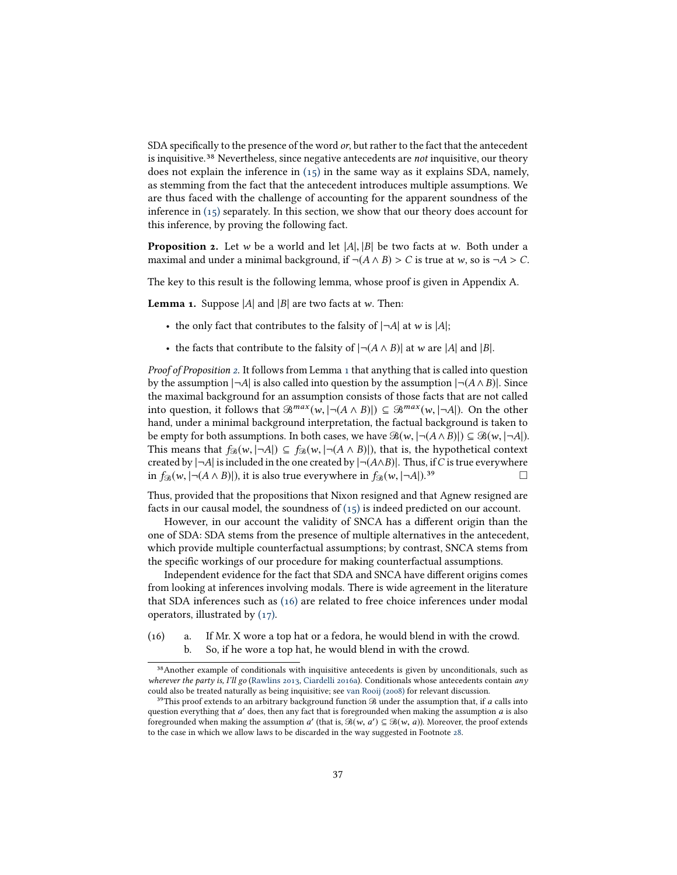SDA specifically to the presence of the word  $or$ , but rather to the fact that the antecedent is inquisitive.<sup>38</sup> Nevertheless, since negative antecedents are *not* inquisitive, our theory does not explain the inference in [\(15\)](#page-35-1) in the same way as it explains SDA, namely, as stemming from the fact that the antecedent introduces multiple assumptions. We are thus faced with the challenge of accounting for the apparent soundness of the inference in  $(15)$  separately. In this section, we show that our theory does account for this inference, by proving the following fact.

<span id="page-36-0"></span>**Proposition 2.** Let w be a world and let  $|A|, |B|$  be two facts at w. Both under a maximal and under a minimal background, if  $\neg(A \land B) > C$  is true at w, so is  $\neg A > C$ .

The key to this result is the following lemma, whose proof is given in Appendix A.

<span id="page-36-1"></span>**Lemma 1.** Suppose  $|A|$  and  $|B|$  are two facts at w. Then:

- the only fact that contributes to the falsity of  $|\neg A|$  at w is  $|A|$ ;
- the facts that contribute to the falsity of  $\vert \neg (A \land B) \vert$  at w are  $\vert A \vert$  and  $\vert B \vert$ .

Proof of Proposition [2.](#page-36-0) It follows from Lemma [1](#page-36-1) that anything that is called into question by the assumption  $|\neg A|$  is also called into question by the assumption  $|\neg (A \land B)|$ . Since the maximal background for an assumption consists of those facts that are not called into question, it follows that  $\mathcal{B}^{max}(w, |\neg(A \land B)|) \subseteq \mathcal{B}^{max}(w, |\neg A|)$ . On the other hand, under a minimal background interpretation, the factual background is taken to be empty for both assumptions. In both cases, we have  $\mathcal{B}(w, |\neg(A \land B)|) \subseteq \mathcal{B}(w, |\neg A|)$ . This means that  $f_{\mathcal{B}}(w, |\neg A|) \subseteq f_{\mathcal{B}}(w, |\neg(A \land B)|)$ , that is, the hypothetical context created by  $|\neg A|$  is included in the one created by  $|\neg(A \land B)|$ . Thus, if C is true everywhere in  $f_{\mathcal{B}}(w, |\neg A|)$ .<sup>39</sup>

Thus, provided that the propositions that Nixon resigned and that Agnew resigned are facts in our causal model, the soundness of  $(15)$  is indeed predicted on our account.

However, in our account the validity of SNCA has a different origin than the one of SDA: SDA stems from the presence of multiple alternatives in the antecedent, which provide multiple counterfactual assumptions; by contrast, SNCA stems from the specific workings of our procedure for making counterfactual assumptions.

Independent evidence for the fact that SDA and SNCA have different origins comes from looking at inferences involving modals. There is wide agreement in the literature that SDA inferences such as [\(16\)](#page-36-2) are related to free choice inferences under modal operators, illustrated by [\(17\).](#page-37-1)

<span id="page-36-2"></span>(16) a. If Mr. X wore a top hat or a fedora, he would blend in with the crowd. b. So, if he wore a top hat, he would blend in with the crowd. 38

<sup>&</sup>lt;sup>38</sup> Another example of conditionals with inquisitive antecedents is given by unconditionals, such as wherever the party is, I'll go [\(Rawlins 2013,](#page-44-16) [Ciardelli 2016a\)](#page-41-9). Conditionals whose antecedents contain any could also be treated naturally as being inquisitive; see [van Rooij \(2008\)](#page-44-17) for relevant discussion.

<sup>&</sup>lt;sup>39</sup>This proof extends to an arbitrary background function  $\Re$  under the assumption that, if a calls into question everything that a' does, then any fact that is foregrounded when making the assumption a is also foregrounded when making the assumption  $a'$  (that is  $\mathcal{R}(w, a') \subset \mathcal{R}(w, a)$ ). Moreover the proof extends foregrounded when making the assumption a' (that is,  $\mathcal{B}(w, a') \subseteq \mathcal{B}(w, a)$ ). Moreover, the proof extends to the case in which we allow laws to be discarded in the way suggested in Footnote 28. to the case in which we allow laws to be discarded in the way suggested in Footnote [28.](#page-25-0)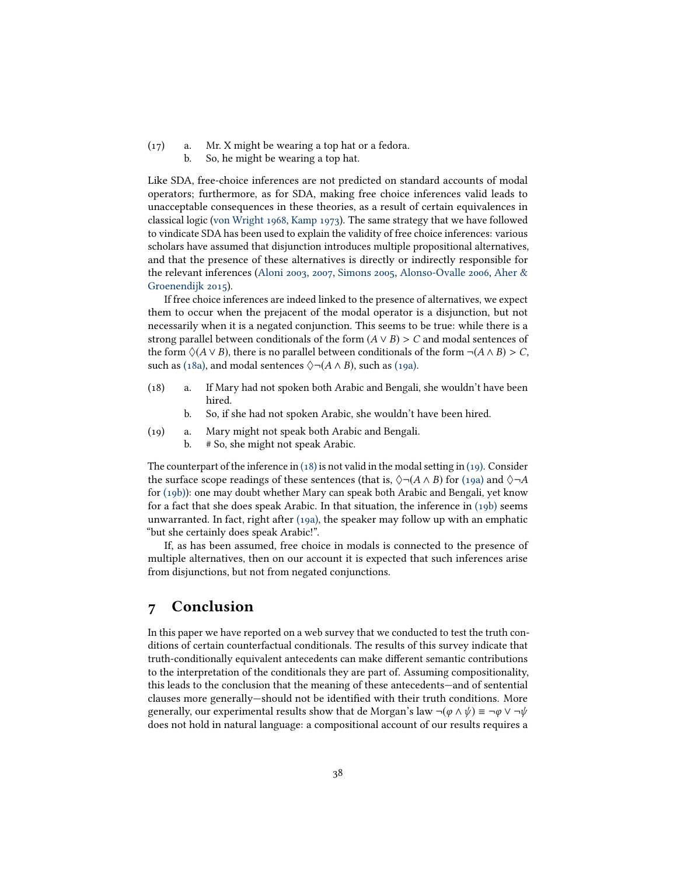<span id="page-37-1"></span>(17) a. Mr. X might be wearing a top hat or a fedora. b. So, he might be wearing a top hat.

Like SDA, free-choice inferences are not predicted on standard accounts of modal operators; furthermore, as for SDA, making free choice inferences valid leads to unacceptable consequences in these theories, as a result of certain equivalences in classical logic [\(von Wright 1968,](#page-45-9) [Kamp 1973\)](#page-43-17). The same strategy that we have followed to vindicate SDA has been used to explain the validity of free choice inferences: various scholars have assumed that disjunction introduces multiple propositional alternatives, and that the presence of these alternatives is directly or indirectly responsible for the relevant inferences [\(Aloni 2003,](#page-41-13) [2007,](#page-41-14) [Simons 2005,](#page-45-10) [Alonso-Ovalle 2006,](#page-41-1) [Aher &](#page-41-8) [Groenendijk 2015\)](#page-41-8).

If free choice inferences are indeed linked to the presence of alternatives, we expect them to occur when the prejacent of the modal operator is a disjunction, but not necessarily when it is a negated conjunction. This seems to be true: while there is a strong parallel between conditionals of the form  $(A \vee B) > C$  and modal sentences of the form  $\Diamond$ (A ∨ B), there is no parallel between conditionals of the form  $\neg$ (A ∧ B) > C, such as [\(18a\),](#page-37-2) and modal sentences  $\Diamond \neg (A \land B)$ , such as [\(19a\).](#page-37-3)

- <span id="page-37-4"></span><span id="page-37-2"></span>(18) a. If Mary had not spoken both Arabic and Bengali, she wouldn't have been hired.
	- b. So, if she had not spoken Arabic, she wouldn't have been hired.
- <span id="page-37-6"></span><span id="page-37-5"></span><span id="page-37-3"></span>(19) a. Mary might not speak both Arabic and Bengali.
	- b. # So, she might not speak Arabic.

The counterpart of the inference in  $(18)$  is not valid in the modal setting in  $(19)$ . Consider the surface scope readings of these sentences (that is,  $\Diamond \neg (A \land B)$  for [\(19a\)](#page-37-3) and  $\Diamond \neg A$ for [\(19b\)\)](#page-37-6): one may doubt whether Mary can speak both Arabic and Bengali, yet know for a fact that she does speak Arabic. In that situation, the inference in [\(19b\)](#page-37-6) seems unwarranted. In fact, right after [\(19a\),](#page-37-3) the speaker may follow up with an emphatic "but she certainly does speak Arabic!".

If, as has been assumed, free choice in modals is connected to the presence of multiple alternatives, then on our account it is expected that such inferences arise from disjunctions, but not from negated conjunctions.

# <span id="page-37-0"></span>7 Conclusion

In this paper we have reported on a web survey that we conducted to test the truth conditions of certain counterfactual conditionals. The results of this survey indicate that truth-conditionally equivalent antecedents can make different semantic contributions to the interpretation of the conditionals they are part of. Assuming compositionality, this leads to the conclusion that the meaning of these antecedents—and of sentential clauses more generally-should not be identified with their truth conditions. More generally, our experimental results show that de Morgan's law  $\neg(\varphi \land \psi) \equiv \neg \varphi \lor \neg \psi$ does not hold in natural language: a compositional account of our results requires a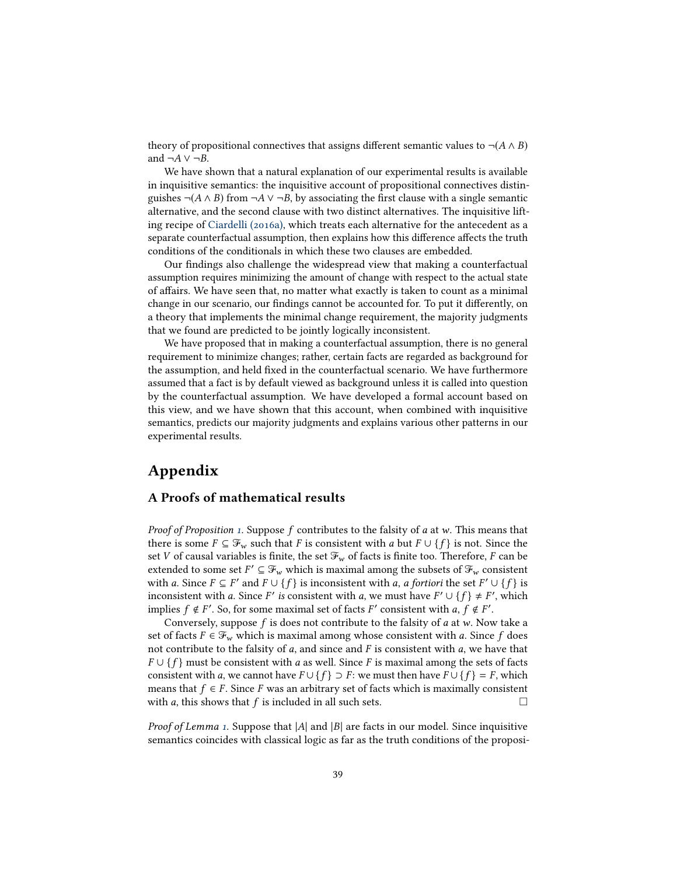theory of propositional connectives that assigns different semantic values to  $\neg(A \land B)$ and  $\neg A$  ∨  $\neg B$ .

We have shown that a natural explanation of our experimental results is available in inquisitive semantics: the inquisitive account of propositional connectives distinguishes ¬( $A \wedge B$ ) from ¬ $A \vee \neg B$ , by associating the first clause with a single semantic alternative, and the second clause with two distinct alternatives. The inquisitive lifting recipe of [Ciardelli \(2016a\),](#page-41-9) which treats each alternative for the antecedent as a separate counterfactual assumption, then explains how this difference affects the truth conditions of the conditionals in which these two clauses are embedded.

Our findings also challenge the widespread view that making a counterfactual assumption requires minimizing the amount of change with respect to the actual state of affairs. We have seen that, no matter what exactly is taken to count as a minimal change in our scenario, our findings cannot be accounted for. To put it differently, on a theory that implements the minimal change requirement, the majority judgments that we found are predicted to be jointly logically inconsistent.

We have proposed that in making a counterfactual assumption, there is no general requirement to minimize changes; rather, certain facts are regarded as background for the assumption, and held fixed in the counterfactual scenario. We have furthermore assumed that a fact is by default viewed as background unless it is called into question by the counterfactual assumption. We have developed a formal account based on this view, and we have shown that this account, when combined with inquisitive semantics, predicts our majority judgments and explains various other patterns in our experimental results.

# Appendix

### A Proofs of mathematical results

*Proof of Proposition [1.](#page-25-1)* Suppose f contributes to the falsity of a at w. This means that there is some  $F \subseteq \mathcal{F}_w$  such that F is consistent with a but  $F \cup \{f\}$  is not. Since the set V of causal variables is finite, the set  $\mathcal{F}_w$  of facts is finite too. Therefore, F can be extended to some set  $F' \subseteq \mathcal{F}_w$  which is maximal among the subsets of  $\mathcal{F}_w$  consistent with a state of  $F' \cup \{f\}$  is inconsistent with a a fortiori the set  $F' \cup \{f\}$  is with a. Since  $F \subseteq F'$  and  $F \cup \{f\}$  is inconsistent with a, a fortiori the set  $F' \cup \{f\}$  is inconsistent with a Since  $F'$  is consistent with a we must have  $F' \cup \{f\} + F'$  which inconsistent with a. Since F' is consistent with a, we must have  $F' \cup \{f\} \neq F'$ , which<br>implies  $f \notin F'$ . So for some maximal set of facts  $F'$  consistent with a  $f \notin F'$ . implies  $f \notin F'$ . So, for some maximal set of facts F' consistent with  $a, f \notin F'$ .<br>Conversely suppose f is does not contribute to the falsity of a st w. Now

Conversely, suppose f is does not contribute to the falsity of  $a$  at  $w$ . Now take a set of facts  $F \in \mathcal{F}_w$  which is maximal among whose consistent with a. Since f does not contribute to the falsity of  $a$ , and since and  $F$  is consistent with  $a$ , we have that  $F \cup \{f\}$  must be consistent with a as well. Since F is maximal among the sets of facts consistent with a, we cannot have  $F \cup \{f\} \supset F$ : we must then have  $F \cup \{f\} = F$ , which means that  $f \in F$ . Since F was an arbitrary set of facts which is maximally consistent with a this shows that f is included in all such sets. with  $a$ , this shows that  $f$  is included in all such sets.

*Proof of Lemma [1.](#page-36-1)* Suppose that  $|A|$  and  $|B|$  are facts in our model. Since inquisitive semantics coincides with classical logic as far as the truth conditions of the proposi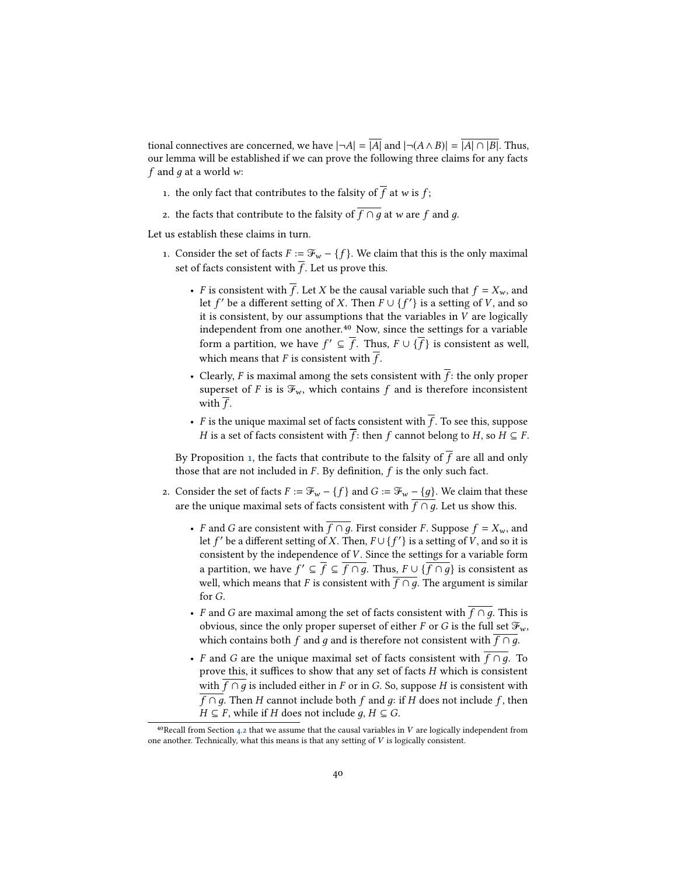tional connectives are concerned, we have  $|\neg A| = |A|$  and  $|\neg(A \land B)| = |A| \cap |B|$ . Thus, our lemma will be established if we can prove the following three claims for any facts f and q at a world w:

- 1. the only fact that contributes to the falsity of  $\overline{f}$  at  $w$  is  $f;$
- 2. the facts that contribute to the falsity of  $\overline{f \cap g}$  at w are f and g.

Let us establish these claims in turn.

40

- 1. Consider the set of facts  $F := \mathcal{F}_w \{f\}$ . We claim that this is the only maximal set of facts consistent with  $\overline{f}$ . Let us prove this.
	- F is consistent with  $\overline{f}$ . Let X be the causal variable such that  $f = X_w$ , and let f' be a different setting of X. Then  $F \cup \{f'\}$  is a setting of V, and so it is consistent by our assumptions that the variables in V are logically it is consistent, by our assumptions that the variables in  $\overline{V}$  are logically independent from one another.<sup>40</sup> Now, since the settings for a variable form a partition, we have  $f' \subseteq \overline{f}$ . Thus,  $F \cup \{\overline{f}\}\$ is consistent as well, which means that F is consistent with  $\overline{f}$ .
	- Clearly, F is maximal among the sets consistent with  $\overline{f}$ : the only proper superset of F is is  $\mathcal{F}_w$ , which contains f and is therefore inconsistent with  $\overline{f}$ .
	- F is the unique maximal set of facts consistent with  $\overline{f}$ . To see this, suppose H is a set of facts consistent with  $\overline{f}$ : then f cannot belong to H, so  $H \subseteq F$ .

By Proposition [1,](#page-25-1) the facts that contribute to the falsity of  $\overline{f}$  are all and only those that are not included in  $F$ . By definition,  $f$  is the only such fact.

- 2. Consider the set of facts  $F := \mathcal{F}_w \{f\}$  and  $G := \mathcal{F}_w \{g\}$ . We claim that these are the unique maximal sets of facts consistent with  $f \cap \overline{g}$ . Let us show this.
	- F and G are consistent with  $\overline{f \cap g}$ . First consider F. Suppose  $f = X_w$ , and let f' be a different setting of X. Then,  $F \cup \{f'\}$  is a setting of  $\bar{V}$ , and so it is consistent by the independence of  $V$ . Since the settings for a variable form consistent by the independence of V. Since the settings for a variable form a partition, we have  $f' \subseteq \overline{f} \subseteq \overline{f \cap g}$ . Thus,  $F \cup \{\overline{f \cap g}\}$  is consistent as well which means that E is consistent with  $\overline{f \cap g}$ . The argument is similar well, which means that F is consistent with  $\overline{f \cap g}$ . The argument is similar for G.
	- F and G are maximal among the set of facts consistent with  $\overline{f \cap g}$ . This is obvious, since the only proper superset of either F or G is the full set  $\mathcal{F}_w$ , which contains both f and q and is therefore not consistent with  $f \cap q$ .
	- F and G are the unique maximal set of facts consistent with  $\overline{f \cap g}$ . To prove this, it suffices to show that any set of facts  $H$  which is consistent with  $\overline{f \cap g}$  is included either in F or in G. So, suppose H is consistent with f ∩ q. Then H cannot include both f and q: if H does not include f, then  $H \subseteq F$ , while if H does not include q,  $H \subseteq G$ .

<sup>&</sup>lt;sup>40</sup>Recall from Section [4.2](#page-22-0) that we assume that the causal variables in V are logically independent from one another. Technically, what this means is that any setting of V is logically consistent.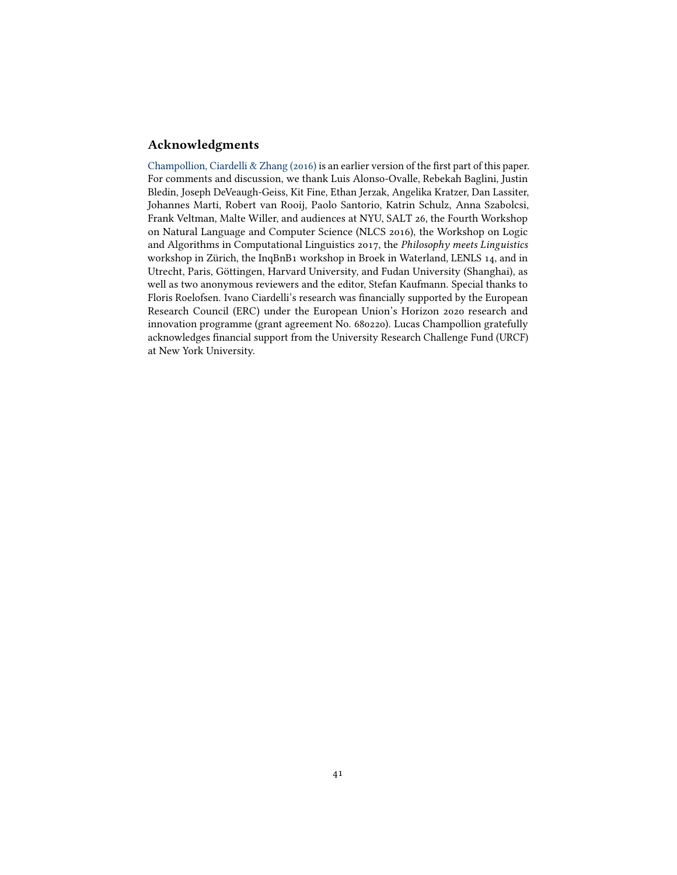# Acknowledgments

[Champollion, Ciardelli & Zhang \(2016\)](#page-41-15) is an earlier version of the first part of this paper. For comments and discussion, we thank Luis Alonso-Ovalle, Rebekah Baglini, Justin Bledin, Joseph DeVeaugh-Geiss, Kit Fine, Ethan Jerzak, Angelika Kratzer, Dan Lassiter, Johannes Marti, Robert van Rooij, Paolo Santorio, Katrin Schulz, Anna Szabolcsi, Frank Veltman, Malte Willer, and audiences at NYU, SALT 26, the Fourth Workshop on Natural Language and Computer Science (NLCS 2016), the Workshop on Logic and Algorithms in Computational Linguistics 2017, the Philosophy meets Linguistics workshop in Zürich, the InqBnB1 workshop in Broek in Waterland, LENLS 14, and in Utrecht, Paris, Göttingen, Harvard University, and Fudan University (Shanghai), as well as two anonymous reviewers and the editor, Stefan Kaufmann. Special thanks to Floris Roelofsen. Ivano Ciardelli's research was financially supported by the European Research Council (ERC) under the European Union's Horizon 2020 research and innovation programme (grant agreement No. 680220). Lucas Champollion gratefully acknowledges financial support from the University Research Challenge Fund (URCF) at New York University.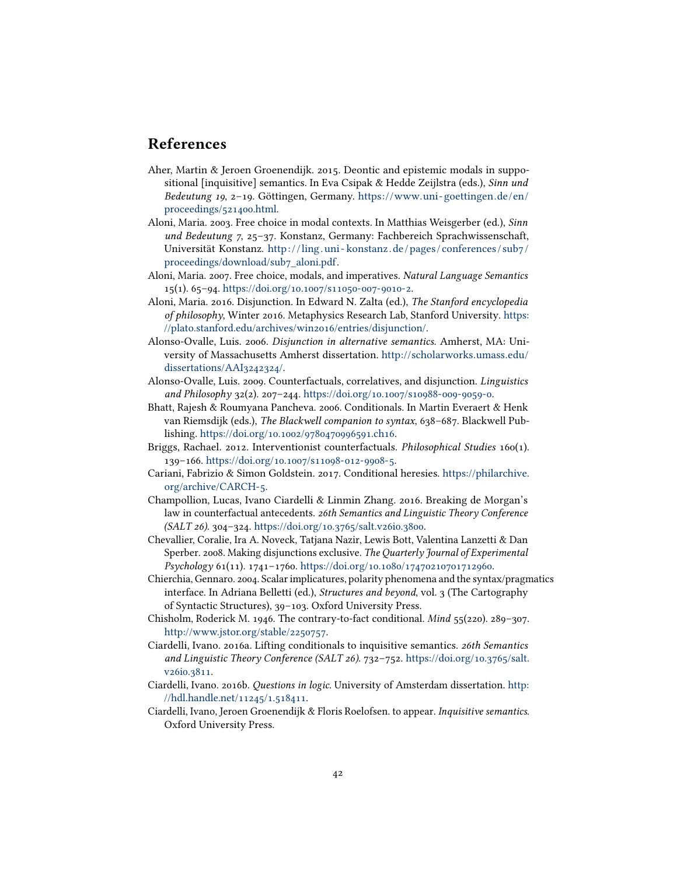# References

- <span id="page-41-8"></span>Aher, Martin & Jeroen Groenendijk. 2015. Deontic and epistemic modals in suppositional [inquisitive] semantics. In Eva Csipak & Hedde Zeijlstra (eds.), Sinn und Bedeutung 19, 2–19. Göttingen, Germany. [https://www.uni- goettingen.de/en/](https://www.uni-goettingen.de/en/proceedings/521400.html) [proceedings/521400.html.](https://www.uni-goettingen.de/en/proceedings/521400.html)
- <span id="page-41-13"></span>Aloni, Maria. 2003. Free choice in modal contexts. In Matthias Weisgerber (ed.), Sinn und Bedeutung 7, 25–37. Konstanz, Germany: Fachbereich Sprachwissenschaft, Universität Konstanz. [http: / /ling . uni - konstanz . de / pages / conferences / sub7 /](http://ling.uni-konstanz.de/pages/conferences/sub7/proceedings/download/sub7_aloni.pdf) [proceedings/download/sub7\\_aloni.pdf.](http://ling.uni-konstanz.de/pages/conferences/sub7/proceedings/download/sub7_aloni.pdf)
- <span id="page-41-14"></span>Aloni, Maria. 2007. Free choice, modals, and imperatives. Natural Language Semantics 15(1). 65–94. [https://doi.org/10.1007/s11050-007-9010-2.](https://doi.org/10.1007/s11050-007-9010-2)
- <span id="page-41-5"></span>Aloni, Maria. 2016. Disjunction. In Edward N. Zalta (ed.), The Stanford encyclopedia of philosophy, Winter 2016. Metaphysics Research Lab, Stanford University. [https:](https://plato.stanford.edu/archives/win2016/entries/disjunction/) [//plato.stanford.edu/archives/win2016/entries/disjunction/.](https://plato.stanford.edu/archives/win2016/entries/disjunction/)
- <span id="page-41-1"></span>Alonso-Ovalle, Luis. 2006. Disjunction in alternative semantics. Amherst, MA: University of Massachusetts Amherst dissertation. [http://scholarworks.umass.edu/](http://scholarworks.umass.edu/dissertations/AAI3242324/) [dissertations/AAI3242324/.](http://scholarworks.umass.edu/dissertations/AAI3242324/)
- <span id="page-41-2"></span>Alonso-Ovalle, Luis. 2009. Counterfactuals, correlatives, and disjunction. Linguistics and Philosophy 32(2). 207–244. [https://doi.org/10.1007/s10988-009-9059-0.](https://doi.org/10.1007/s10988-009-9059-0)
- <span id="page-41-10"></span>Bhatt, Rajesh & Roumyana Pancheva. 2006. Conditionals. In Martin Everaert & Henk van Riemsdijk (eds.), The Blackwell companion to syntax, 638–687. Blackwell Publishing. [https://doi.org/10.1002/9780470996591.ch16.](https://doi.org/10.1002/9780470996591.ch16)
- <span id="page-41-3"></span>Briggs, Rachael. 2012. Interventionist counterfactuals. Philosophical Studies 160(1). 139–166. [https://doi.org/10.1007/s11098-012-9908-5.](https://doi.org/10.1007/s11098-012-9908-5)
- <span id="page-41-11"></span>Cariani, Fabrizio & Simon Goldstein. 2017. Conditional heresies. [https://philarchive.](https://philarchive.org/archive/CARCH-5) [org/archive/CARCH-5.](https://philarchive.org/archive/CARCH-5)
- <span id="page-41-15"></span>Champollion, Lucas, Ivano Ciardelli & Linmin Zhang. 2016. Breaking de Morgan's law in counterfactual antecedents. 26th Semantics and Linguistic Theory Conference (SALT 26). 304–324. [https://doi.org/10.3765/salt.v26i0.3800.](https://doi.org/10.3765/salt.v26i0.3800)
- <span id="page-41-4"></span>Chevallier, Coralie, Ira A. Noveck, Tatjana Nazir, Lewis Bott, Valentina Lanzetti & Dan Sperber. 2008. Making disjunctions exclusive. The Quarterly Journal of Experimental Psychology 61(11). 1741–1760. [https://doi.org/10.1080/17470210701712960.](https://doi.org/10.1080/17470210701712960)
- <span id="page-41-6"></span>Chierchia, Gennaro. 2004. Scalar implicatures, polarity phenomena and the syntax/pragmatics interface. In Adriana Belletti (ed.), *Structures and beyond*, vol. 3 (The Cartography of Syntactic Structures), 39–103. Oxford University Press.
- <span id="page-41-12"></span>Chisholm, Roderick M. 1946. The contrary-to-fact conditional. Mind 55(220). 289–307. [http://www.jstor.org/stable/2250757.](http://www.jstor.org/stable/2250757)
- <span id="page-41-9"></span>Ciardelli, Ivano. 2016a. Lifting conditionals to inquisitive semantics. 26th Semantics and Linguistic Theory Conference (SALT 26). 732–752. [https://doi.org/10.3765/salt.](https://doi.org/10.3765/salt.v26i0.3811) [v26i0.3811.](https://doi.org/10.3765/salt.v26i0.3811)
- <span id="page-41-7"></span>Ciardelli, Ivano. 2016b. Questions in logic. University of Amsterdam dissertation. [http:](http://hdl.handle.net/11245/1.518411) [//hdl.handle.net/11245/1.518411.](http://hdl.handle.net/11245/1.518411)
- <span id="page-41-0"></span>Ciardelli, Ivano, Jeroen Groenendijk & Floris Roelofsen. to appear. Inquisitive semantics. Oxford University Press.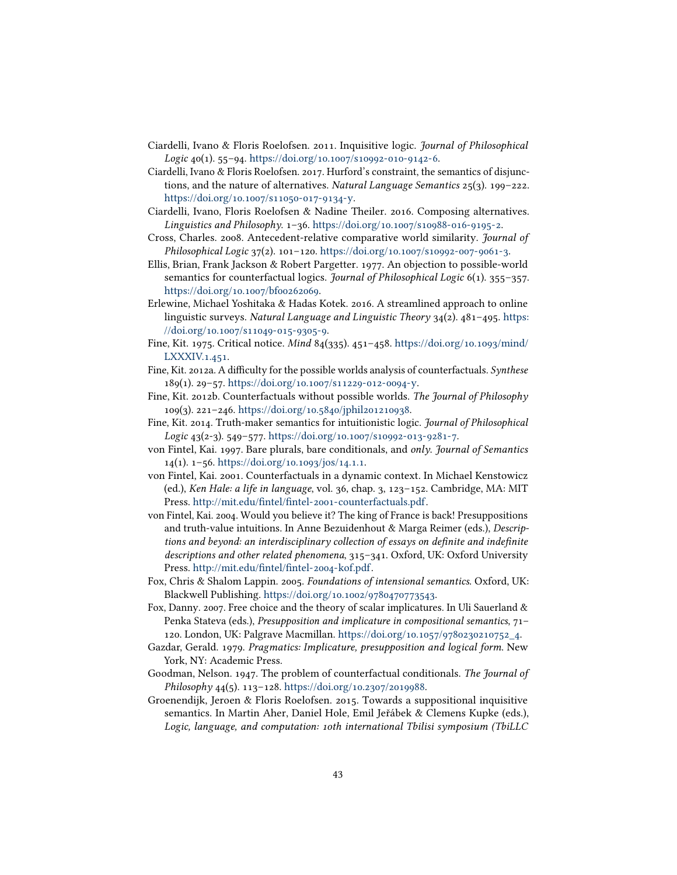- <span id="page-42-7"></span>Ciardelli, Ivano & Floris Roelofsen. 2011. Inquisitive logic. Journal of Philosophical Logic 40(1). 55–94. [https://doi.org/10.1007/s10992-010-9142-6.](https://doi.org/10.1007/s10992-010-9142-6)
- <span id="page-42-16"></span>Ciardelli, Ivano & Floris Roelofsen. 2017. Hurford's constraint, the semantics of disjunctions, and the nature of alternatives. Natural Language Semantics  $25(3)$ . 199–222. [https://doi.org/10.1007/s11050-017-9134-y.](https://doi.org/10.1007/s11050-017-9134-y)
- <span id="page-42-15"></span>Ciardelli, Ivano, Floris Roelofsen & Nadine Theiler. 2016. Composing alternatives. Linguistics and Philosophy. 1–36. [https://doi.org/10.1007/s10988-016-9195-2.](https://doi.org/10.1007/s10988-016-9195-2)
- <span id="page-42-6"></span>Cross, Charles. 2008. Antecedent-relative comparative world similarity. Journal of Philosophical Logic 37(2). 101–120. [https://doi.org/10.1007/s10992-007-9061-3.](https://doi.org/10.1007/s10992-007-9061-3)
- <span id="page-42-13"></span>Ellis, Brian, Frank Jackson & Robert Pargetter. 1977. An objection to possible-world semantics for counterfactual logics. *Journal of Philosophical Logic*  $6(1)$ . 355–357. [https://doi.org/10.1007/bf00262069.](https://doi.org/10.1007/bf00262069)
- <span id="page-42-3"></span>Erlewine, Michael Yoshitaka & Hadas Kotek. 2016. A streamlined approach to online linguistic surveys. Natural Language and Linguistic Theory  $34(2)$ .  $481-495$ . [https:](https://doi.org/10.1007/s11049-015-9305-9) [//doi.org/10.1007/s11049-015-9305-9.](https://doi.org/10.1007/s11049-015-9305-9)
- <span id="page-42-2"></span>Fine, Kit. 1975. Critical notice. Mind 84(335). 451–458. [https://doi.org/10.1093/mind/](https://doi.org/10.1093/mind/LXXXIV.1.451) [LXXXIV.1.451.](https://doi.org/10.1093/mind/LXXXIV.1.451)
- <span id="page-42-1"></span>Fine, Kit. 2012a. A difficulty for the possible worlds analysis of counterfactuals. Synthese 189(1). 29–57. [https://doi.org/10.1007/s11229-012-0094-y.](https://doi.org/10.1007/s11229-012-0094-y)
- <span id="page-42-12"></span>Fine, Kit. 2012b. Counterfactuals without possible worlds. The Journal of Philosophy 109(3). 221–246. [https://doi.org/10.5840/jphil201210938.](https://doi.org/10.5840/jphil201210938)
- <span id="page-42-14"></span>Fine, Kit. 2014. Truth-maker semantics for intuitionistic logic. Journal of Philosophical Logic 43(2-3). 549–577. [https://doi.org/10.1007/s10992-013-9281-7.](https://doi.org/10.1007/s10992-013-9281-7)
- <span id="page-42-9"></span>von Fintel, Kai. 1997. Bare plurals, bare conditionals, and only. Journal of Semantics 14(1). 1–56. [https://doi.org/10.1093/jos/14.1.1.](https://doi.org/10.1093/jos/14.1.1)
- <span id="page-42-11"></span>von Fintel, Kai. 2001. Counterfactuals in a dynamic context. In Michael Kenstowicz (ed.), Ken Hale: a life in language, vol. 36, chap. 3, 123–152. Cambridge, MA: MIT Press. http://mit.edu/fintel/fintel-2001-counterfactuals.pdf.
- <span id="page-42-10"></span>von Fintel, Kai. 2004. Would you believe it? The king of France is back! Presuppositions and truth-value intuitions. In Anne Bezuidenhout & Marga Reimer (eds.), Descriptions and beyond: an interdisciplinary collection of essays on definite and indefinite descriptions and other related phenomena, 315–341. Oxford, UK: Oxford University Press. http://mit.edu/fintel/fintel-2004-kof.pdf.
- <span id="page-42-0"></span>Fox, Chris & Shalom Lappin. 2005. Foundations of intensional semantics. Oxford, UK: Blackwell Publishing. [https://doi.org/10.1002/9780470773543.](https://doi.org/10.1002/9780470773543)
- <span id="page-42-5"></span>Fox, Danny. 2007. Free choice and the theory of scalar implicatures. In Uli Sauerland & Penka Stateva (eds.), Presupposition and implicature in compositional semantics, 71– 120. London, UK: Palgrave Macmillan. [https://doi.org/10.1057/9780230210752\\_4.](https://doi.org/10.1057/9780230210752_4)
- <span id="page-42-4"></span>Gazdar, Gerald. 1979. Pragmatics: Implicature, presupposition and logical form. New York, NY: Academic Press.
- <span id="page-42-17"></span>Goodman, Nelson. 1947. The problem of counterfactual conditionals. The Journal of Philosophy 44(5). 113-128. [https://doi.org/10.2307/2019988.](https://doi.org/10.2307/2019988)
- <span id="page-42-8"></span>Groenendijk, Jeroen & Floris Roelofsen. 2015. Towards a suppositional inquisitive semantics. In Martin Aher, Daniel Hole, Emil Jeřábek & Clemens Kupke (eds.), Logic, language, and computation: 10th international Tbilisi symposium (TbiLLC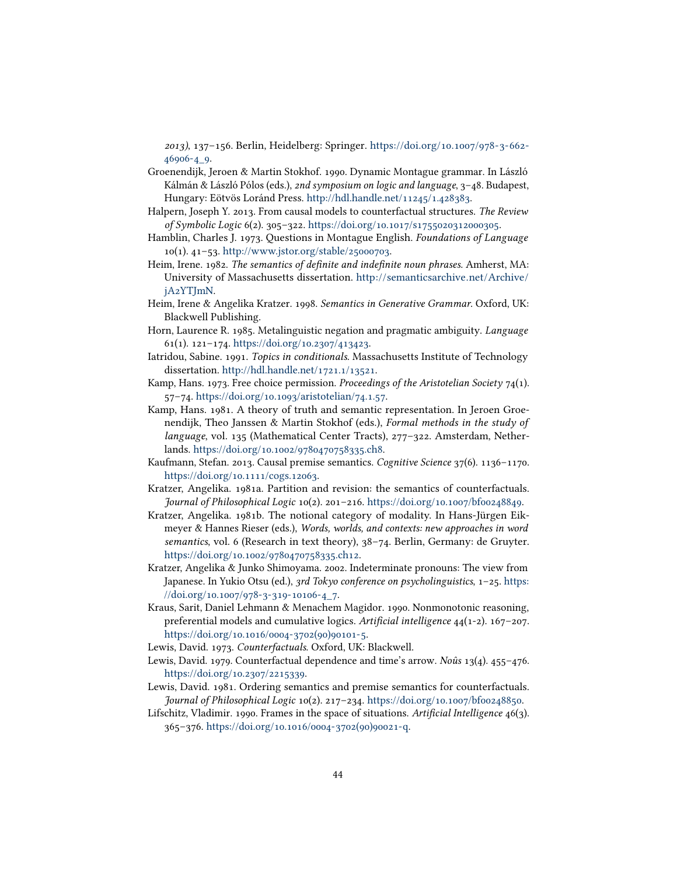2013), 137–156. Berlin, Heidelberg: Springer. [https://doi.org/10.1007/978-3-662-](https://doi.org/10.1007/978-3-662-46906-4_9) [46906-4\\_9.](https://doi.org/10.1007/978-3-662-46906-4_9)

- <span id="page-43-7"></span>Groenendijk, Jeroen & Martin Stokhof. 1990. Dynamic Montague grammar. In László Kálmán & László Pólos (eds.), 2nd symposium on logic and language, 3–48. Budapest, Hungary: Eötvös Loránd Press. [http://hdl.handle.net/11245/1.428383.](http://hdl.handle.net/11245/1.428383)
- <span id="page-43-14"></span>Halpern, Joseph Y. 2013. From causal models to counterfactual structures. The Review of Symbolic Logic 6(2). 305–322. [https://doi.org/10.1017/s1755020312000305.](https://doi.org/10.1017/s1755020312000305)
- <span id="page-43-3"></span>Hamblin, Charles J. 1973. Questions in Montague English. Foundations of Language 10(1). 41–53. [http://www.jstor.org/stable/25000703.](http://www.jstor.org/stable/25000703)
- <span id="page-43-6"></span>Heim, Irene. 1982. The semantics of definite and indefinite noun phrases. Amherst, MA: University of Massachusetts dissertation. [http://semanticsarchive.net/Archive/](http://semanticsarchive.net/Archive/jA2YTJmN) [jA2YTJmN.](http://semanticsarchive.net/Archive/jA2YTJmN)
- <span id="page-43-0"></span>Heim, Irene & Angelika Kratzer. 1998. Semantics in Generative Grammar. Oxford, UK: Blackwell Publishing.
- <span id="page-43-11"></span>Horn, Laurence R. 1985. Metalinguistic negation and pragmatic ambiguity. Language 61(1). 121–174. [https://doi.org/10.2307/413423.](https://doi.org/10.2307/413423)
- <span id="page-43-13"></span>Iatridou, Sabine. 1991. Topics in conditionals. Massachusetts Institute of Technology dissertation. [http://hdl.handle.net/1721.1/13521.](http://hdl.handle.net/1721.1/13521)
- <span id="page-43-17"></span>Kamp, Hans. 1973. Free choice permission. Proceedings of the Aristotelian Society 74(1). 57–74. [https://doi.org/10.1093/aristotelian/74.1.57.](https://doi.org/10.1093/aristotelian/74.1.57)
- <span id="page-43-5"></span>Kamp, Hans. 1981. A theory of truth and semantic representation. In Jeroen Groenendijk, Theo Janssen & Martin Stokhof (eds.), Formal methods in the study of language, vol. 135 (Mathematical Center Tracts), 277–322. Amsterdam, Netherlands. [https://doi.org/10.1002/9780470758335.ch8.](https://doi.org/10.1002/9780470758335.ch8)
- <span id="page-43-12"></span>Kaufmann, Stefan. 2013. Causal premise semantics. Cognitive Science 37(6). 1136–1170. [https://doi.org/10.1111/cogs.12063.](https://doi.org/10.1111/cogs.12063)
- <span id="page-43-2"></span>Kratzer, Angelika. 1981a. Partition and revision: the semantics of counterfactuals. Journal of Philosophical Logic 10(2). 201–216. [https://doi.org/10.1007/bf00248849.](https://doi.org/10.1007/bf00248849)
- <span id="page-43-8"></span>Kratzer, Angelika. 1981b. The notional category of modality. In Hans-Jürgen Eikmeyer & Hannes Rieser (eds.), Words, worlds, and contexts: new approaches in word semantics, vol. 6 (Research in text theory), 38–74. Berlin, Germany: de Gruyter. [https://doi.org/10.1002/9780470758335.ch12.](https://doi.org/10.1002/9780470758335.ch12)
- <span id="page-43-4"></span>Kratzer, Angelika & Junko Shimoyama. 2002. Indeterminate pronouns: The view from Japanese. In Yukio Otsu (ed.), 3rd Tokyo conference on psycholinguistics, 1–25. [https:](https://doi.org/10.1007/978-3-319-10106-4_7) [//doi.org/10.1007/978-3-319-10106-4\\_7.](https://doi.org/10.1007/978-3-319-10106-4_7)
- <span id="page-43-16"></span>Kraus, Sarit, Daniel Lehmann & Menachem Magidor. 1990. Nonmonotonic reasoning, preferential models and cumulative logics. Artificial intelligence  $44(1-2)$ .  $167-207$ . [https://doi.org/10.1016/0004-3702\(90\)90101-5.](https://doi.org/10.1016/0004-3702(90)90101-5)
- <span id="page-43-1"></span>Lewis, David. 1973. Counterfactuals. Oxford, UK: Blackwell.
- <span id="page-43-9"></span>Lewis, David. 1979. Counterfactual dependence and time's arrow. Noûs 13(4). 455–476. [https://doi.org/10.2307/2215339.](https://doi.org/10.2307/2215339)
- <span id="page-43-15"></span>Lewis, David. 1981. Ordering semantics and premise semantics for counterfactuals. Journal of Philosophical Logic 10(2). 217–234. [https://doi.org/10.1007/bf00248850.](https://doi.org/10.1007/bf00248850)
- <span id="page-43-10"></span>Lifschitz, Vladimir. 1990. Frames in the space of situations. Artificial Intelligence  $46(3)$ . 365–376. [https://doi.org/10.1016/0004-3702\(90\)90021-q.](https://doi.org/10.1016/0004-3702(90)90021-q)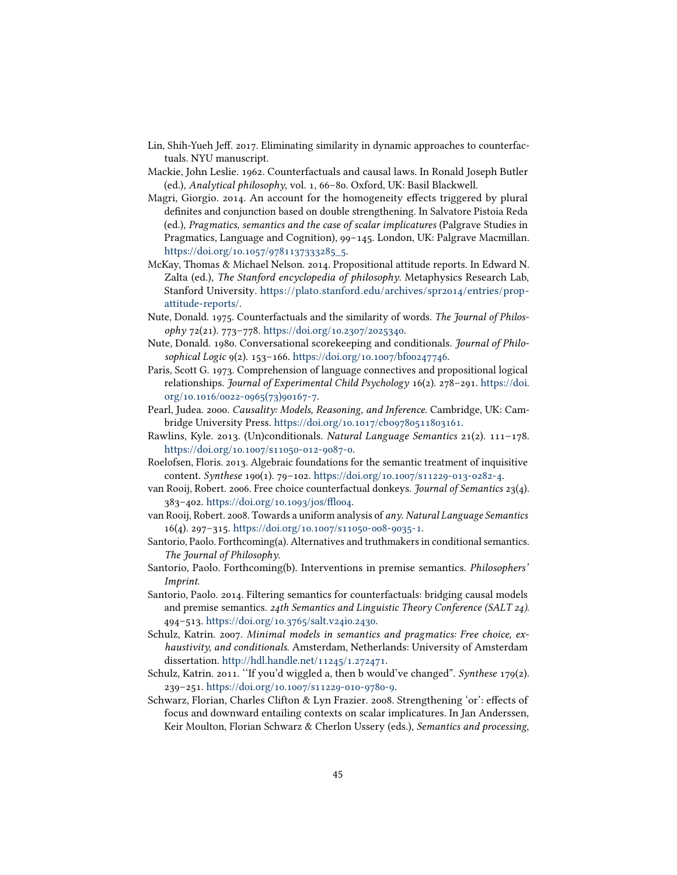- <span id="page-44-13"></span>Lin, Shih-Yueh Jeff. 2017. Eliminating similarity in dynamic approaches to counterfactuals. NYU manuscript.
- <span id="page-44-14"></span>Mackie, John Leslie. 1962. Counterfactuals and causal laws. In Ronald Joseph Butler (ed.), Analytical philosophy, vol. 1, 66–80. Oxford, UK: Basil Blackwell.
- <span id="page-44-4"></span>Magri, Giorgio. 2014. An account for the homogeneity effects triggered by plural definites and conjunction based on double strengthening. In Salvatore Pistoia Reda (ed.), Pragmatics, semantics and the case of scalar implicatures (Palgrave Studies in Pragmatics, Language and Cognition), 99–145. London, UK: Palgrave Macmillan. [https://doi.org/10.1057/9781137333285\\_5.](https://doi.org/10.1057/9781137333285_5)
- <span id="page-44-0"></span>McKay, Thomas & Michael Nelson. 2014. Propositional attitude reports. In Edward N. Zalta (ed.), The Stanford encyclopedia of philosophy. Metaphysics Research Lab, Stanford University. [https://plato.stanford.edu/archives/spr2014/entries/prop](https://plato.stanford.edu/archives/spr2014/entries/prop-attitude-reports/)[attitude-reports/.](https://plato.stanford.edu/archives/spr2014/entries/prop-attitude-reports/)
- <span id="page-44-5"></span>Nute, Donald. 1975. Counterfactuals and the similarity of words. The Journal of Philosophy 72(21). 773–778. [https://doi.org/10.2307/2025340.](https://doi.org/10.2307/2025340)
- <span id="page-44-15"></span>Nute, Donald. 1980. Conversational scorekeeping and conditionals. Journal of Philosophical Logic 9(2). 153–166. [https://doi.org/10.1007/bf00247746.](https://doi.org/10.1007/bf00247746)
- <span id="page-44-2"></span>Paris, Scott G. 1973. Comprehension of language connectives and propositional logical relationships. Journal of Experimental Child Psychology 16(2). 278–291. [https://doi.](https://doi.org/10.1016/0022-0965(73)90167-7) [org/10.1016/0022-0965\(73\)90167-7.](https://doi.org/10.1016/0022-0965(73)90167-7)
- <span id="page-44-1"></span>Pearl, Judea. 2000. Causality: Models, Reasoning, and Inference. Cambridge, UK: Cambridge University Press. [https://doi.org/10.1017/cbo9780511803161.](https://doi.org/10.1017/cbo9780511803161)
- <span id="page-44-16"></span>Rawlins, Kyle. 2013. (Un)conditionals. Natural Language Semantics 21(2). 111–178. [https://doi.org/10.1007/s11050-012-9087-0.](https://doi.org/10.1007/s11050-012-9087-0)
- <span id="page-44-7"></span>Roelofsen, Floris. 2013. Algebraic foundations for the semantic treatment of inquisitive content. Synthese 190(1). 79–102. [https://doi.org/10.1007/s11229-013-0282-4.](https://doi.org/10.1007/s11229-013-0282-4)
- <span id="page-44-8"></span>van Rooij, Robert. 2006. Free choice counterfactual donkeys. Journal of Semantics 23(4).  $383 - 402$ . https://doi.org/10.1093/jos/ffloo4.
- <span id="page-44-17"></span>van Rooij, Robert. 2008. Towards a uniform analysis of any. Natural Language Semantics 16(4). 297–315. [https://doi.org/10.1007/s11050-008-9035-1.](https://doi.org/10.1007/s11050-008-9035-1)
- <span id="page-44-12"></span>Santorio, Paolo. Forthcoming(a). Alternatives and truthmakers in conditional semantics. The Journal of Philosophy.
- <span id="page-44-10"></span>Santorio, Paolo. Forthcoming(b). Interventions in premise semantics. Philosophers' Imprint.
- <span id="page-44-9"></span>Santorio, Paolo. 2014. Filtering semantics for counterfactuals: bridging causal models and premise semantics. 24th Semantics and Linguistic Theory Conference (SALT 24). 494–513. [https://doi.org/10.3765/salt.v24i0.2430.](https://doi.org/10.3765/salt.v24i0.2430)
- <span id="page-44-3"></span>Schulz, Katrin. 2007. Minimal models in semantics and pragmatics: Free choice, exhaustivity, and conditionals. Amsterdam, Netherlands: University of Amsterdam dissertation. [http://hdl.handle.net/11245/1.272471.](http://hdl.handle.net/11245/1.272471)
- <span id="page-44-11"></span>Schulz, Katrin. 2011. "If you'd wiggled a, then b would've changed". Synthese 179(2). 239–251. [https://doi.org/10.1007/s11229-010-9780-9.](https://doi.org/10.1007/s11229-010-9780-9)
- <span id="page-44-6"></span>Schwarz, Florian, Charles Clifton & Lyn Frazier. 2008. Strengthening 'or': effects of focus and downward entailing contexts on scalar implicatures. In Jan Anderssen, Keir Moulton, Florian Schwarz & Cherlon Ussery (eds.), Semantics and processing,